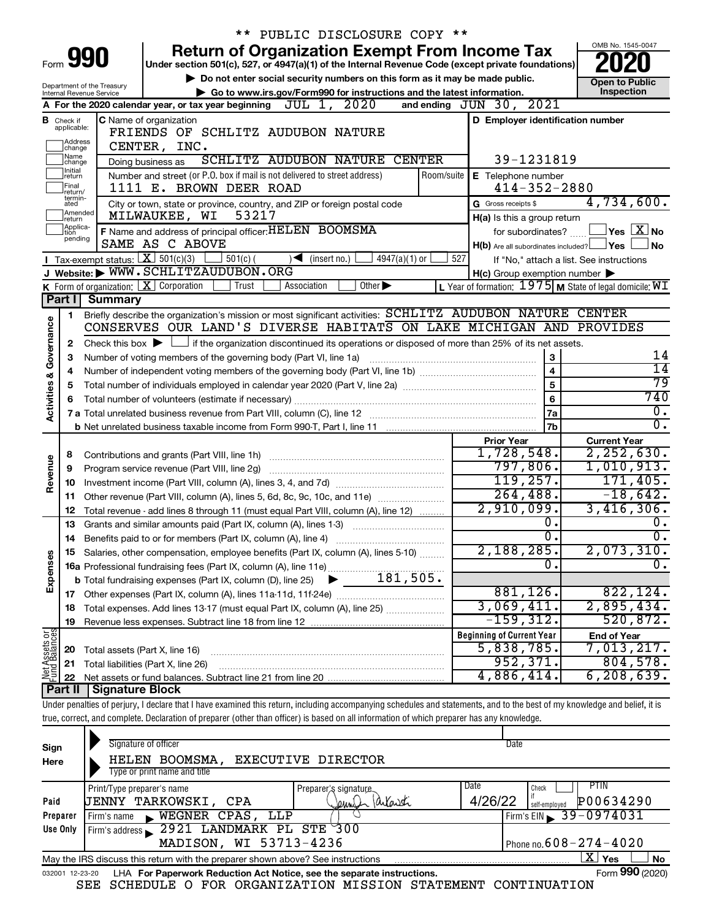|                                |                                  |                                         | ** PUBLIC DISCLOSURE COPY **                                                                                                                                               |                                                             |                               |
|--------------------------------|----------------------------------|-----------------------------------------|----------------------------------------------------------------------------------------------------------------------------------------------------------------------------|-------------------------------------------------------------|-------------------------------|
|                                |                                  | Form 990                                | <b>Return of Organization Exempt From Income Tax</b>                                                                                                                       |                                                             | OMB No. 1545-0047             |
|                                |                                  |                                         | Under section 501(c), 527, or 4947(a)(1) of the Internal Revenue Code (except private foundations)                                                                         |                                                             |                               |
|                                |                                  | Department of the Treasury              | Do not enter social security numbers on this form as it may be made public.                                                                                                |                                                             | <b>Open to Public</b>         |
|                                |                                  | Internal Revenue Service                | Go to www.irs.gov/Form990 for instructions and the latest information.<br>JUL 1, 2020<br>A For the 2020 calendar year, or tax year beginning                               | 2021<br>and ending $JUN$ 30,                                | Inspection                    |
|                                |                                  |                                         |                                                                                                                                                                            |                                                             |                               |
|                                | <b>B</b> Check if<br>applicable: |                                         | <b>C</b> Name of organization<br>FRIENDS OF SCHLITZ AUDUBON NATURE                                                                                                         | D Employer identification number                            |                               |
|                                | Address<br> change               |                                         | CENTER, INC.                                                                                                                                                               |                                                             |                               |
|                                | ]Name<br>]change                 |                                         | SCHLITZ AUDUBON NATURE CENTER<br>Doing business as                                                                                                                         | 39-1231819                                                  |                               |
|                                | 1Initial<br>return               |                                         | Number and street (or P.O. box if mail is not delivered to street address)<br>Room/suite                                                                                   | E Telephone number                                          |                               |
|                                | Final<br>return/                 |                                         | 1111 E. BROWN DEER ROAD                                                                                                                                                    | $414 - 352 - 2880$                                          |                               |
|                                | termin-<br>ated                  |                                         | City or town, state or province, country, and ZIP or foreign postal code                                                                                                   | G Gross receipts \$                                         | 4,734,600.                    |
|                                | Amended<br>return                |                                         | 53217<br>MILWAUKEE, WI                                                                                                                                                     | H(a) Is this a group return                                 |                               |
|                                | Applica-<br>tion                 |                                         | F Name and address of principal officer: HELEN BOOMSMA                                                                                                                     | for subordinates?                                           | $\,$ Yes $\,$ $\rm X$ No $\,$ |
|                                | pending                          |                                         | SAME AS C ABOVE                                                                                                                                                            | $H(b)$ Are all subordinates included? $\Box$ Yes            | No.                           |
|                                |                                  |                                         | Tax-exempt status: $X \over 301(c)(3)$<br>$\Box$ 501(c) (<br>$4947(a)(1)$ or<br>$\sqrt{\bullet}$ (insert no.)                                                              | 527<br>If "No," attach a list. See instructions             |                               |
|                                |                                  |                                         | J Website: WWW.SCHLITZAUDUBON.ORG                                                                                                                                          | $H(c)$ Group exemption number $\blacktriangleright$         |                               |
|                                |                                  | K Form of organization: $X$ Corporation | Other $\blacktriangleright$<br>Trust<br>Association                                                                                                                        | L Year of formation: $1975$ M State of legal domicile: $WI$ |                               |
|                                | Part I                           | <b>Summary</b>                          |                                                                                                                                                                            |                                                             |                               |
|                                | 1                                |                                         | Briefly describe the organization's mission or most significant activities: SCHLITZ AUDUBON NATURE CENTER                                                                  |                                                             |                               |
| Governance                     |                                  |                                         | CONSERVES OUR LAND'S DIVERSE HABITATS ON LAKE MICHIGAN AND PROVIDES                                                                                                        |                                                             |                               |
|                                | 2                                |                                         | Check this box $\blacktriangleright$ $\Box$ if the organization discontinued its operations or disposed of more than 25% of its net assets.                                |                                                             |                               |
|                                | з                                |                                         | Number of voting members of the governing body (Part VI, line 1a)                                                                                                          | 3                                                           | 14                            |
|                                | 4                                |                                         |                                                                                                                                                                            | $\overline{4}$                                              | $\overline{14}$               |
|                                | 5                                |                                         |                                                                                                                                                                            | $\overline{5}$                                              | $\overline{79}$               |
| Activities &                   | 6                                |                                         |                                                                                                                                                                            | 6                                                           | 740                           |
|                                |                                  |                                         |                                                                                                                                                                            | 7a                                                          | $\overline{0}$ .              |
|                                |                                  |                                         |                                                                                                                                                                            | <b>7b</b>                                                   | $\overline{0}$ .              |
|                                |                                  |                                         |                                                                                                                                                                            | <b>Prior Year</b>                                           | <b>Current Year</b>           |
|                                | 8                                |                                         |                                                                                                                                                                            | 1,728,548.<br>797,806.                                      | 2, 252, 630.                  |
| Revenue                        | 9                                |                                         | Program service revenue (Part VIII, line 2g)                                                                                                                               | 119, 257.                                                   | 1,010,913.<br>171,405.        |
|                                | 10                               |                                         |                                                                                                                                                                            | 264, 488.                                                   | $-18,642.$                    |
|                                | 11                               |                                         | Other revenue (Part VIII, column (A), lines 5, 6d, 8c, 9c, 10c, and 11e)                                                                                                   | 2,910,099.                                                  | 3,416,306.                    |
|                                | 12                               |                                         | Total revenue - add lines 8 through 11 (must equal Part VIII, column (A), line 12)                                                                                         | $\overline{0}$ .                                            | Ο.                            |
|                                | 13                               |                                         | Grants and similar amounts paid (Part IX, column (A), lines 1-3)                                                                                                           | $\overline{0}$ .                                            | $\overline{0}$ .              |
|                                |                                  |                                         | Salaries, other compensation, employee benefits (Part IX, column (A), lines 5-10)                                                                                          | 2,188,285.                                                  | 2,073,310.                    |
| Expenses                       |                                  |                                         |                                                                                                                                                                            | $\overline{0}$ .                                            | $\overline{0}$ .              |
|                                |                                  |                                         |                                                                                                                                                                            |                                                             |                               |
|                                |                                  |                                         |                                                                                                                                                                            | 881, 126.                                                   | 822, 124.                     |
|                                | 18                               |                                         | Total expenses. Add lines 13-17 (must equal Part IX, column (A), line 25)                                                                                                  | 3,069,411.                                                  | 2,895,434.                    |
|                                | 19                               |                                         |                                                                                                                                                                            | $-159, 312.$                                                | 520,872.                      |
|                                |                                  |                                         |                                                                                                                                                                            | <b>Beginning of Current Year</b>                            | <b>End of Year</b>            |
|                                | 20                               | Total assets (Part X, line 16)          |                                                                                                                                                                            | 5,838,785.                                                  | 7,013,217.                    |
|                                | 21                               |                                         | Total liabilities (Part X, line 26)                                                                                                                                        | 952, 371.                                                   | 804,578.                      |
| Net Assets or<br>Fund Balances | 22                               |                                         |                                                                                                                                                                            | 4,886,414.                                                  | 6, 208, 639.                  |
|                                | Part II                          | <b>Signature Block</b>                  |                                                                                                                                                                            |                                                             |                               |
|                                |                                  |                                         | Under penalties of perjury, I declare that I have examined this return, including accompanying schedules and statements, and to the best of my knowledge and belief, it is |                                                             |                               |
|                                |                                  |                                         | true, correct, and complete. Declaration of preparer (other than officer) is based on all information of which preparer has any knowledge.                                 |                                                             |                               |
|                                |                                  |                                         |                                                                                                                                                                            |                                                             |                               |

| Sign<br>Here    | Signature of officer<br>EXECUTIVE DIRECTOR<br>BOOMSMA,<br>HELEN<br>Type or print name and title | Date                                  |
|-----------------|-------------------------------------------------------------------------------------------------|---------------------------------------|
|                 | Print/Type preparer's name<br>Preparer's signature                                              | <b>PTIN</b><br>Date<br>Check          |
| Paid            | Jennish Parlanski<br><b>JENNY TARKOWSKI,</b><br>CPA                                             | P00634290<br>4/26/22<br>self-emploved |
| Preparer        | LLP<br>WEGNER CPAS,<br>Firm's name                                                              | Firm's EIN $\frac{39 - 0974031}{ }$   |
| Use Only        | 2921 LANDMARK PL STE 300<br>Firm's address                                                      |                                       |
|                 | MADISON, WI 53713-4236                                                                          | Phone no. $608 - 274 - 4020$          |
|                 | May the IRS discuss this return with the preparer shown above? See instructions                 | X  <br>Yes<br><b>No</b>               |
| 032001 12-23-20 | LHA For Paperwork Reduction Act Notice, see the separate instructions.                          | Form 990 (2020)                       |

SEE SCHEDULE O FOR ORGANIZATION MISSION STATEMENT CONTINUATION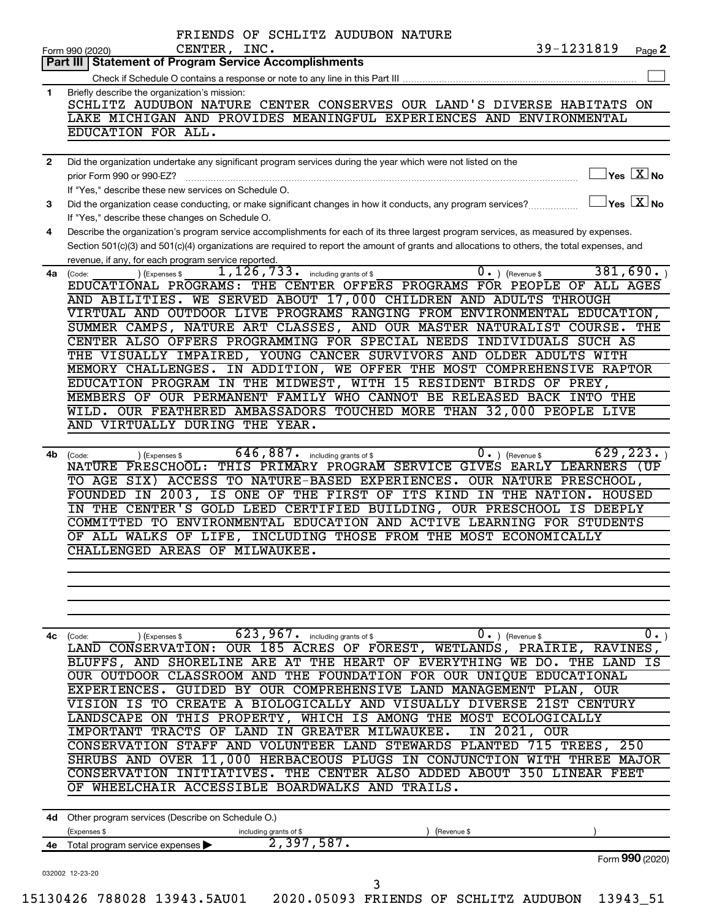|              | 39-1231819<br>CENTER, INC.<br>Page 2<br>Form 990 (2020)                                                                                                                                         |
|--------------|-------------------------------------------------------------------------------------------------------------------------------------------------------------------------------------------------|
|              | <b>Statement of Program Service Accomplishments</b><br>Part III I                                                                                                                               |
|              |                                                                                                                                                                                                 |
| 1            | Briefly describe the organization's mission:<br>SCHLITZ AUDUBON NATURE CENTER CONSERVES OUR LAND'S DIVERSE HABITATS ON                                                                          |
|              | LAKE MICHIGAN AND PROVIDES MEANINGFUL EXPERIENCES AND ENVIRONMENTAL                                                                                                                             |
|              | EDUCATION FOR ALL.                                                                                                                                                                              |
|              |                                                                                                                                                                                                 |
| $\mathbf{2}$ | Did the organization undertake any significant program services during the year which were not listed on the                                                                                    |
|              | $]$ Yes $[\overline{\mathrm{X}}]$ No<br>prior Form 990 or 990-EZ?                                                                                                                               |
|              | If "Yes," describe these new services on Schedule O.                                                                                                                                            |
| 3            | $\Box$ Yes $[\overline{X}]$ No<br>Did the organization cease conducting, or make significant changes in how it conducts, any program services?                                                  |
|              | If "Yes," describe these changes on Schedule O.                                                                                                                                                 |
| 4            | Describe the organization's program service accomplishments for each of its three largest program services, as measured by expenses.                                                            |
|              | Section 501(c)(3) and 501(c)(4) organizations are required to report the amount of grants and allocations to others, the total expenses, and                                                    |
|              | revenue, if any, for each program service reported.                                                                                                                                             |
| 4a           | 381,690.<br>$1,126,733$ $\cdot$ including grants of \$<br>$\overline{0}$ . ) (Revenue \$<br>) (Expenses \$<br>(Code:<br>EDUCATIONAL PROGRAMS: THE CENTER OFFERS PROGRAMS FOR PEOPLE OF ALL AGES |
|              | AND ABILITIES. WE SERVED ABOUT 17,000 CHILDREN AND ADULTS THROUGH                                                                                                                               |
|              | VIRTUAL AND OUTDOOR LIVE PROGRAMS RANGING FROM ENVIRONMENTAL EDUCATION,                                                                                                                         |
|              | SUMMER CAMPS, NATURE ART CLASSES, AND OUR MASTER NATURALIST COURSE. THE                                                                                                                         |
|              | CENTER ALSO OFFERS PROGRAMMING FOR SPECIAL NEEDS INDIVIDUALS SUCH AS                                                                                                                            |
|              | THE VISUALLY IMPAIRED, YOUNG CANCER SURVIVORS AND OLDER ADULTS WITH                                                                                                                             |
|              | MEMORY CHALLENGES. IN ADDITION, WE OFFER THE MOST COMPREHENSIVE RAPTOR                                                                                                                          |
|              | EDUCATION PROGRAM IN THE MIDWEST, WITH 15 RESIDENT BIRDS OF PREY,                                                                                                                               |
|              | MEMBERS OF OUR PERMANENT FAMILY WHO CANNOT BE RELEASED BACK INTO THE                                                                                                                            |
|              | WILD. OUR FEATHERED AMBASSADORS TOUCHED MORE THAN 32,000 PEOPLE LIVE                                                                                                                            |
|              | AND VIRTUALLY DURING THE YEAR.                                                                                                                                                                  |
|              |                                                                                                                                                                                                 |
| 4b           | 629, 223.<br>$646, 887$ . including grants of \$<br>$0 \cdot$ ) (Revenue \$<br>(Expenses \$<br>(Code:                                                                                           |
|              | NATURE PRESCHOOL: THIS PRIMARY PROGRAM SERVICE GIVES EARLY LEARNERS (UP                                                                                                                         |
|              | TO AGE SIX) ACCESS TO NATURE-BASED EXPERIENCES. OUR NATURE PRESCHOOL,                                                                                                                           |
|              | FOUNDED IN 2003, IS ONE OF THE FIRST OF ITS KIND IN THE NATION. HOUSED                                                                                                                          |
|              | IN THE CENTER'S GOLD LEED CERTIFIED BUILDING, OUR PRESCHOOL IS DEEPLY                                                                                                                           |
|              | COMMITTED TO ENVIRONMENTAL EDUCATION AND ACTIVE LEARNING FOR STUDENTS                                                                                                                           |
|              | OF ALL WALKS OF LIFE, INCLUDING THOSE FROM THE MOST ECONOMICALLY<br>CHALLENGED AREAS OF MILWAUKEE.                                                                                              |
|              |                                                                                                                                                                                                 |
|              |                                                                                                                                                                                                 |
|              |                                                                                                                                                                                                 |
|              |                                                                                                                                                                                                 |
|              |                                                                                                                                                                                                 |
| 4с           | 623,967.<br>0.<br>Ο.<br>including grants of \$<br>) (Revenue \$<br>(Code:<br>(Expenses \$                                                                                                       |
|              | OUR 185 ACRES OF FOREST, WETLANDS, PRAIRIE, RAVINES,<br>LAND CONSERVATION:                                                                                                                      |
|              | BLUFFS, AND SHORELINE ARE AT THE HEART OF EVERYTHING WE DO. THE LAND<br>IS                                                                                                                      |
|              | OUR OUTDOOR CLASSROOM AND THE FOUNDATION FOR OUR UNIQUE EDUCATIONAL                                                                                                                             |
|              | EXPERIENCES.<br>GUIDED BY OUR COMPREHENSIVE LAND MANAGEMENT PLAN, OUR                                                                                                                           |
|              | VISION IS<br>TO<br>CREATE A BIOLOGICALLY AND VISUALLY<br>DIVERSE<br>21ST CENTURY                                                                                                                |
|              | ON THIS PROPERTY, WHICH IS AMONG THE MOST<br>LANDSCAPE<br>ECOLOGICALLY                                                                                                                          |
|              | IN 2021, OUR<br><b>IMPORTANT</b><br>TRACTS OF LAND IN GREATER MILWAUKEE.                                                                                                                        |
|              | CONSERVATION STAFF AND VOLUNTEER LAND STEWARDS PLANTED<br>715 TREES, 250                                                                                                                        |
|              | SHRUBS AND OVER 11,000 HERBACEOUS PLUGS IN CONJUNCTION WITH THREE MAJOR                                                                                                                         |
|              |                                                                                                                                                                                                 |
|              | THE CENTER ALSO ADDED ABOUT<br>350<br>CONSERVATION INITIATIVES.<br>LINEAR FEET                                                                                                                  |
|              | WHEELCHAIR ACCESSIBLE BOARDWALKS AND<br>TRAILS.                                                                                                                                                 |
|              |                                                                                                                                                                                                 |
|              | 4d Other program services (Describe on Schedule O.)                                                                                                                                             |
|              | (Expenses \$<br>(Revenue \$<br>including grants of \$                                                                                                                                           |
| 4е           | 2,397,587.<br>Total program service expenses                                                                                                                                                    |
|              | Form 990 (2020)<br>032002 12-23-20                                                                                                                                                              |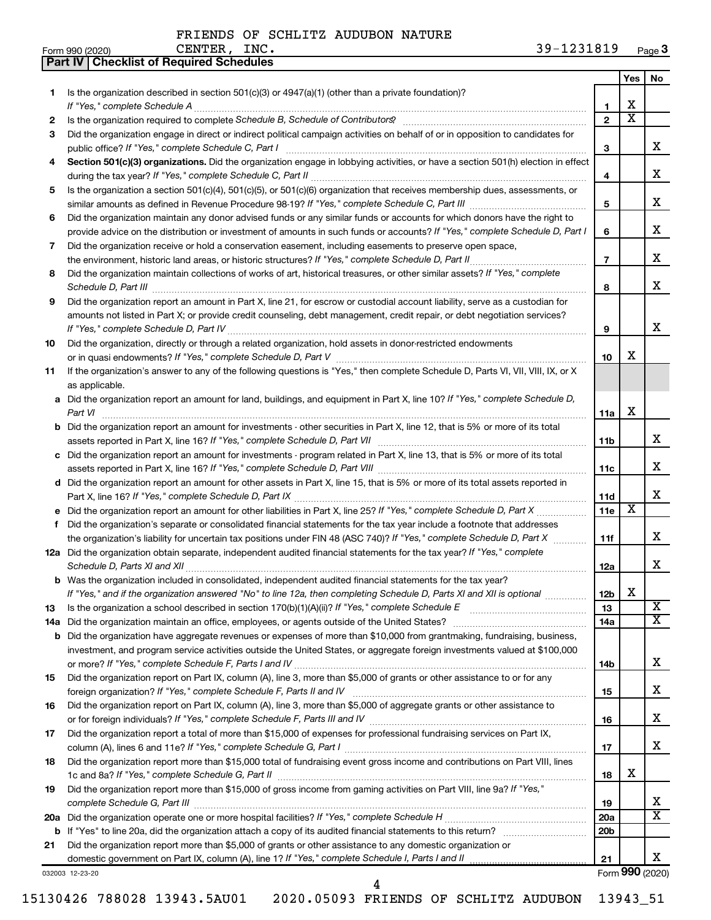**Part IV Checklist of Required Schedules**

|     |                                                                                                                                                                                                                                     |                 | Yes                     | No                      |
|-----|-------------------------------------------------------------------------------------------------------------------------------------------------------------------------------------------------------------------------------------|-----------------|-------------------------|-------------------------|
| 1   | Is the organization described in section $501(c)(3)$ or $4947(a)(1)$ (other than a private foundation)?                                                                                                                             |                 |                         |                         |
|     | If "Yes," complete Schedule A                                                                                                                                                                                                       | 1               | x                       |                         |
| 2   |                                                                                                                                                                                                                                     | $\overline{2}$  | $\overline{\texttt{x}}$ |                         |
| З   | Did the organization engage in direct or indirect political campaign activities on behalf of or in opposition to candidates for                                                                                                     |                 |                         |                         |
|     | public office? If "Yes," complete Schedule C, Part I                                                                                                                                                                                | 3               |                         | x                       |
| 4   | Section 501(c)(3) organizations. Did the organization engage in lobbying activities, or have a section 501(h) election in effect                                                                                                    |                 |                         | x                       |
|     |                                                                                                                                                                                                                                     | 4               |                         |                         |
| 5   | Is the organization a section 501(c)(4), 501(c)(5), or 501(c)(6) organization that receives membership dues, assessments, or                                                                                                        | 5               |                         | x                       |
| 6   | Did the organization maintain any donor advised funds or any similar funds or accounts for which donors have the right to                                                                                                           |                 |                         |                         |
|     | provide advice on the distribution or investment of amounts in such funds or accounts? If "Yes," complete Schedule D, Part I                                                                                                        | 6               |                         | x                       |
| 7   | Did the organization receive or hold a conservation easement, including easements to preserve open space,                                                                                                                           |                 |                         |                         |
|     | the environment, historic land areas, or historic structures? If "Yes," complete Schedule D, Part II                                                                                                                                | $\overline{7}$  |                         | x                       |
| 8   | Did the organization maintain collections of works of art, historical treasures, or other similar assets? If "Yes," complete                                                                                                        |                 |                         |                         |
|     | Schedule D, Part III <b>Process Construction Construction Construction</b> Construction Construction Construction Construction Construction Construction Construction Construction Construction Construction Construction Construct | 8               |                         | x                       |
| 9   | Did the organization report an amount in Part X, line 21, for escrow or custodial account liability, serve as a custodian for                                                                                                       |                 |                         |                         |
|     | amounts not listed in Part X; or provide credit counseling, debt management, credit repair, or debt negotiation services?                                                                                                           |                 |                         |                         |
|     |                                                                                                                                                                                                                                     | 9               |                         | x                       |
| 10  | Did the organization, directly or through a related organization, hold assets in donor-restricted endowments                                                                                                                        |                 |                         |                         |
|     |                                                                                                                                                                                                                                     | 10              | x                       |                         |
| 11  | If the organization's answer to any of the following questions is "Yes," then complete Schedule D, Parts VI, VII, VIII, IX, or X                                                                                                    |                 |                         |                         |
|     | as applicable.                                                                                                                                                                                                                      |                 |                         |                         |
|     | a Did the organization report an amount for land, buildings, and equipment in Part X, line 10? If "Yes," complete Schedule D,                                                                                                       |                 |                         |                         |
|     |                                                                                                                                                                                                                                     | 11a             | х                       |                         |
|     | <b>b</b> Did the organization report an amount for investments - other securities in Part X, line 12, that is 5% or more of its total                                                                                               |                 |                         | x                       |
|     |                                                                                                                                                                                                                                     | 11b             |                         |                         |
|     | c Did the organization report an amount for investments - program related in Part X, line 13, that is 5% or more of its total                                                                                                       |                 |                         | x                       |
|     | d Did the organization report an amount for other assets in Part X, line 15, that is 5% or more of its total assets reported in                                                                                                     | 11c             |                         |                         |
|     |                                                                                                                                                                                                                                     | 11d             |                         | x                       |
|     |                                                                                                                                                                                                                                     | 11e             | X                       |                         |
| f   | Did the organization's separate or consolidated financial statements for the tax year include a footnote that addresses                                                                                                             |                 |                         |                         |
|     | the organization's liability for uncertain tax positions under FIN 48 (ASC 740)? If "Yes," complete Schedule D, Part X                                                                                                              | 11f             |                         | х                       |
|     | 12a Did the organization obtain separate, independent audited financial statements for the tax year? If "Yes," complete                                                                                                             |                 |                         |                         |
|     | Schedule D, Parts XI and XII                                                                                                                                                                                                        | 12a             |                         | X.                      |
|     | <b>b</b> Was the organization included in consolidated, independent audited financial statements for the tax year?                                                                                                                  |                 |                         |                         |
|     | If "Yes," and if the organization answered "No" to line 12a, then completing Schedule D, Parts XI and XII is optional                                                                                                               | 12 <sub>b</sub> | х                       |                         |
| 13  |                                                                                                                                                                                                                                     | 13              |                         | $\overline{\texttt{x}}$ |
| 14a |                                                                                                                                                                                                                                     | 14a             |                         | х                       |
| b   | Did the organization have aggregate revenues or expenses of more than \$10,000 from grantmaking, fundraising, business,                                                                                                             |                 |                         |                         |
|     | investment, and program service activities outside the United States, or aggregate foreign investments valued at \$100,000                                                                                                          |                 |                         |                         |
|     |                                                                                                                                                                                                                                     | 14b             |                         | х                       |
| 15  | Did the organization report on Part IX, column (A), line 3, more than \$5,000 of grants or other assistance to or for any                                                                                                           |                 |                         | х                       |
|     | Did the organization report on Part IX, column (A), line 3, more than \$5,000 of aggregate grants or other assistance to                                                                                                            | 15              |                         |                         |
| 16  |                                                                                                                                                                                                                                     | 16              |                         | х                       |
| 17  | Did the organization report a total of more than \$15,000 of expenses for professional fundraising services on Part IX,                                                                                                             |                 |                         |                         |
|     |                                                                                                                                                                                                                                     | 17              |                         | х                       |
| 18  | Did the organization report more than \$15,000 total of fundraising event gross income and contributions on Part VIII, lines                                                                                                        |                 |                         |                         |
|     |                                                                                                                                                                                                                                     | 18              | x                       |                         |
| 19  | Did the organization report more than \$15,000 of gross income from gaming activities on Part VIII, line 9a? If "Yes,"                                                                                                              |                 |                         |                         |
|     |                                                                                                                                                                                                                                     | 19              |                         | x                       |
|     |                                                                                                                                                                                                                                     | 20a             |                         | X                       |
|     |                                                                                                                                                                                                                                     | 20b             |                         |                         |
| 21  | Did the organization report more than \$5,000 of grants or other assistance to any domestic organization or                                                                                                                         |                 |                         |                         |
|     |                                                                                                                                                                                                                                     | 21              |                         | x                       |
|     | 032003 12-23-20                                                                                                                                                                                                                     |                 |                         | Form 990 (2020)         |

Form 990 (2020) **990**

4

15130426 788028 13943.5AU01 2020.05093 FRIENDS OF SCHLITZ AUDUBON 13943\_51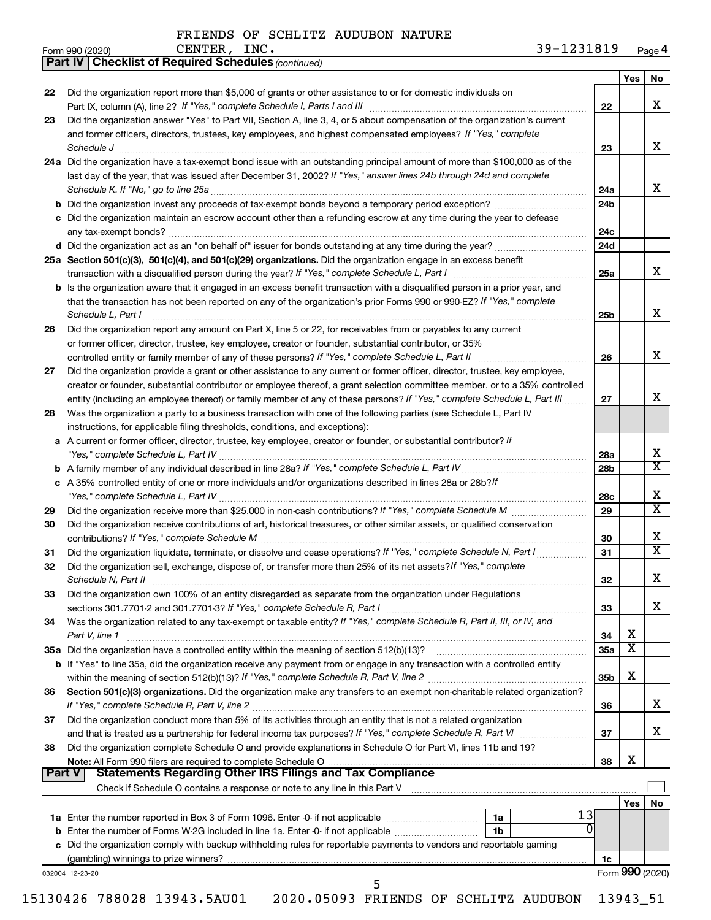*(continued)*

**Part IV Checklist of Required Schedules**

| Form 990 (2020) | INC.<br><b>CENTER</b> | 1231819<br>$39 -$ | Page 4 |
|-----------------|-----------------------|-------------------|--------|
|-----------------|-----------------------|-------------------|--------|

|    |                                                                                                                                                                                                                                                                                                                                                                                          |            | Yes | No |
|----|------------------------------------------------------------------------------------------------------------------------------------------------------------------------------------------------------------------------------------------------------------------------------------------------------------------------------------------------------------------------------------------|------------|-----|----|
| 22 | Did the organization report more than \$5,000 of grants or other assistance to or for domestic individuals on<br>Part IX, column (A), line 2? If "Yes," complete Schedule I, Parts I and III [11]] [11]] [11] [11] [11] [11] [1                                                                                                                                                          |            |     | х  |
| 23 | Did the organization answer "Yes" to Part VII, Section A, line 3, 4, or 5 about compensation of the organization's current                                                                                                                                                                                                                                                               | 22         |     |    |
|    | and former officers, directors, trustees, key employees, and highest compensated employees? If "Yes," complete                                                                                                                                                                                                                                                                           |            |     |    |
|    | $\textit{Schedule J} \textit{ \textbf{} \textbf{} \textbf{} \textbf{} \textbf{} \textbf{} \textbf{} \textbf{} \textbf{} \textbf{} \textbf{} \textbf{} \textbf{} \textbf{} \textbf{} \textbf{} \textbf{} \textbf{} \textbf{} \textbf{} \textbf{} \textbf{} \textbf{} \textbf{} \textbf{} \textbf{} \textbf{} \textbf{} \textbf{} \textbf{} \textbf{} \textbf{} \textbf{} \textbf{} \text$ | 23         |     | X  |
|    | 24a Did the organization have a tax-exempt bond issue with an outstanding principal amount of more than \$100,000 as of the                                                                                                                                                                                                                                                              |            |     |    |
|    | last day of the year, that was issued after December 31, 2002? If "Yes," answer lines 24b through 24d and complete                                                                                                                                                                                                                                                                       |            |     | x  |
|    |                                                                                                                                                                                                                                                                                                                                                                                          | 24a<br>24b |     |    |
|    | c Did the organization maintain an escrow account other than a refunding escrow at any time during the year to defease                                                                                                                                                                                                                                                                   |            |     |    |
|    |                                                                                                                                                                                                                                                                                                                                                                                          | 24c        |     |    |
|    |                                                                                                                                                                                                                                                                                                                                                                                          | 24d        |     |    |
|    | 25a Section 501(c)(3), 501(c)(4), and 501(c)(29) organizations. Did the organization engage in an excess benefit                                                                                                                                                                                                                                                                         |            |     | x  |
|    |                                                                                                                                                                                                                                                                                                                                                                                          | 25a        |     |    |
|    | <b>b</b> Is the organization aware that it engaged in an excess benefit transaction with a disqualified person in a prior year, and                                                                                                                                                                                                                                                      |            |     |    |
|    | that the transaction has not been reported on any of the organization's prior Forms 990 or 990-EZ? If "Yes," complete<br>Schedule L, Part I                                                                                                                                                                                                                                              | 25b        |     |    |
| 26 | Did the organization report any amount on Part X, line 5 or 22, for receivables from or payables to any current                                                                                                                                                                                                                                                                          |            |     |    |
|    | or former officer, director, trustee, key employee, creator or founder, substantial contributor, or 35%                                                                                                                                                                                                                                                                                  |            |     |    |
|    |                                                                                                                                                                                                                                                                                                                                                                                          | 26         |     |    |
| 27 | Did the organization provide a grant or other assistance to any current or former officer, director, trustee, key employee,                                                                                                                                                                                                                                                              |            |     |    |
|    | creator or founder, substantial contributor or employee thereof, a grant selection committee member, or to a 35% controlled<br>entity (including an employee thereof) or family member of any of these persons? If "Yes," complete Schedule L, Part III                                                                                                                                  | 27         |     |    |
| 28 | Was the organization a party to a business transaction with one of the following parties (see Schedule L, Part IV                                                                                                                                                                                                                                                                        |            |     |    |
|    | instructions, for applicable filing thresholds, conditions, and exceptions):                                                                                                                                                                                                                                                                                                             |            |     |    |
|    | a A current or former officer, director, trustee, key employee, creator or founder, or substantial contributor? If                                                                                                                                                                                                                                                                       |            |     |    |
|    |                                                                                                                                                                                                                                                                                                                                                                                          | 28a        |     |    |
|    |                                                                                                                                                                                                                                                                                                                                                                                          | 28b        |     |    |
|    | c A 35% controlled entity of one or more individuals and/or organizations described in lines 28a or 28b?/f                                                                                                                                                                                                                                                                               |            |     |    |
|    |                                                                                                                                                                                                                                                                                                                                                                                          | 28c        |     |    |
| 29 | Did the organization receive contributions of art, historical treasures, or other similar assets, or qualified conservation                                                                                                                                                                                                                                                              | 29         |     |    |
| 30 |                                                                                                                                                                                                                                                                                                                                                                                          | 30         |     |    |
| 31 | Did the organization liquidate, terminate, or dissolve and cease operations? If "Yes," complete Schedule N, Part I                                                                                                                                                                                                                                                                       | 31         |     |    |
| 32 | Did the organization sell, exchange, dispose of, or transfer more than 25% of its net assets? If "Yes," complete                                                                                                                                                                                                                                                                         | 32         |     |    |
| 33 | Did the organization own 100% of an entity disregarded as separate from the organization under Regulations                                                                                                                                                                                                                                                                               |            |     |    |
|    |                                                                                                                                                                                                                                                                                                                                                                                          | 33         |     |    |
| 34 | Was the organization related to any tax-exempt or taxable entity? If "Yes," complete Schedule R, Part II, III, or IV, and                                                                                                                                                                                                                                                                |            |     |    |
|    | Part V, line 1                                                                                                                                                                                                                                                                                                                                                                           | 34         | X   |    |
|    |                                                                                                                                                                                                                                                                                                                                                                                          | 35a        | X   |    |
|    | b If "Yes" to line 35a, did the organization receive any payment from or engage in any transaction with a controlled entity                                                                                                                                                                                                                                                              |            | X   |    |
|    |                                                                                                                                                                                                                                                                                                                                                                                          | 35b        |     |    |
| 36 | Section 501(c)(3) organizations. Did the organization make any transfers to an exempt non-charitable related organization?                                                                                                                                                                                                                                                               | 36         |     |    |
| 37 | Did the organization conduct more than 5% of its activities through an entity that is not a related organization                                                                                                                                                                                                                                                                         |            |     |    |
|    |                                                                                                                                                                                                                                                                                                                                                                                          | 37         |     |    |
| 38 | Did the organization complete Schedule O and provide explanations in Schedule O for Part VI, lines 11b and 19?                                                                                                                                                                                                                                                                           |            |     |    |
|    |                                                                                                                                                                                                                                                                                                                                                                                          | 38         | X   |    |
|    | Part V<br><b>Statements Regarding Other IRS Filings and Tax Compliance</b>                                                                                                                                                                                                                                                                                                               |            |     |    |
|    | Check if Schedule O contains a response or note to any line in this Part V [111] [12] contains according to contains a response or note to any line in this Part V                                                                                                                                                                                                                       |            | Yes |    |
|    | 13                                                                                                                                                                                                                                                                                                                                                                                       |            |     |    |
|    | 0<br>1 <sub>b</sub>                                                                                                                                                                                                                                                                                                                                                                      |            |     |    |
|    |                                                                                                                                                                                                                                                                                                                                                                                          |            |     |    |
|    |                                                                                                                                                                                                                                                                                                                                                                                          |            |     |    |
|    | c Did the organization comply with backup withholding rules for reportable payments to vendors and reportable gaming                                                                                                                                                                                                                                                                     | 1c         |     |    |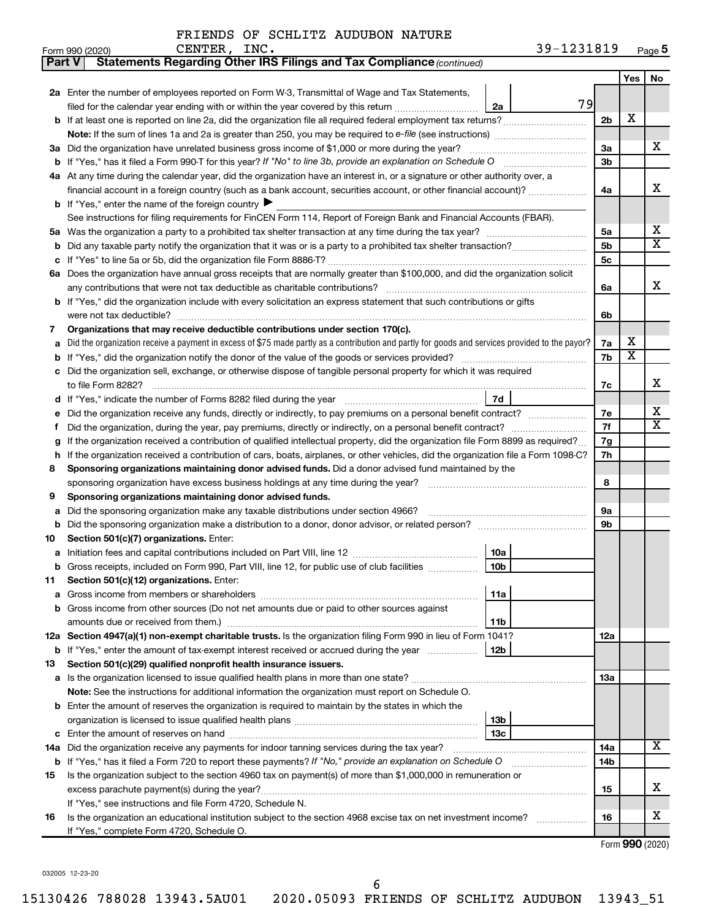CENTER, INC.

| Form 990 (2020) | INC.<br>CENTER | ີ 2 Q _<br>1231819<br>ر ر | Page 5 |
|-----------------|----------------|---------------------------|--------|
|-----------------|----------------|---------------------------|--------|

| ∣ Part V | Statements Regarding Other IRS Filings and Tax Compliance (continued)                                                                           |                |                         |    |
|----------|-------------------------------------------------------------------------------------------------------------------------------------------------|----------------|-------------------------|----|
|          |                                                                                                                                                 |                | Yes                     | No |
|          | 2a Enter the number of employees reported on Form W-3, Transmittal of Wage and Tax Statements,                                                  |                |                         |    |
|          | 79<br>filed for the calendar year ending with or within the year covered by this return<br>2a                                                   |                |                         |    |
| b        |                                                                                                                                                 | 2 <sub>b</sub> | X                       |    |
|          |                                                                                                                                                 |                |                         |    |
| За       | Did the organization have unrelated business gross income of \$1,000 or more during the year?                                                   | 3a             |                         | х  |
|          |                                                                                                                                                 | 3b             |                         |    |
|          | 4a At any time during the calendar year, did the organization have an interest in, or a signature or other authority over, a                    |                |                         |    |
|          | financial account in a foreign country (such as a bank account, securities account, or other financial account)?                                | 4a             |                         | x  |
|          | <b>b</b> If "Yes," enter the name of the foreign country $\blacktriangleright$                                                                  |                |                         |    |
|          | See instructions for filing requirements for FinCEN Form 114, Report of Foreign Bank and Financial Accounts (FBAR).                             |                |                         |    |
| 5а       |                                                                                                                                                 | 5a             |                         | х  |
| b        |                                                                                                                                                 | 5b             |                         | X  |
| c        |                                                                                                                                                 | 5с             |                         |    |
| 6а       | Does the organization have annual gross receipts that are normally greater than \$100,000, and did the organization solicit                     |                |                         |    |
|          |                                                                                                                                                 | 6a             |                         | x  |
| b        | If "Yes," did the organization include with every solicitation an express statement that such contributions or gifts                            |                |                         |    |
|          |                                                                                                                                                 | 6b             |                         |    |
| 7        | Organizations that may receive deductible contributions under section 170(c).                                                                   |                |                         |    |
| a        | Did the organization receive a payment in excess of \$75 made partly as a contribution and partly for goods and services provided to the payor? | 7a             | х                       |    |
| b        |                                                                                                                                                 | 7b             | $\overline{\mathbf{X}}$ |    |
|          | Did the organization sell, exchange, or otherwise dispose of tangible personal property for which it was required                               |                |                         |    |
|          |                                                                                                                                                 | 7c             |                         | x  |
| d        | 7d                                                                                                                                              |                |                         |    |
|          | Did the organization receive any funds, directly or indirectly, to pay premiums on a personal benefit contract?                                 | 7e             |                         | х  |
| f        |                                                                                                                                                 | 7f             |                         | х  |
| g        | If the organization received a contribution of qualified intellectual property, did the organization file Form 8899 as required?                | 7g             |                         |    |
| h        | If the organization received a contribution of cars, boats, airplanes, or other vehicles, did the organization file a Form 1098-C?              | 7h             |                         |    |
| 8        | Sponsoring organizations maintaining donor advised funds. Did a donor advised fund maintained by the                                            |                |                         |    |
|          | sponsoring organization have excess business holdings at any time during the year?                                                              | 8              |                         |    |
| 9        | Sponsoring organizations maintaining donor advised funds.                                                                                       |                |                         |    |
| а        | Did the sponsoring organization make any taxable distributions under section 4966?                                                              | 9а             |                         |    |
| b        |                                                                                                                                                 | 9b             |                         |    |
| 10       | Section 501(c)(7) organizations. Enter:                                                                                                         |                |                         |    |
|          | 10a<br>10 <sub>b</sub><br>Gross receipts, included on Form 990, Part VIII, line 12, for public use of club facilities                           |                |                         |    |
|          | Section 501(c)(12) organizations. Enter:                                                                                                        |                |                         |    |
| 11       | 11a                                                                                                                                             |                |                         |    |
|          | Gross income from other sources (Do not net amounts due or paid to other sources against                                                        |                |                         |    |
|          | amounts due or received from them.)<br>11b                                                                                                      |                |                         |    |
|          | 12a Section 4947(a)(1) non-exempt charitable trusts. Is the organization filing Form 990 in lieu of Form 1041?                                  | 12a            |                         |    |
|          | 12b<br><b>b</b> If "Yes," enter the amount of tax-exempt interest received or accrued during the year                                           |                |                         |    |
| 13       | Section 501(c)(29) qualified nonprofit health insurance issuers.                                                                                |                |                         |    |
| а        | Is the organization licensed to issue qualified health plans in more than one state?                                                            | <b>13a</b>     |                         |    |
|          | Note: See the instructions for additional information the organization must report on Schedule O.                                               |                |                         |    |
| b        | Enter the amount of reserves the organization is required to maintain by the states in which the                                                |                |                         |    |
|          | 13b                                                                                                                                             |                |                         |    |
| с        | 13c                                                                                                                                             |                |                         |    |
| 14a      | Did the organization receive any payments for indoor tanning services during the tax year?                                                      | 14a            |                         | x  |
|          | <b>b</b> If "Yes," has it filed a Form 720 to report these payments? If "No," provide an explanation on Schedule O                              | 14b            |                         |    |
| 15       | Is the organization subject to the section 4960 tax on payment(s) of more than \$1,000,000 in remuneration or                                   |                |                         |    |
|          |                                                                                                                                                 | 15             |                         | x. |
|          | If "Yes," see instructions and file Form 4720, Schedule N.                                                                                      |                |                         |    |
| 16       | Is the organization an educational institution subject to the section 4968 excise tax on net investment income?                                 | 16             |                         | х  |
|          | If "Yes," complete Form 4720, Schedule O.                                                                                                       |                |                         |    |

Form (2020) **990**

032005 12-23-20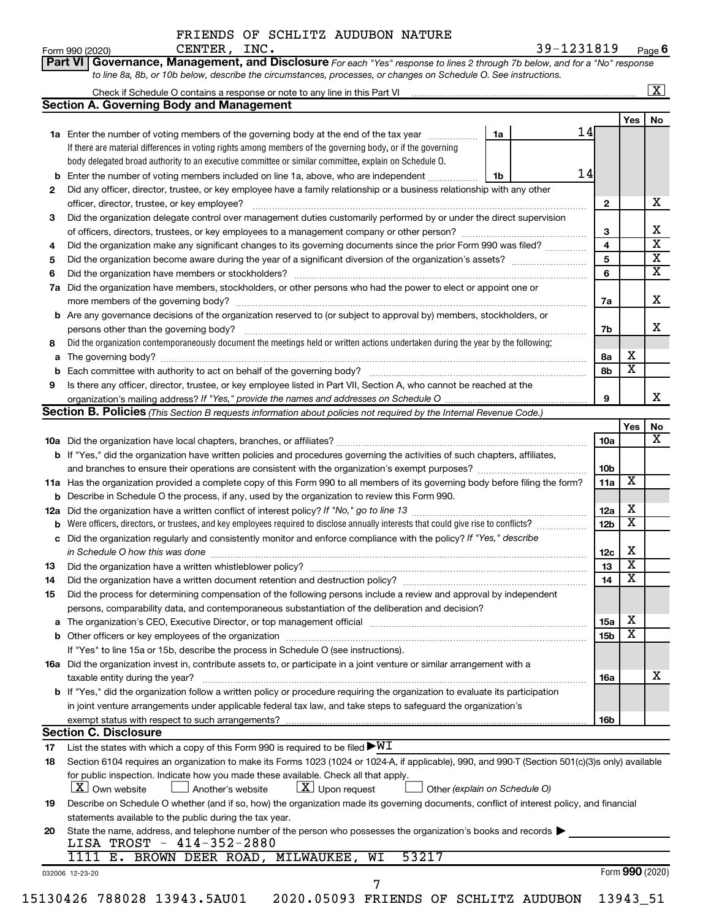|              |  | FRIENDS OF SCHLITZ AUDUBON NATURE |  |
|--------------|--|-----------------------------------|--|
| CENTER, INC. |  |                                   |  |

**Part VI** Governance, Management, and Disclosure For each "Yes" response to lines 2 through 7b below, and for a "No" response

Form 990 (2020) Page **6**

|          |                                                                                                                                                                                                                                |                               |                 |                         | $\overline{\mathbf{x}}$ |
|----------|--------------------------------------------------------------------------------------------------------------------------------------------------------------------------------------------------------------------------------|-------------------------------|-----------------|-------------------------|-------------------------|
|          | <b>Section A. Governing Body and Management</b>                                                                                                                                                                                |                               |                 |                         |                         |
|          |                                                                                                                                                                                                                                |                               |                 | Yes                     | No                      |
|          | 1a Enter the number of voting members of the governing body at the end of the tax year                                                                                                                                         | 1a                            | 14              |                         |                         |
|          | If there are material differences in voting rights among members of the governing body, or if the governing                                                                                                                    |                               |                 |                         |                         |
|          | body delegated broad authority to an executive committee or similar committee, explain on Schedule O.                                                                                                                          |                               |                 |                         |                         |
|          | <b>b</b> Enter the number of voting members included on line 1a, above, who are independent                                                                                                                                    | 1b                            | 14              |                         |                         |
| 2        | Did any officer, director, trustee, or key employee have a family relationship or a business relationship with any other                                                                                                       |                               |                 |                         |                         |
|          |                                                                                                                                                                                                                                |                               | $\mathbf{2}$    |                         | x                       |
| 3        | Did the organization delegate control over management duties customarily performed by or under the direct supervision                                                                                                          |                               |                 |                         |                         |
|          |                                                                                                                                                                                                                                |                               | 3               |                         | X                       |
| 4        | Did the organization make any significant changes to its governing documents since the prior Form 990 was filed?                                                                                                               |                               | 4               |                         | $\overline{\mathbf{x}}$ |
| 5        |                                                                                                                                                                                                                                |                               | 5               |                         | $\overline{\mathbf{X}}$ |
| 6        |                                                                                                                                                                                                                                |                               | 6               |                         | $\overline{\mathbf{x}}$ |
|          | 7a Did the organization have members, stockholders, or other persons who had the power to elect or appoint one or                                                                                                              |                               |                 |                         |                         |
|          |                                                                                                                                                                                                                                |                               | 7a              |                         | X                       |
|          | <b>b</b> Are any governance decisions of the organization reserved to (or subject to approval by) members, stockholders, or                                                                                                    |                               |                 |                         |                         |
|          | persons other than the governing body?                                                                                                                                                                                         |                               | 7b              |                         | x                       |
| 8        | Did the organization contemporaneously document the meetings held or written actions undertaken during the year by the following:                                                                                              |                               |                 |                         |                         |
|          |                                                                                                                                                                                                                                |                               | 8a              | х                       |                         |
|          |                                                                                                                                                                                                                                |                               | 8b              | $\overline{\mathtt{x}}$ |                         |
| 9        | Is there any officer, director, trustee, or key employee listed in Part VII, Section A, who cannot be reached at the                                                                                                           |                               |                 |                         |                         |
|          |                                                                                                                                                                                                                                |                               | 9               |                         | x                       |
|          | Section B. Policies (This Section B requests information about policies not required by the Internal Revenue Code.)                                                                                                            |                               |                 |                         |                         |
|          |                                                                                                                                                                                                                                |                               |                 | Yes                     | No                      |
|          |                                                                                                                                                                                                                                |                               | 10a             |                         | х                       |
|          | <b>b</b> If "Yes," did the organization have written policies and procedures governing the activities of such chapters, affiliates,                                                                                            |                               |                 |                         |                         |
|          |                                                                                                                                                                                                                                |                               | 10 <sub>b</sub> |                         |                         |
|          | 11a Has the organization provided a complete copy of this Form 990 to all members of its governing body before filing the form?                                                                                                |                               | 11a             | $\overline{\mathbf{X}}$ |                         |
|          | <b>b</b> Describe in Schedule O the process, if any, used by the organization to review this Form 990.                                                                                                                         |                               |                 |                         |                         |
|          |                                                                                                                                                                                                                                |                               | 12a             | х                       |                         |
|          |                                                                                                                                                                                                                                |                               | 12 <sub>b</sub> | $\overline{\text{x}}$   |                         |
|          | c Did the organization regularly and consistently monitor and enforce compliance with the policy? If "Yes," describe                                                                                                           |                               |                 |                         |                         |
|          | in Schedule O how this was done manufactured and continuum and contact the way to the set of the set of the schedule O how this was done                                                                                       |                               | 12c             | х                       |                         |
| 13       | Did the organization have a written whistleblower policy? [11] matter content to the organization have a written whistleblower policy? [11] matter content content content of the organization have a written which was a cont |                               | 13              | $\overline{\textbf{x}}$ |                         |
| 14       | Did the organization have a written document retention and destruction policy? [11] manufaction manufaction in                                                                                                                 |                               | 14              | $\overline{\textbf{x}}$ |                         |
| 15       | Did the process for determining compensation of the following persons include a review and approval by independent                                                                                                             |                               |                 |                         |                         |
|          | persons, comparability data, and contemporaneous substantiation of the deliberation and decision?                                                                                                                              |                               |                 |                         |                         |
|          |                                                                                                                                                                                                                                |                               | 15a             | х                       |                         |
|          |                                                                                                                                                                                                                                |                               | 15b             | $\overline{\text{x}}$   |                         |
|          | If "Yes" to line 15a or 15b, describe the process in Schedule O (see instructions).                                                                                                                                            |                               |                 |                         |                         |
|          | 16a Did the organization invest in, contribute assets to, or participate in a joint venture or similar arrangement with a                                                                                                      |                               |                 |                         |                         |
|          | taxable entity during the year?                                                                                                                                                                                                |                               | 16a             |                         | x.                      |
|          | b If "Yes," did the organization follow a written policy or procedure requiring the organization to evaluate its participation                                                                                                 |                               |                 |                         |                         |
|          | in joint venture arrangements under applicable federal tax law, and take steps to safeguard the organization's                                                                                                                 |                               |                 |                         |                         |
|          | exempt status with respect to such arrangements?                                                                                                                                                                               |                               | 16b             |                         |                         |
|          | <b>Section C. Disclosure</b>                                                                                                                                                                                                   |                               |                 |                         |                         |
|          | List the states with which a copy of this Form 990 is required to be filed $\blacktriangleright\texttt{WI}$                                                                                                                    |                               |                 |                         |                         |
| 17<br>18 | Section 6104 requires an organization to make its Forms 1023 (1024 or 1024-A, if applicable), 990, and 990-T (Section 501(c)(3)s only) available                                                                               |                               |                 |                         |                         |
|          | for public inspection. Indicate how you made these available. Check all that apply.                                                                                                                                            |                               |                 |                         |                         |
|          | $\lfloor x \rfloor$ Upon request<br>  X   Own website<br>Another's website                                                                                                                                                     | Other (explain on Schedule O) |                 |                         |                         |
|          |                                                                                                                                                                                                                                |                               |                 |                         |                         |
| 19       | Describe on Schedule O whether (and if so, how) the organization made its governing documents, conflict of interest policy, and financial                                                                                      |                               |                 |                         |                         |
|          | statements available to the public during the tax year.                                                                                                                                                                        |                               |                 |                         |                         |
| 20       | State the name, address, and telephone number of the person who possesses the organization's books and records<br>LISA TROST - 414-352-2880                                                                                    |                               |                 |                         |                         |
|          | 1111 E. BROWN DEER ROAD, MILWAUKEE, WI<br>53217                                                                                                                                                                                |                               |                 |                         |                         |
|          |                                                                                                                                                                                                                                |                               |                 |                         |                         |
|          | 032006 12-23-20<br>7                                                                                                                                                                                                           |                               |                 | Form 990 (2020)         |                         |
|          |                                                                                                                                                                                                                                |                               |                 | 13943_51                |                         |
|          | 15130426 788028 13943.5AU01<br>2020.05093 FRIENDS OF SCHLITZ AUDUBON                                                                                                                                                           |                               |                 |                         |                         |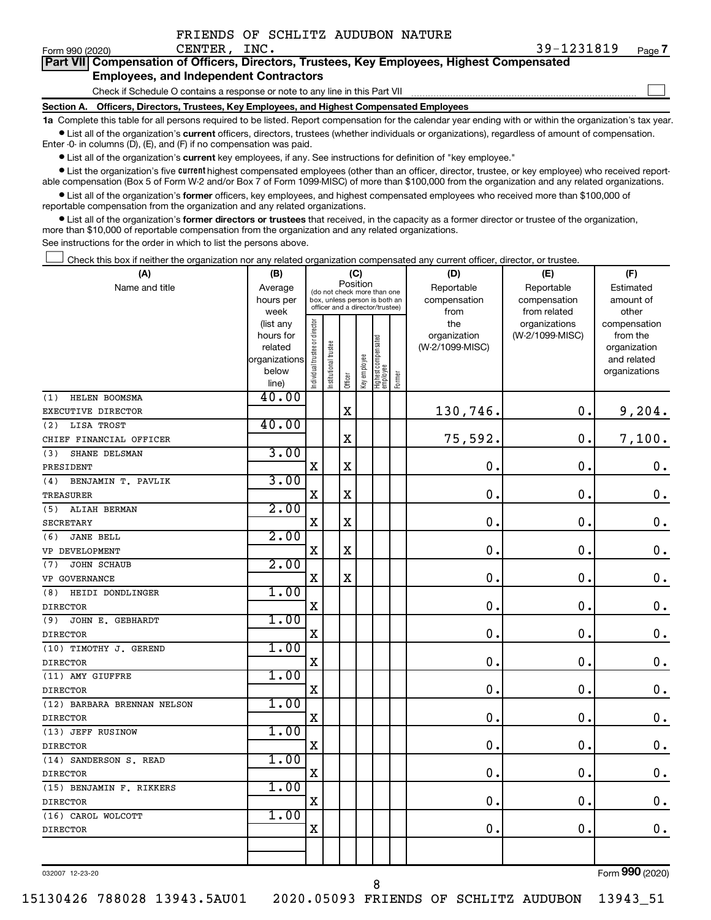|  | FRIENDS OF SCHLITZ AUDUBON NATURE |  |
|--|-----------------------------------|--|
|  |                                   |  |

 $\Box$ 

| Part VII Compensation of Officers, Directors, Trustees, Key Employees, Highest Compensated |
|--------------------------------------------------------------------------------------------|
| <b>Employees, and Independent Contractors</b>                                              |

Check if Schedule O contains a response or note to any line in this Part VII

**Section A. Officers, Directors, Trustees, Key Employees, and Highest Compensated Employees**

**1a**  Complete this table for all persons required to be listed. Report compensation for the calendar year ending with or within the organization's tax year.  $\bullet$  List all of the organization's current officers, directors, trustees (whether individuals or organizations), regardless of amount of compensation.

Enter -0- in columns (D), (E), and (F) if no compensation was paid.

**•** List all of the organization's current key employees, if any. See instructions for definition of "key employee."

• List the organization's five *current* highest compensated employees (other than an officer, director, trustee, or key employee) who received reportable compensation (Box 5 of Form W-2 and/or Box 7 of Form 1099-MISC) of more than \$100,000 from the organization and any related organizations.

 $\bullet$  List all of the organization's former officers, key employees, and highest compensated employees who received more than \$100,000 of reportable compensation from the organization and any related organizations.

**•** List all of the organization's former directors or trustees that received, in the capacity as a former director or trustee of the organization, more than \$10,000 of reportable compensation from the organization and any related organizations.

See instructions for the order in which to list the persons above.

Check this box if neither the organization nor any related organization compensated any current officer, director, or trustee.  $\Box$ 

| (A)                         | (B)                       |                                |                                 |             | (C)          |                                 |        | (D)             | (E)             | (F)                         |
|-----------------------------|---------------------------|--------------------------------|---------------------------------|-------------|--------------|---------------------------------|--------|-----------------|-----------------|-----------------------------|
| Name and title              | Average                   |                                | (do not check more than one     | Position    |              |                                 |        | Reportable      | Reportable      | Estimated                   |
|                             | hours per                 |                                | box, unless person is both an   |             |              |                                 |        | compensation    | compensation    | amount of                   |
|                             | week                      |                                | officer and a director/trustee) |             |              |                                 |        | from            | from related    | other                       |
|                             | (list any                 |                                |                                 |             |              |                                 |        | the             | organizations   | compensation                |
|                             | hours for                 |                                |                                 |             |              |                                 |        | organization    | (W-2/1099-MISC) | from the                    |
|                             | related<br> organizations |                                |                                 |             |              |                                 |        | (W-2/1099-MISC) |                 | organization<br>and related |
|                             | below                     |                                |                                 |             |              |                                 |        |                 |                 | organizations               |
|                             | line)                     | Individual trustee or director | Institutional trustee           | Officer     | Key employee | Highest compensated<br>employee | Former |                 |                 |                             |
| (1)<br>HELEN BOOMSMA        | 40.00                     |                                |                                 |             |              |                                 |        |                 |                 |                             |
| EXECUTIVE DIRECTOR          |                           |                                |                                 | $\mathbf X$ |              |                                 |        | 130,746.        | 0.              | 9,204.                      |
| (2)<br>LISA TROST           | 40.00                     |                                |                                 |             |              |                                 |        |                 |                 |                             |
| CHIEF FINANCIAL OFFICER     |                           |                                |                                 | $\mathbf X$ |              |                                 |        | 75,592.         | $\mathbf 0$     | 7,100.                      |
| SHANE DELSMAN<br>(3)        | 3.00                      |                                |                                 |             |              |                                 |        |                 |                 |                             |
| PRESIDENT                   |                           | $\mathbf X$                    |                                 | $\mathbf X$ |              |                                 |        | 0.              | $\mathbf 0$     | $\mathbf 0$ .               |
| BENJAMIN T. PAVLIK<br>(4)   | 3.00                      |                                |                                 |             |              |                                 |        |                 |                 |                             |
| <b>TREASURER</b>            |                           | $\mathbf X$                    |                                 | $\mathbf X$ |              |                                 |        | $\mathbf 0$ .   | $\mathbf 0$     | $\mathbf 0$ .               |
| (5)<br>ALIAH BERMAN         | 2.00                      |                                |                                 |             |              |                                 |        |                 |                 |                             |
| <b>SECRETARY</b>            |                           | X                              |                                 | $\mathbf X$ |              |                                 |        | $\mathbf 0$ .   | 0               | $\mathbf 0$ .               |
| <b>JANE BELL</b><br>(6)     | 2.00                      |                                |                                 |             |              |                                 |        |                 |                 |                             |
| VP DEVELOPMENT              |                           | $\mathbf X$                    |                                 | $\mathbf X$ |              |                                 |        | $\mathbf 0$     | $\mathbf 0$     | $\mathbf 0$ .               |
| JOHN SCHAUB<br>(7)          | 2.00                      |                                |                                 |             |              |                                 |        |                 |                 |                             |
| VP GOVERNANCE               |                           | $\mathbf X$                    |                                 | $\mathbf X$ |              |                                 |        | $\mathbf 0$ .   | $\mathbf 0$     | $\mathbf 0$ .               |
| HEIDI DONDLINGER<br>(8)     | 1.00                      |                                |                                 |             |              |                                 |        |                 |                 |                             |
| <b>DIRECTOR</b>             |                           | $\mathbf X$                    |                                 |             |              |                                 |        | 0.              | $\mathbf 0$     | $\mathbf 0$ .               |
| JOHN E. GEBHARDT<br>(9)     | 1.00                      |                                |                                 |             |              |                                 |        |                 |                 |                             |
| <b>DIRECTOR</b>             |                           | X                              |                                 |             |              |                                 |        | 0.              | $\mathbf 0$     | $\mathbf 0$ .               |
| (10) TIMOTHY J. GEREND      | 1.00                      |                                |                                 |             |              |                                 |        |                 |                 |                             |
| <b>DIRECTOR</b>             |                           | X                              |                                 |             |              |                                 |        | $\mathbf 0$     | $\mathbf 0$     | $\mathbf 0$ .               |
| (11) AMY GIUFFRE            | 1.00                      |                                |                                 |             |              |                                 |        |                 |                 |                             |
| <b>DIRECTOR</b>             |                           | X                              |                                 |             |              |                                 |        | $\mathbf 0$     | $\mathbf 0$     | $\mathbf 0$ .               |
| (12) BARBARA BRENNAN NELSON | 1.00                      |                                |                                 |             |              |                                 |        |                 |                 |                             |
| <b>DIRECTOR</b>             |                           | X                              |                                 |             |              |                                 |        | $\mathbf 0$ .   | $\mathbf 0$     | $\mathbf 0$ .               |
| (13) JEFF RUSINOW           | 1.00                      |                                |                                 |             |              |                                 |        |                 |                 |                             |
| <b>DIRECTOR</b>             |                           | X                              |                                 |             |              |                                 |        | $\mathbf 0$     | $\mathbf 0$     | $\mathbf 0$ .               |
| (14) SANDERSON S. READ      | 1.00                      |                                |                                 |             |              |                                 |        |                 |                 |                             |
| <b>DIRECTOR</b>             |                           | X                              |                                 |             |              |                                 |        | $\mathbf 0$     | $\mathbf 0$     | $\mathbf 0$ .               |
| (15) BENJAMIN F. RIKKERS    | 1.00                      |                                |                                 |             |              |                                 |        |                 |                 |                             |
| <b>DIRECTOR</b>             |                           | X                              |                                 |             |              |                                 |        | $\mathbf 0$ .   | $\mathbf 0$     | 0.                          |
| (16) CAROL WOLCOTT          | 1.00                      |                                |                                 |             |              |                                 |        |                 |                 |                             |
| <b>DIRECTOR</b>             |                           | X                              |                                 |             |              |                                 |        | 0.              | $\mathbf 0$ .   | $\mathbf 0$ .               |
|                             |                           |                                |                                 |             |              |                                 |        |                 |                 |                             |
|                             |                           |                                |                                 |             |              |                                 |        |                 |                 |                             |

032007 12-23-20

Form (2020) **990**

8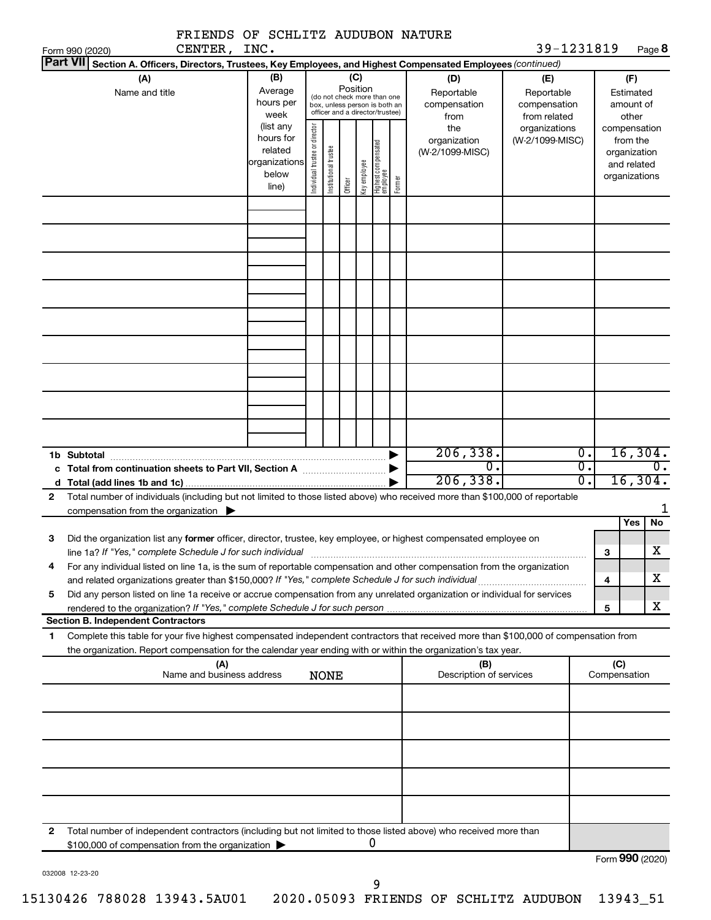|              |                                                                                                                                                                                                                                                        | FRIENDS OF SCHLITZ AUDUBON NATURE |                                                         |                                |                                                                                                 |         |                 |                                 |        |                                                                                                        |                                                                    |                              |                     |                                                          |
|--------------|--------------------------------------------------------------------------------------------------------------------------------------------------------------------------------------------------------------------------------------------------------|-----------------------------------|---------------------------------------------------------|--------------------------------|-------------------------------------------------------------------------------------------------|---------|-----------------|---------------------------------|--------|--------------------------------------------------------------------------------------------------------|--------------------------------------------------------------------|------------------------------|---------------------|----------------------------------------------------------|
|              | Form 990 (2020)                                                                                                                                                                                                                                        | CENTER, INC.                      |                                                         |                                |                                                                                                 |         |                 |                                 |        |                                                                                                        | 39-1231819                                                         |                              |                     | Page 8                                                   |
|              | <b>Part VII</b>                                                                                                                                                                                                                                        |                                   |                                                         |                                |                                                                                                 |         |                 |                                 |        | Section A. Officers, Directors, Trustees, Key Employees, and Highest Compensated Employees (continued) |                                                                    |                              |                     |                                                          |
|              | (A)<br>Name and title                                                                                                                                                                                                                                  |                                   | (B)<br>Average<br>hours per<br>week<br>(list any        |                                | (do not check more than one<br>box, unless person is both an<br>officer and a director/trustee) |         | (C)<br>Position |                                 |        | (D)<br>Reportable<br>compensation<br>from<br>the                                                       | (E)<br>Reportable<br>compensation<br>from related<br>organizations |                              |                     | (F)<br>Estimated<br>amount of<br>other<br>compensation   |
|              |                                                                                                                                                                                                                                                        |                                   | hours for<br>related<br>organizations<br>below<br>line) | Individual trustee or director | Institutional trustee                                                                           | Officer | Key employee    | Highest compensated<br>employee | Former | organization<br>(W-2/1099-MISC)                                                                        | (W-2/1099-MISC)                                                    |                              |                     | from the<br>organization<br>and related<br>organizations |
|              |                                                                                                                                                                                                                                                        |                                   |                                                         |                                |                                                                                                 |         |                 |                                 |        |                                                                                                        |                                                                    |                              |                     |                                                          |
|              |                                                                                                                                                                                                                                                        |                                   |                                                         |                                |                                                                                                 |         |                 |                                 |        |                                                                                                        |                                                                    |                              |                     |                                                          |
|              |                                                                                                                                                                                                                                                        |                                   |                                                         |                                |                                                                                                 |         |                 |                                 |        |                                                                                                        |                                                                    |                              |                     |                                                          |
|              |                                                                                                                                                                                                                                                        |                                   |                                                         |                                |                                                                                                 |         |                 |                                 |        |                                                                                                        |                                                                    |                              |                     |                                                          |
|              | 1b Subtotal<br>c Total from continuation sheets to Part VII, Section A manuscreen continuum                                                                                                                                                            |                                   |                                                         |                                |                                                                                                 |         |                 |                                 |        | 206, 338.<br>$\overline{0}$<br>206, 338.                                                               |                                                                    | 0.<br>$\overline{0}$ .<br>σ. |                     | 16,304.<br>0.<br>16, 304.                                |
| $\mathbf{2}$ | Total number of individuals (including but not limited to those listed above) who received more than \$100,000 of reportable<br>compensation from the organization $\blacktriangleright$                                                               |                                   |                                                         |                                |                                                                                                 |         |                 |                                 |        |                                                                                                        |                                                                    |                              |                     |                                                          |
| З            | Did the organization list any former officer, director, trustee, key employee, or highest compensated employee on<br>line 1a? If "Yes," complete Schedule J for such individual                                                                        |                                   |                                                         |                                |                                                                                                 |         |                 |                                 |        |                                                                                                        |                                                                    |                              | з                   | No<br>Yes<br>$\overline{\textbf{X}}$                     |
| 4            | For any individual listed on line 1a, is the sum of reportable compensation and other compensation from the organization                                                                                                                               |                                   |                                                         |                                |                                                                                                 |         |                 |                                 |        |                                                                                                        |                                                                    |                              | 4                   | х                                                        |
| 5            | Did any person listed on line 1a receive or accrue compensation from any unrelated organization or individual for services<br>rendered to the organization? If "Yes," complete Schedule J for such person<br><b>Section B. Independent Contractors</b> |                                   |                                                         |                                |                                                                                                 |         |                 |                                 |        |                                                                                                        |                                                                    |                              | 5                   | х                                                        |
| 1            | Complete this table for your five highest compensated independent contractors that received more than \$100,000 of compensation from<br>the organization. Report compensation for the calendar year ending with or within the organization's tax year. |                                   |                                                         |                                |                                                                                                 |         |                 |                                 |        |                                                                                                        |                                                                    |                              |                     |                                                          |
|              |                                                                                                                                                                                                                                                        | (A)<br>Name and business address  |                                                         |                                | <b>NONE</b>                                                                                     |         |                 |                                 |        | (B)<br>Description of services                                                                         |                                                                    |                              | (C)<br>Compensation |                                                          |
|              |                                                                                                                                                                                                                                                        |                                   |                                                         |                                |                                                                                                 |         |                 |                                 |        |                                                                                                        |                                                                    |                              |                     |                                                          |
|              |                                                                                                                                                                                                                                                        |                                   |                                                         |                                |                                                                                                 |         |                 |                                 |        |                                                                                                        |                                                                    |                              |                     |                                                          |
|              |                                                                                                                                                                                                                                                        |                                   |                                                         |                                |                                                                                                 |         |                 |                                 |        |                                                                                                        |                                                                    |                              |                     |                                                          |
| 2            | Total number of independent contractors (including but not limited to those listed above) who received more than<br>\$100,000 of compensation from the organization                                                                                    |                                   |                                                         |                                |                                                                                                 |         |                 | 0                               |        |                                                                                                        |                                                                    |                              |                     |                                                          |
|              |                                                                                                                                                                                                                                                        |                                   |                                                         |                                |                                                                                                 |         |                 |                                 |        |                                                                                                        |                                                                    |                              |                     | Form 990 (2020)                                          |

032008 12-23-20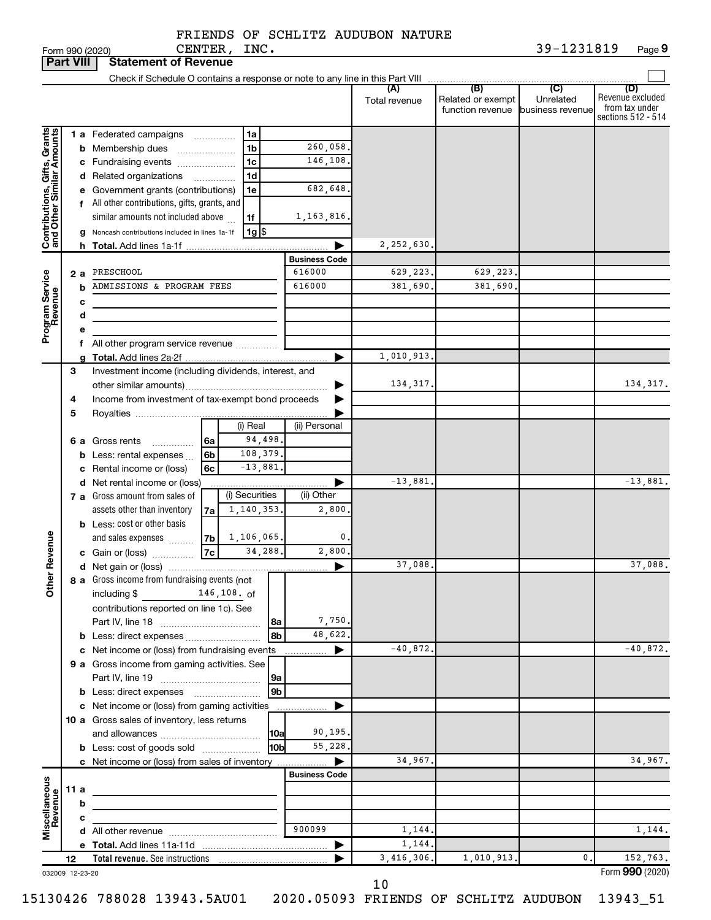FRIENDS OF SCHLITZ AUDUBON NATURE CENTER, INC.

| <b>Part VIII</b>                                          |      |   | <b>Statement of Revenue</b>                                   |                          |                          |                           |               |                                       |                               |                                                                 |
|-----------------------------------------------------------|------|---|---------------------------------------------------------------|--------------------------|--------------------------|---------------------------|---------------|---------------------------------------|-------------------------------|-----------------------------------------------------------------|
|                                                           |      |   |                                                               |                          |                          |                           |               |                                       |                               |                                                                 |
|                                                           |      |   |                                                               |                          |                          |                           | Total revenue | Related or exempt<br>function revenue | Unrelated<br>business revenue | (D)<br>Revenue excluded<br>from tax under<br>sections 512 - 514 |
|                                                           |      |   | 1 a Federated campaigns                                       |                          | 1a                       |                           |               |                                       |                               |                                                                 |
|                                                           |      |   | <b>b</b> Membership dues<br>$\overline{\phantom{a}}$          |                          | 1 <sub>b</sub>           | 260,058.                  |               |                                       |                               |                                                                 |
|                                                           |      |   | c Fundraising events                                          |                          | 1c                       | 146,108.                  |               |                                       |                               |                                                                 |
|                                                           |      |   | d Related organizations                                       | $\overline{\phantom{a}}$ | 1d                       |                           |               |                                       |                               |                                                                 |
| Contributions, Gifts, Grants<br>and Other Similar Amounts |      |   | e Government grants (contributions)                           |                          | 1e                       | 682,648.                  |               |                                       |                               |                                                                 |
|                                                           |      |   | f All other contributions, gifts, grants, and                 |                          |                          |                           |               |                                       |                               |                                                                 |
|                                                           |      |   | similar amounts not included above                            |                          | 1f<br>$1g$ $\frac{1}{3}$ | 1,163,816.                |               |                                       |                               |                                                                 |
|                                                           |      |   | Noncash contributions included in lines 1a-1f                 |                          |                          |                           | 2,252,630.    |                                       |                               |                                                                 |
|                                                           |      |   |                                                               |                          |                          | <b>Business Code</b>      |               |                                       |                               |                                                                 |
|                                                           | 2 a  |   | PRESCHOOL                                                     |                          |                          | 616000                    | 629,223.      | 629,223.                              |                               |                                                                 |
|                                                           |      | b | ADMISSIONS & PROGRAM FEES                                     |                          |                          | 616000                    | 381,690.      | 381,690.                              |                               |                                                                 |
|                                                           |      | с |                                                               |                          |                          |                           |               |                                       |                               |                                                                 |
|                                                           |      | d |                                                               |                          |                          |                           |               |                                       |                               |                                                                 |
| Program Service<br>Revenue                                |      | е |                                                               |                          |                          |                           |               |                                       |                               |                                                                 |
|                                                           |      |   | f All other program service revenue                           |                          |                          |                           |               |                                       |                               |                                                                 |
|                                                           | 3    |   | Investment income (including dividends, interest, and         |                          |                          | ▶                         | 1,010,913.    |                                       |                               |                                                                 |
|                                                           |      |   |                                                               |                          |                          |                           | 134, 317.     |                                       |                               | 134, 317.                                                       |
|                                                           | 4    |   | Income from investment of tax-exempt bond proceeds            |                          |                          |                           |               |                                       |                               |                                                                 |
|                                                           | 5    |   |                                                               |                          |                          |                           |               |                                       |                               |                                                                 |
|                                                           |      |   |                                                               |                          | (i) Real                 | (ii) Personal             |               |                                       |                               |                                                                 |
|                                                           |      |   | 6 a Gross rents<br>.                                          | 6a                       | 94,498.                  |                           |               |                                       |                               |                                                                 |
|                                                           |      |   | <b>b</b> Less: rental expenses $\ldots$                       | 6b                       | 108,379.                 |                           |               |                                       |                               |                                                                 |
|                                                           |      |   | c Rental income or (loss)                                     | 6c                       | $-13,881.$               |                           |               |                                       |                               |                                                                 |
|                                                           |      |   | d Net rental income or (loss)                                 |                          | (i) Securities           | Þ                         | $-13,881.$    |                                       |                               | $-13,881.$                                                      |
|                                                           |      |   | 7 a Gross amount from sales of<br>assets other than inventory |                          | 1,140,353.               | (ii) Other<br>2,800       |               |                                       |                               |                                                                 |
|                                                           |      |   | <b>b</b> Less: cost or other basis                            | 7a                       |                          |                           |               |                                       |                               |                                                                 |
|                                                           |      |   | and sales expenses                                            | 7b                       | 1,106,065.               | 0.                        |               |                                       |                               |                                                                 |
| Revenue                                                   |      |   | c Gain or (loss)                                              | 7c                       | 34,288.                  | 2,800.                    |               |                                       |                               |                                                                 |
|                                                           |      |   |                                                               |                          |                          | ▶                         | 37,088.       |                                       |                               | 37,088.                                                         |
| $\tilde{5}$                                               |      |   | 8 a Gross income from fundraising events (not                 |                          |                          |                           |               |                                       |                               |                                                                 |
|                                                           |      |   | including $$$                                                 |                          | $146, 108.$ of           |                           |               |                                       |                               |                                                                 |
|                                                           |      |   | contributions reported on line 1c). See                       |                          |                          |                           |               |                                       |                               |                                                                 |
|                                                           |      |   |                                                               |                          | 8a<br>8b                 | 7,750.<br>48,622.         |               |                                       |                               |                                                                 |
|                                                           |      |   | c Net income or (loss) from fundraising events                |                          |                          | ▶<br>.                    | $-40,872.$    |                                       |                               | $-40.872.$                                                      |
|                                                           |      |   | 9 a Gross income from gaming activities. See                  |                          |                          |                           |               |                                       |                               |                                                                 |
|                                                           |      |   |                                                               |                          | 9a                       |                           |               |                                       |                               |                                                                 |
|                                                           |      |   |                                                               |                          | 9 <sub>b</sub>           |                           |               |                                       |                               |                                                                 |
|                                                           |      |   | c Net income or (loss) from gaming activities                 |                          |                          | ▶                         |               |                                       |                               |                                                                 |
|                                                           |      |   | 10 a Gross sales of inventory, less returns                   |                          |                          |                           |               |                                       |                               |                                                                 |
|                                                           |      |   |                                                               |                          | <b>10a</b>               | 90,195.                   |               |                                       |                               |                                                                 |
|                                                           |      |   | <b>b</b> Less: cost of goods sold                             |                          | l10bl                    | 55,228.                   |               |                                       |                               |                                                                 |
|                                                           |      |   | c Net income or (loss) from sales of inventory                |                          |                          | ▶<br><b>Business Code</b> | 34,967.       |                                       |                               | 34,967.                                                         |
|                                                           | 11 a |   |                                                               |                          |                          |                           |               |                                       |                               |                                                                 |
|                                                           |      | b | the control of the control of the control of the control of   |                          |                          |                           |               |                                       |                               |                                                                 |
| Miscellaneous<br>Revenue                                  |      | с |                                                               |                          |                          |                           |               |                                       |                               |                                                                 |
|                                                           |      |   |                                                               |                          |                          | 900099                    | 1,144.        |                                       |                               | 1,144.                                                          |
|                                                           |      |   |                                                               |                          |                          | ▶                         | 1,144.        |                                       |                               |                                                                 |
|                                                           | 12   |   |                                                               |                          |                          |                           | 3,416,306.    | 1,010,913.                            | $\mathbf 0$ .                 | 152,763.                                                        |
| 032009 12-23-20                                           |      |   |                                                               |                          |                          |                           | 10            |                                       |                               | Form 990 (2020)                                                 |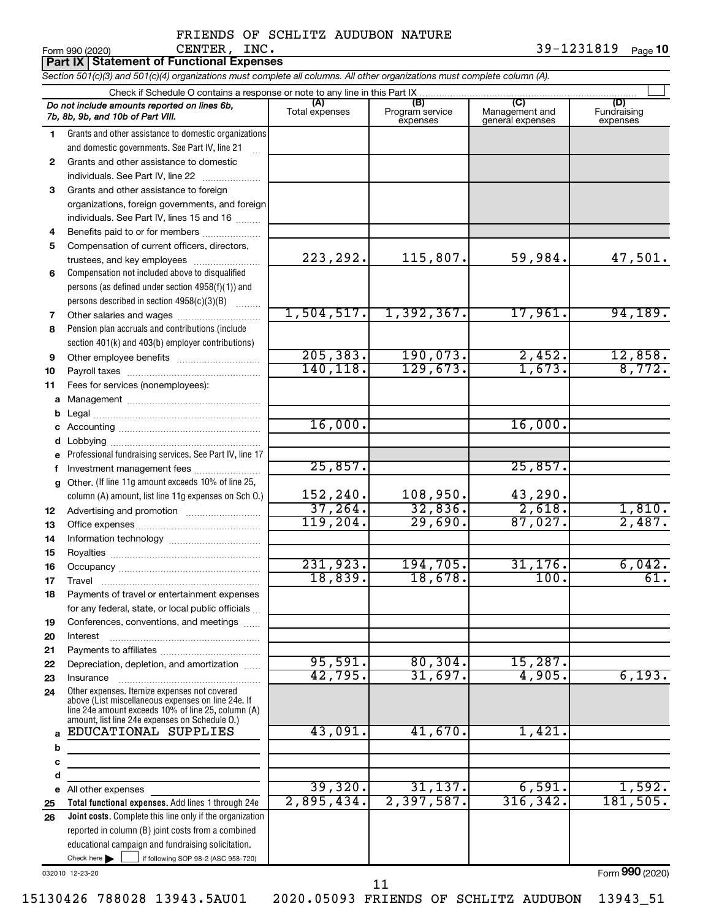39-1231819 Page 10

### $\Gamma$  Form 990 (2020) CENTER , INC . The example of the state of the state of  $\Gamma$  and  $\Gamma$ CENTER, INC. 39-1231819

|              | <b>Part IX   Statement of Functional Expenses</b>                                                                                                                                                          |                       |                                    |                                    |                                |
|--------------|------------------------------------------------------------------------------------------------------------------------------------------------------------------------------------------------------------|-----------------------|------------------------------------|------------------------------------|--------------------------------|
|              | Section 501(c)(3) and 501(c)(4) organizations must complete all columns. All other organizations must complete column (A).                                                                                 |                       |                                    |                                    |                                |
|              | Check if Schedule O contains a response or note to any line in this Part IX                                                                                                                                |                       |                                    |                                    |                                |
|              | Do not include amounts reported on lines 6b,<br>7b, 8b, 9b, and 10b of Part VIII.                                                                                                                          | (A)<br>Total expenses | (B)<br>Program service<br>expenses | Management and<br>general expenses | (D)<br>Fundraising<br>expenses |
| 1.           | Grants and other assistance to domestic organizations                                                                                                                                                      |                       |                                    |                                    |                                |
|              | and domestic governments. See Part IV, line 21                                                                                                                                                             |                       |                                    |                                    |                                |
| $\mathbf{2}$ | Grants and other assistance to domestic                                                                                                                                                                    |                       |                                    |                                    |                                |
|              | individuals. See Part IV, line 22                                                                                                                                                                          |                       |                                    |                                    |                                |
| 3            | Grants and other assistance to foreign                                                                                                                                                                     |                       |                                    |                                    |                                |
|              | organizations, foreign governments, and foreign                                                                                                                                                            |                       |                                    |                                    |                                |
|              | individuals. See Part IV, lines 15 and 16                                                                                                                                                                  |                       |                                    |                                    |                                |
| 4            | Benefits paid to or for members                                                                                                                                                                            |                       |                                    |                                    |                                |
| 5            | Compensation of current officers, directors,                                                                                                                                                               | 223, 292.             | 115,807.                           | 59,984.                            | 47,501.                        |
| 6            | trustees, and key employees<br>Compensation not included above to disqualified                                                                                                                             |                       |                                    |                                    |                                |
|              | persons (as defined under section 4958(f)(1)) and                                                                                                                                                          |                       |                                    |                                    |                                |
|              | persons described in section 4958(c)(3)(B)                                                                                                                                                                 |                       |                                    |                                    |                                |
| 7            |                                                                                                                                                                                                            | 1,504,517.            | 1,392,367.                         | 17,961.                            | 94, 189.                       |
| 8            | Pension plan accruals and contributions (include                                                                                                                                                           |                       |                                    |                                    |                                |
|              | section 401(k) and 403(b) employer contributions)                                                                                                                                                          |                       |                                    |                                    |                                |
| 9            | Other employee benefits                                                                                                                                                                                    | 205, 383.             | 190,073.                           | 2,452.                             |                                |
| 10           |                                                                                                                                                                                                            | 140,118.              | 129,673.                           | 1,673.                             | $\frac{12,858.}{8,772.}$       |
| 11           | Fees for services (nonemployees):                                                                                                                                                                          |                       |                                    |                                    |                                |
| а            |                                                                                                                                                                                                            |                       |                                    |                                    |                                |
| b            |                                                                                                                                                                                                            |                       |                                    |                                    |                                |
| с            |                                                                                                                                                                                                            | 16,000.               |                                    | 16,000.                            |                                |
| d            | Lobbying                                                                                                                                                                                                   |                       |                                    |                                    |                                |
|              | Professional fundraising services. See Part IV, line 17                                                                                                                                                    |                       |                                    |                                    |                                |
|              | Investment management fees                                                                                                                                                                                 | 25,857.               |                                    | 25,857.                            |                                |
| g            | Other. (If line 11g amount exceeds 10% of line 25,                                                                                                                                                         |                       |                                    |                                    |                                |
|              | column (A) amount, list line 11g expenses on Sch O.)                                                                                                                                                       | 152,240.              | 108,950.                           | 43,290.                            |                                |
| 12           |                                                                                                                                                                                                            | 37,264.<br>119,204.   | 32,836.<br>29,690.                 | 2,618.                             | 1,810.<br>2,487.               |
| 13           |                                                                                                                                                                                                            |                       |                                    | 87,027.                            |                                |
| 14           |                                                                                                                                                                                                            |                       |                                    |                                    |                                |
| 15           |                                                                                                                                                                                                            | 231,923.              | 194,705.                           | 31,176.                            | 6,042.                         |
| 16           |                                                                                                                                                                                                            | 18,839.               | 18,678.                            | $\overline{100}$ .                 | 61.                            |
| 17<br>18     | Travel<br>Payments of travel or entertainment expenses                                                                                                                                                     |                       |                                    |                                    |                                |
|              | for any federal, state, or local public officials                                                                                                                                                          |                       |                                    |                                    |                                |
| 19           | Conferences, conventions, and meetings                                                                                                                                                                     |                       |                                    |                                    |                                |
| 20           | Interest                                                                                                                                                                                                   |                       |                                    |                                    |                                |
| 21           |                                                                                                                                                                                                            |                       |                                    |                                    |                                |
| 22           | Depreciation, depletion, and amortization                                                                                                                                                                  | 95,591.               | 80, 304.                           | 15,287.                            |                                |
| 23           | Insurance                                                                                                                                                                                                  | 42,795.               | 31,697.                            | 4,905.                             | 6,193.                         |
| 24           | Other expenses. Itemize expenses not covered<br>above (List miscellaneous expenses on line 24e. If<br>line 24e amount exceeds 10% of line 25, column (A)<br>amount, list line 24e expenses on Schedule O.) |                       |                                    |                                    |                                |
| a            | EDUCATIONAL SUPPLIES                                                                                                                                                                                       | 43,091.               | 41,670.                            | 1,421.                             |                                |
| b            | the control of the control of the control of the control of the control of                                                                                                                                 |                       |                                    |                                    |                                |
| c            |                                                                                                                                                                                                            |                       |                                    |                                    |                                |
| d            |                                                                                                                                                                                                            |                       |                                    |                                    |                                |
| е            | All other expenses                                                                                                                                                                                         | 39,320.               | 31,137.                            | 6,591.                             | 1,592.                         |
| 25           | Total functional expenses. Add lines 1 through 24e                                                                                                                                                         | 2,895,434.            | 2,397,587.                         | 316, 342.                          | 181, 505.                      |
| 26           | <b>Joint costs.</b> Complete this line only if the organization                                                                                                                                            |                       |                                    |                                    |                                |
|              | reported in column (B) joint costs from a combined                                                                                                                                                         |                       |                                    |                                    |                                |
|              | educational campaign and fundraising solicitation.                                                                                                                                                         |                       |                                    |                                    |                                |
|              | Check here $\blacktriangleright$<br>if following SOP 98-2 (ASC 958-720)                                                                                                                                    |                       |                                    |                                    | nnn                            |

032010 12-23-20

Form (2020) **990**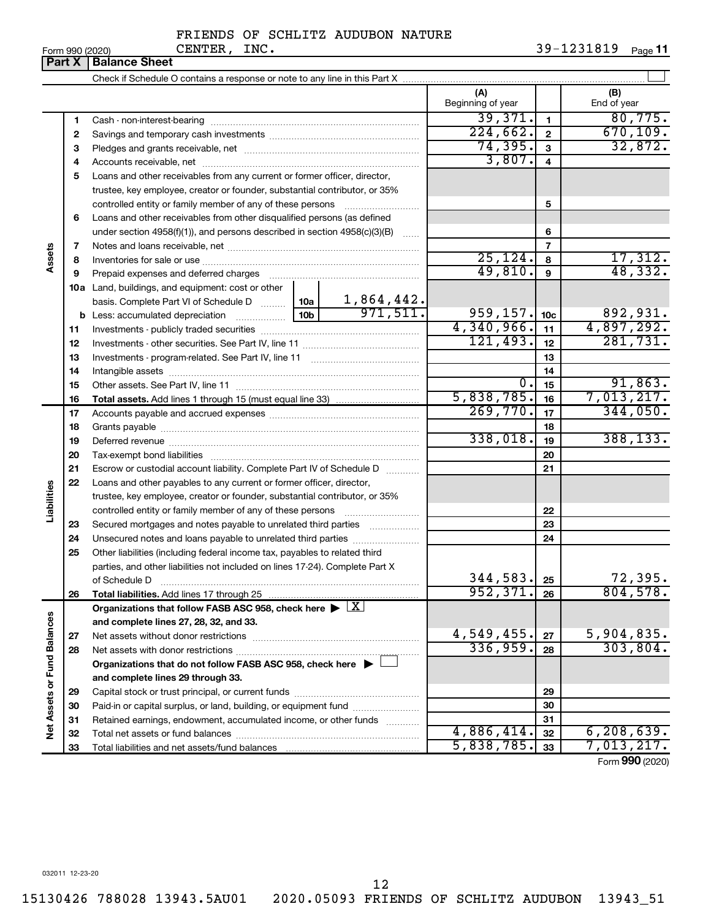| Form 990 (2020) |  |
|-----------------|--|
|-----------------|--|

| (A)<br>(B)<br>Beginning of year<br>End of year<br>39,371.<br>80,775.<br>1<br>1<br>224,662.<br>670, 109.<br>$\mathbf{2}$<br>2<br>32,872.<br>74, 395.<br>3<br>З<br>3,807.<br>4<br>4<br>Loans and other receivables from any current or former officer, director,<br>5<br>trustee, key employee, creator or founder, substantial contributor, or 35%<br>5<br>Loans and other receivables from other disqualified persons (as defined<br>6<br>under section $4958(f)(1)$ , and persons described in section $4958(c)(3)(B)$<br>6<br>7<br>7<br>Assets<br>25, 124.<br>17,312.<br>8<br>8<br>48,332.<br>49,810.<br>9<br>9<br>Land, buildings, and equipment: cost or other<br>10a<br>basis. Complete Part VI of Schedule D  10a 1,864,442.<br>959, 157.<br>892,931.<br>10 <sub>c</sub><br>4,340,966.<br>4,897,292.<br>11<br>11<br>121,493.<br>281,731.<br>12<br>12<br>13<br>13<br>14<br>14<br>91,863.<br>0.<br>15<br>15<br>7,013,217.<br>5,838,785.<br>16<br>16<br>269,770.<br>344,050.<br>17<br>17<br>18<br>18<br>338,018.<br>388, 133.<br>19<br>19<br>20<br>20<br>21<br>Escrow or custodial account liability. Complete Part IV of Schedule D<br>21<br>22<br>Loans and other payables to any current or former officer, director,<br>Liabilities<br>trustee, key employee, creator or founder, substantial contributor, or 35%<br>22<br>Secured mortgages and notes payable to unrelated third parties<br>23<br>23<br>24<br>Unsecured notes and loans payable to unrelated third parties<br>24<br>25<br>Other liabilities (including federal income tax, payables to related third<br>parties, and other liabilities not included on lines 17-24). Complete Part X<br>344,583.<br>72,395 <b>.</b><br>25<br>of Schedule D<br>804,578.<br>952, 371.<br>Total liabilities. Add lines 17 through 25<br>26<br>26<br>Organizations that follow FASB ASC 958, check here $\blacktriangleright \lfloor \underline{X} \rfloor$<br>Net Assets or Fund Balances<br>and complete lines 27, 28, 32, and 33.<br>5,904,835.<br>$4,549,455$ .<br>27<br>27<br>336,959.<br>303,804.<br>28<br>28<br>Organizations that do not follow FASB ASC 958, check here $\blacktriangleright$<br>and complete lines 29 through 33.<br>29<br>29<br>Paid-in or capital surplus, or land, building, or equipment fund<br>30<br>30<br>Retained earnings, endowment, accumulated income, or other funds<br>31<br>31<br>4,886,414.<br>6, 208, 639.<br>32<br>32<br>5,838,785.<br>7,013,217.<br>33<br>33 | <b>Part X</b> | <b>Balance Sheet</b> |  |  |
|---------------------------------------------------------------------------------------------------------------------------------------------------------------------------------------------------------------------------------------------------------------------------------------------------------------------------------------------------------------------------------------------------------------------------------------------------------------------------------------------------------------------------------------------------------------------------------------------------------------------------------------------------------------------------------------------------------------------------------------------------------------------------------------------------------------------------------------------------------------------------------------------------------------------------------------------------------------------------------------------------------------------------------------------------------------------------------------------------------------------------------------------------------------------------------------------------------------------------------------------------------------------------------------------------------------------------------------------------------------------------------------------------------------------------------------------------------------------------------------------------------------------------------------------------------------------------------------------------------------------------------------------------------------------------------------------------------------------------------------------------------------------------------------------------------------------------------------------------------------------------------------------------------------------------------------------------------------------------------------------------------------------------------------------------------------------------------------------------------------------------------------------------------------------------------------------------------------------------------------------------------------------------------------------------------------------------------------------------------------------------------------------------------------------------------------------------------------|---------------|----------------------|--|--|
|                                                                                                                                                                                                                                                                                                                                                                                                                                                                                                                                                                                                                                                                                                                                                                                                                                                                                                                                                                                                                                                                                                                                                                                                                                                                                                                                                                                                                                                                                                                                                                                                                                                                                                                                                                                                                                                                                                                                                                                                                                                                                                                                                                                                                                                                                                                                                                                                                                                               |               |                      |  |  |
|                                                                                                                                                                                                                                                                                                                                                                                                                                                                                                                                                                                                                                                                                                                                                                                                                                                                                                                                                                                                                                                                                                                                                                                                                                                                                                                                                                                                                                                                                                                                                                                                                                                                                                                                                                                                                                                                                                                                                                                                                                                                                                                                                                                                                                                                                                                                                                                                                                                               |               |                      |  |  |
|                                                                                                                                                                                                                                                                                                                                                                                                                                                                                                                                                                                                                                                                                                                                                                                                                                                                                                                                                                                                                                                                                                                                                                                                                                                                                                                                                                                                                                                                                                                                                                                                                                                                                                                                                                                                                                                                                                                                                                                                                                                                                                                                                                                                                                                                                                                                                                                                                                                               |               |                      |  |  |
|                                                                                                                                                                                                                                                                                                                                                                                                                                                                                                                                                                                                                                                                                                                                                                                                                                                                                                                                                                                                                                                                                                                                                                                                                                                                                                                                                                                                                                                                                                                                                                                                                                                                                                                                                                                                                                                                                                                                                                                                                                                                                                                                                                                                                                                                                                                                                                                                                                                               |               |                      |  |  |
|                                                                                                                                                                                                                                                                                                                                                                                                                                                                                                                                                                                                                                                                                                                                                                                                                                                                                                                                                                                                                                                                                                                                                                                                                                                                                                                                                                                                                                                                                                                                                                                                                                                                                                                                                                                                                                                                                                                                                                                                                                                                                                                                                                                                                                                                                                                                                                                                                                                               |               |                      |  |  |
|                                                                                                                                                                                                                                                                                                                                                                                                                                                                                                                                                                                                                                                                                                                                                                                                                                                                                                                                                                                                                                                                                                                                                                                                                                                                                                                                                                                                                                                                                                                                                                                                                                                                                                                                                                                                                                                                                                                                                                                                                                                                                                                                                                                                                                                                                                                                                                                                                                                               |               |                      |  |  |
|                                                                                                                                                                                                                                                                                                                                                                                                                                                                                                                                                                                                                                                                                                                                                                                                                                                                                                                                                                                                                                                                                                                                                                                                                                                                                                                                                                                                                                                                                                                                                                                                                                                                                                                                                                                                                                                                                                                                                                                                                                                                                                                                                                                                                                                                                                                                                                                                                                                               |               |                      |  |  |
|                                                                                                                                                                                                                                                                                                                                                                                                                                                                                                                                                                                                                                                                                                                                                                                                                                                                                                                                                                                                                                                                                                                                                                                                                                                                                                                                                                                                                                                                                                                                                                                                                                                                                                                                                                                                                                                                                                                                                                                                                                                                                                                                                                                                                                                                                                                                                                                                                                                               |               |                      |  |  |
|                                                                                                                                                                                                                                                                                                                                                                                                                                                                                                                                                                                                                                                                                                                                                                                                                                                                                                                                                                                                                                                                                                                                                                                                                                                                                                                                                                                                                                                                                                                                                                                                                                                                                                                                                                                                                                                                                                                                                                                                                                                                                                                                                                                                                                                                                                                                                                                                                                                               |               |                      |  |  |
|                                                                                                                                                                                                                                                                                                                                                                                                                                                                                                                                                                                                                                                                                                                                                                                                                                                                                                                                                                                                                                                                                                                                                                                                                                                                                                                                                                                                                                                                                                                                                                                                                                                                                                                                                                                                                                                                                                                                                                                                                                                                                                                                                                                                                                                                                                                                                                                                                                                               |               |                      |  |  |
|                                                                                                                                                                                                                                                                                                                                                                                                                                                                                                                                                                                                                                                                                                                                                                                                                                                                                                                                                                                                                                                                                                                                                                                                                                                                                                                                                                                                                                                                                                                                                                                                                                                                                                                                                                                                                                                                                                                                                                                                                                                                                                                                                                                                                                                                                                                                                                                                                                                               |               |                      |  |  |
|                                                                                                                                                                                                                                                                                                                                                                                                                                                                                                                                                                                                                                                                                                                                                                                                                                                                                                                                                                                                                                                                                                                                                                                                                                                                                                                                                                                                                                                                                                                                                                                                                                                                                                                                                                                                                                                                                                                                                                                                                                                                                                                                                                                                                                                                                                                                                                                                                                                               |               |                      |  |  |
|                                                                                                                                                                                                                                                                                                                                                                                                                                                                                                                                                                                                                                                                                                                                                                                                                                                                                                                                                                                                                                                                                                                                                                                                                                                                                                                                                                                                                                                                                                                                                                                                                                                                                                                                                                                                                                                                                                                                                                                                                                                                                                                                                                                                                                                                                                                                                                                                                                                               |               |                      |  |  |
|                                                                                                                                                                                                                                                                                                                                                                                                                                                                                                                                                                                                                                                                                                                                                                                                                                                                                                                                                                                                                                                                                                                                                                                                                                                                                                                                                                                                                                                                                                                                                                                                                                                                                                                                                                                                                                                                                                                                                                                                                                                                                                                                                                                                                                                                                                                                                                                                                                                               |               |                      |  |  |
|                                                                                                                                                                                                                                                                                                                                                                                                                                                                                                                                                                                                                                                                                                                                                                                                                                                                                                                                                                                                                                                                                                                                                                                                                                                                                                                                                                                                                                                                                                                                                                                                                                                                                                                                                                                                                                                                                                                                                                                                                                                                                                                                                                                                                                                                                                                                                                                                                                                               |               |                      |  |  |
|                                                                                                                                                                                                                                                                                                                                                                                                                                                                                                                                                                                                                                                                                                                                                                                                                                                                                                                                                                                                                                                                                                                                                                                                                                                                                                                                                                                                                                                                                                                                                                                                                                                                                                                                                                                                                                                                                                                                                                                                                                                                                                                                                                                                                                                                                                                                                                                                                                                               |               |                      |  |  |
|                                                                                                                                                                                                                                                                                                                                                                                                                                                                                                                                                                                                                                                                                                                                                                                                                                                                                                                                                                                                                                                                                                                                                                                                                                                                                                                                                                                                                                                                                                                                                                                                                                                                                                                                                                                                                                                                                                                                                                                                                                                                                                                                                                                                                                                                                                                                                                                                                                                               |               |                      |  |  |
|                                                                                                                                                                                                                                                                                                                                                                                                                                                                                                                                                                                                                                                                                                                                                                                                                                                                                                                                                                                                                                                                                                                                                                                                                                                                                                                                                                                                                                                                                                                                                                                                                                                                                                                                                                                                                                                                                                                                                                                                                                                                                                                                                                                                                                                                                                                                                                                                                                                               |               |                      |  |  |
|                                                                                                                                                                                                                                                                                                                                                                                                                                                                                                                                                                                                                                                                                                                                                                                                                                                                                                                                                                                                                                                                                                                                                                                                                                                                                                                                                                                                                                                                                                                                                                                                                                                                                                                                                                                                                                                                                                                                                                                                                                                                                                                                                                                                                                                                                                                                                                                                                                                               |               |                      |  |  |
|                                                                                                                                                                                                                                                                                                                                                                                                                                                                                                                                                                                                                                                                                                                                                                                                                                                                                                                                                                                                                                                                                                                                                                                                                                                                                                                                                                                                                                                                                                                                                                                                                                                                                                                                                                                                                                                                                                                                                                                                                                                                                                                                                                                                                                                                                                                                                                                                                                                               |               |                      |  |  |
|                                                                                                                                                                                                                                                                                                                                                                                                                                                                                                                                                                                                                                                                                                                                                                                                                                                                                                                                                                                                                                                                                                                                                                                                                                                                                                                                                                                                                                                                                                                                                                                                                                                                                                                                                                                                                                                                                                                                                                                                                                                                                                                                                                                                                                                                                                                                                                                                                                                               |               |                      |  |  |
|                                                                                                                                                                                                                                                                                                                                                                                                                                                                                                                                                                                                                                                                                                                                                                                                                                                                                                                                                                                                                                                                                                                                                                                                                                                                                                                                                                                                                                                                                                                                                                                                                                                                                                                                                                                                                                                                                                                                                                                                                                                                                                                                                                                                                                                                                                                                                                                                                                                               |               |                      |  |  |
|                                                                                                                                                                                                                                                                                                                                                                                                                                                                                                                                                                                                                                                                                                                                                                                                                                                                                                                                                                                                                                                                                                                                                                                                                                                                                                                                                                                                                                                                                                                                                                                                                                                                                                                                                                                                                                                                                                                                                                                                                                                                                                                                                                                                                                                                                                                                                                                                                                                               |               |                      |  |  |
|                                                                                                                                                                                                                                                                                                                                                                                                                                                                                                                                                                                                                                                                                                                                                                                                                                                                                                                                                                                                                                                                                                                                                                                                                                                                                                                                                                                                                                                                                                                                                                                                                                                                                                                                                                                                                                                                                                                                                                                                                                                                                                                                                                                                                                                                                                                                                                                                                                                               |               |                      |  |  |
|                                                                                                                                                                                                                                                                                                                                                                                                                                                                                                                                                                                                                                                                                                                                                                                                                                                                                                                                                                                                                                                                                                                                                                                                                                                                                                                                                                                                                                                                                                                                                                                                                                                                                                                                                                                                                                                                                                                                                                                                                                                                                                                                                                                                                                                                                                                                                                                                                                                               |               |                      |  |  |
|                                                                                                                                                                                                                                                                                                                                                                                                                                                                                                                                                                                                                                                                                                                                                                                                                                                                                                                                                                                                                                                                                                                                                                                                                                                                                                                                                                                                                                                                                                                                                                                                                                                                                                                                                                                                                                                                                                                                                                                                                                                                                                                                                                                                                                                                                                                                                                                                                                                               |               |                      |  |  |
|                                                                                                                                                                                                                                                                                                                                                                                                                                                                                                                                                                                                                                                                                                                                                                                                                                                                                                                                                                                                                                                                                                                                                                                                                                                                                                                                                                                                                                                                                                                                                                                                                                                                                                                                                                                                                                                                                                                                                                                                                                                                                                                                                                                                                                                                                                                                                                                                                                                               |               |                      |  |  |
|                                                                                                                                                                                                                                                                                                                                                                                                                                                                                                                                                                                                                                                                                                                                                                                                                                                                                                                                                                                                                                                                                                                                                                                                                                                                                                                                                                                                                                                                                                                                                                                                                                                                                                                                                                                                                                                                                                                                                                                                                                                                                                                                                                                                                                                                                                                                                                                                                                                               |               |                      |  |  |
|                                                                                                                                                                                                                                                                                                                                                                                                                                                                                                                                                                                                                                                                                                                                                                                                                                                                                                                                                                                                                                                                                                                                                                                                                                                                                                                                                                                                                                                                                                                                                                                                                                                                                                                                                                                                                                                                                                                                                                                                                                                                                                                                                                                                                                                                                                                                                                                                                                                               |               |                      |  |  |
|                                                                                                                                                                                                                                                                                                                                                                                                                                                                                                                                                                                                                                                                                                                                                                                                                                                                                                                                                                                                                                                                                                                                                                                                                                                                                                                                                                                                                                                                                                                                                                                                                                                                                                                                                                                                                                                                                                                                                                                                                                                                                                                                                                                                                                                                                                                                                                                                                                                               |               |                      |  |  |
|                                                                                                                                                                                                                                                                                                                                                                                                                                                                                                                                                                                                                                                                                                                                                                                                                                                                                                                                                                                                                                                                                                                                                                                                                                                                                                                                                                                                                                                                                                                                                                                                                                                                                                                                                                                                                                                                                                                                                                                                                                                                                                                                                                                                                                                                                                                                                                                                                                                               |               |                      |  |  |
|                                                                                                                                                                                                                                                                                                                                                                                                                                                                                                                                                                                                                                                                                                                                                                                                                                                                                                                                                                                                                                                                                                                                                                                                                                                                                                                                                                                                                                                                                                                                                                                                                                                                                                                                                                                                                                                                                                                                                                                                                                                                                                                                                                                                                                                                                                                                                                                                                                                               |               |                      |  |  |
|                                                                                                                                                                                                                                                                                                                                                                                                                                                                                                                                                                                                                                                                                                                                                                                                                                                                                                                                                                                                                                                                                                                                                                                                                                                                                                                                                                                                                                                                                                                                                                                                                                                                                                                                                                                                                                                                                                                                                                                                                                                                                                                                                                                                                                                                                                                                                                                                                                                               |               |                      |  |  |
|                                                                                                                                                                                                                                                                                                                                                                                                                                                                                                                                                                                                                                                                                                                                                                                                                                                                                                                                                                                                                                                                                                                                                                                                                                                                                                                                                                                                                                                                                                                                                                                                                                                                                                                                                                                                                                                                                                                                                                                                                                                                                                                                                                                                                                                                                                                                                                                                                                                               |               |                      |  |  |
|                                                                                                                                                                                                                                                                                                                                                                                                                                                                                                                                                                                                                                                                                                                                                                                                                                                                                                                                                                                                                                                                                                                                                                                                                                                                                                                                                                                                                                                                                                                                                                                                                                                                                                                                                                                                                                                                                                                                                                                                                                                                                                                                                                                                                                                                                                                                                                                                                                                               |               |                      |  |  |
|                                                                                                                                                                                                                                                                                                                                                                                                                                                                                                                                                                                                                                                                                                                                                                                                                                                                                                                                                                                                                                                                                                                                                                                                                                                                                                                                                                                                                                                                                                                                                                                                                                                                                                                                                                                                                                                                                                                                                                                                                                                                                                                                                                                                                                                                                                                                                                                                                                                               |               |                      |  |  |
|                                                                                                                                                                                                                                                                                                                                                                                                                                                                                                                                                                                                                                                                                                                                                                                                                                                                                                                                                                                                                                                                                                                                                                                                                                                                                                                                                                                                                                                                                                                                                                                                                                                                                                                                                                                                                                                                                                                                                                                                                                                                                                                                                                                                                                                                                                                                                                                                                                                               |               |                      |  |  |
|                                                                                                                                                                                                                                                                                                                                                                                                                                                                                                                                                                                                                                                                                                                                                                                                                                                                                                                                                                                                                                                                                                                                                                                                                                                                                                                                                                                                                                                                                                                                                                                                                                                                                                                                                                                                                                                                                                                                                                                                                                                                                                                                                                                                                                                                                                                                                                                                                                                               |               |                      |  |  |
|                                                                                                                                                                                                                                                                                                                                                                                                                                                                                                                                                                                                                                                                                                                                                                                                                                                                                                                                                                                                                                                                                                                                                                                                                                                                                                                                                                                                                                                                                                                                                                                                                                                                                                                                                                                                                                                                                                                                                                                                                                                                                                                                                                                                                                                                                                                                                                                                                                                               |               |                      |  |  |
|                                                                                                                                                                                                                                                                                                                                                                                                                                                                                                                                                                                                                                                                                                                                                                                                                                                                                                                                                                                                                                                                                                                                                                                                                                                                                                                                                                                                                                                                                                                                                                                                                                                                                                                                                                                                                                                                                                                                                                                                                                                                                                                                                                                                                                                                                                                                                                                                                                                               |               |                      |  |  |
|                                                                                                                                                                                                                                                                                                                                                                                                                                                                                                                                                                                                                                                                                                                                                                                                                                                                                                                                                                                                                                                                                                                                                                                                                                                                                                                                                                                                                                                                                                                                                                                                                                                                                                                                                                                                                                                                                                                                                                                                                                                                                                                                                                                                                                                                                                                                                                                                                                                               |               |                      |  |  |
|                                                                                                                                                                                                                                                                                                                                                                                                                                                                                                                                                                                                                                                                                                                                                                                                                                                                                                                                                                                                                                                                                                                                                                                                                                                                                                                                                                                                                                                                                                                                                                                                                                                                                                                                                                                                                                                                                                                                                                                                                                                                                                                                                                                                                                                                                                                                                                                                                                                               |               |                      |  |  |
|                                                                                                                                                                                                                                                                                                                                                                                                                                                                                                                                                                                                                                                                                                                                                                                                                                                                                                                                                                                                                                                                                                                                                                                                                                                                                                                                                                                                                                                                                                                                                                                                                                                                                                                                                                                                                                                                                                                                                                                                                                                                                                                                                                                                                                                                                                                                                                                                                                                               |               |                      |  |  |
|                                                                                                                                                                                                                                                                                                                                                                                                                                                                                                                                                                                                                                                                                                                                                                                                                                                                                                                                                                                                                                                                                                                                                                                                                                                                                                                                                                                                                                                                                                                                                                                                                                                                                                                                                                                                                                                                                                                                                                                                                                                                                                                                                                                                                                                                                                                                                                                                                                                               |               |                      |  |  |
|                                                                                                                                                                                                                                                                                                                                                                                                                                                                                                                                                                                                                                                                                                                                                                                                                                                                                                                                                                                                                                                                                                                                                                                                                                                                                                                                                                                                                                                                                                                                                                                                                                                                                                                                                                                                                                                                                                                                                                                                                                                                                                                                                                                                                                                                                                                                                                                                                                                               |               |                      |  |  |
|                                                                                                                                                                                                                                                                                                                                                                                                                                                                                                                                                                                                                                                                                                                                                                                                                                                                                                                                                                                                                                                                                                                                                                                                                                                                                                                                                                                                                                                                                                                                                                                                                                                                                                                                                                                                                                                                                                                                                                                                                                                                                                                                                                                                                                                                                                                                                                                                                                                               |               |                      |  |  |
|                                                                                                                                                                                                                                                                                                                                                                                                                                                                                                                                                                                                                                                                                                                                                                                                                                                                                                                                                                                                                                                                                                                                                                                                                                                                                                                                                                                                                                                                                                                                                                                                                                                                                                                                                                                                                                                                                                                                                                                                                                                                                                                                                                                                                                                                                                                                                                                                                                                               |               |                      |  |  |

Form (2020) **990**

032011 12-23-20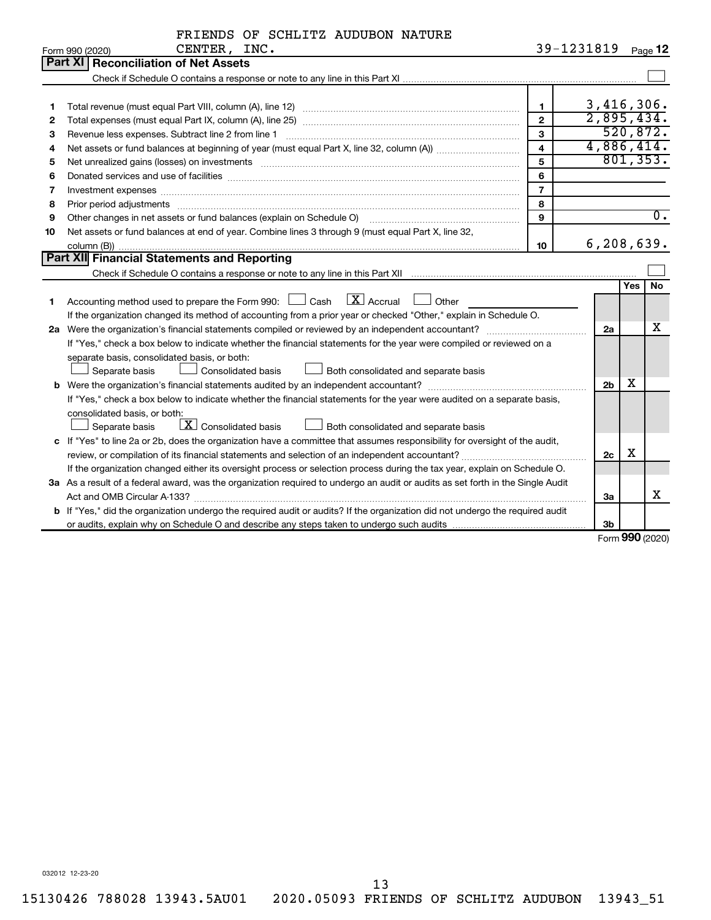|  |  | FRIENDS OF SCHLITZ AUDUBON NATURE |  |
|--|--|-----------------------------------|--|
|  |  |                                   |  |

|    | CENTER, INC.<br>Form 990 (2020)                                                                                                 |                         | 39-1231819     |            | Page 12          |
|----|---------------------------------------------------------------------------------------------------------------------------------|-------------------------|----------------|------------|------------------|
|    | Part XI Reconciliation of Net Assets                                                                                            |                         |                |            |                  |
|    |                                                                                                                                 |                         |                |            |                  |
|    |                                                                                                                                 |                         |                |            |                  |
| 1  |                                                                                                                                 | $\mathbf{1}$            | 3,416,306.     |            |                  |
| 2  |                                                                                                                                 | $\overline{2}$          | 2,895,434.     |            |                  |
| З  | Revenue less expenses. Subtract line 2 from line 1                                                                              | 3                       |                |            | 520,872.         |
| 4  |                                                                                                                                 | $\overline{\mathbf{4}}$ | 4,886,414.     |            |                  |
| 5  |                                                                                                                                 | 5                       |                |            | 801, 353.        |
| 6  |                                                                                                                                 | 6                       |                |            |                  |
| 7  |                                                                                                                                 | $\overline{7}$          |                |            |                  |
| 8  | Prior period adjustments www.communication.communication.communication.com/                                                     | 8                       |                |            |                  |
| 9  | Other changes in net assets or fund balances (explain on Schedule O)                                                            | 9                       |                |            | $\overline{0}$ . |
| 10 | Net assets or fund balances at end of year. Combine lines 3 through 9 (must equal Part X, line 32,                              |                         |                |            |                  |
|    |                                                                                                                                 | 10                      | 6, 208, 639.   |            |                  |
|    | <b>Part XII</b> Financial Statements and Reporting                                                                              |                         |                |            |                  |
|    |                                                                                                                                 |                         |                |            |                  |
|    |                                                                                                                                 |                         |                | <b>Yes</b> | No               |
| 1  | $\mathbf{X}$ Accrual<br>Accounting method used to prepare the Form 990: [130] Cash<br>$\Box$ Other                              |                         |                |            |                  |
|    | If the organization changed its method of accounting from a prior year or checked "Other," explain in Schedule O.               |                         |                |            |                  |
|    |                                                                                                                                 |                         | 2a             |            | х                |
|    | If "Yes," check a box below to indicate whether the financial statements for the year were compiled or reviewed on a            |                         |                |            |                  |
|    | separate basis, consolidated basis, or both:                                                                                    |                         |                |            |                  |
|    | Separate basis<br>Consolidated basis<br>Both consolidated and separate basis                                                    |                         |                |            |                  |
|    |                                                                                                                                 |                         | 2 <sub>b</sub> | х          |                  |
|    | If "Yes," check a box below to indicate whether the financial statements for the year were audited on a separate basis,         |                         |                |            |                  |
|    | consolidated basis, or both:                                                                                                    |                         |                |            |                  |
|    | $\lfloor \mathbf{X} \rfloor$ Consolidated basis<br>Both consolidated and separate basis<br>Separate basis                       |                         |                |            |                  |
|    | c If "Yes" to line 2a or 2b, does the organization have a committee that assumes responsibility for oversight of the audit,     |                         |                |            |                  |
|    |                                                                                                                                 |                         | 2c             | х          |                  |
|    | If the organization changed either its oversight process or selection process during the tax year, explain on Schedule O.       |                         |                |            |                  |
|    | 3a As a result of a federal award, was the organization required to undergo an audit or audits as set forth in the Single Audit |                         |                |            |                  |
|    |                                                                                                                                 |                         | За             |            | x                |
|    | b If "Yes," did the organization undergo the required audit or audits? If the organization did not undergo the required audit   |                         |                |            |                  |
|    |                                                                                                                                 |                         | 3 <sub>b</sub> |            |                  |

Form (2020) **990**

032012 12-23-20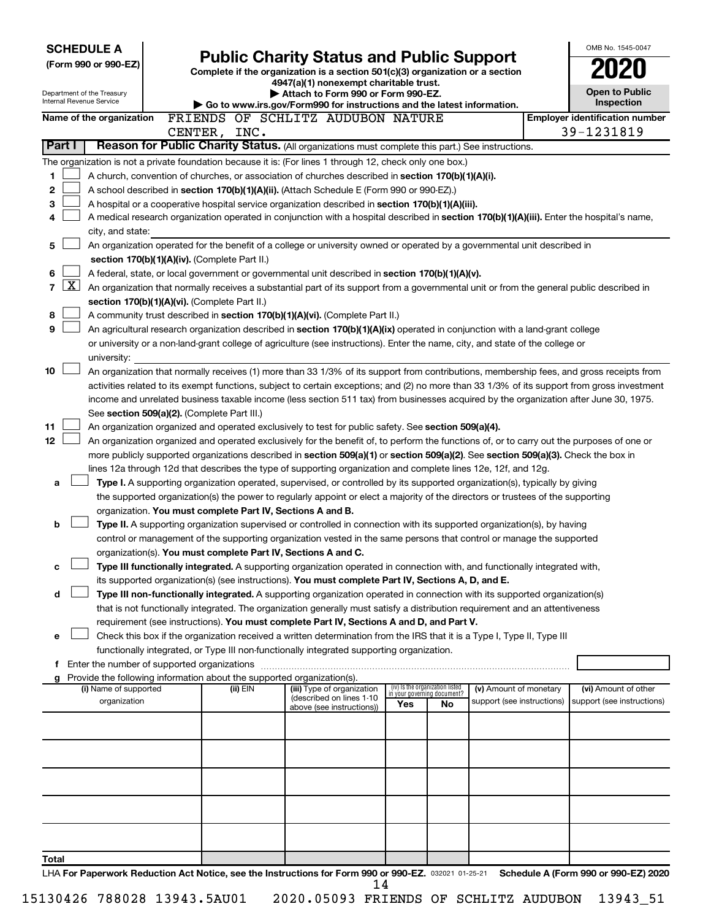| <b>SCHEDULE A</b>                                                                                         |                                                                                    |                                                                                                                                                                                                                                               |     |                                   |                            | OMB No. 1545-0047                     |
|-----------------------------------------------------------------------------------------------------------|------------------------------------------------------------------------------------|-----------------------------------------------------------------------------------------------------------------------------------------------------------------------------------------------------------------------------------------------|-----|-----------------------------------|----------------------------|---------------------------------------|
| (Form 990 or 990-EZ)                                                                                      |                                                                                    | <b>Public Charity Status and Public Support</b>                                                                                                                                                                                               |     |                                   |                            |                                       |
|                                                                                                           |                                                                                    | Complete if the organization is a section 501(c)(3) organization or a section<br>4947(a)(1) nonexempt charitable trust.                                                                                                                       |     |                                   |                            |                                       |
| Department of the Treasury                                                                                |                                                                                    | Attach to Form 990 or Form 990-EZ.                                                                                                                                                                                                            |     |                                   |                            | <b>Open to Public</b>                 |
| Internal Revenue Service                                                                                  |                                                                                    | Go to www.irs.gov/Form990 for instructions and the latest information.                                                                                                                                                                        |     |                                   |                            | Inspection                            |
| Name of the organization                                                                                  |                                                                                    | FRIENDS OF SCHLITZ AUDUBON NATURE                                                                                                                                                                                                             |     |                                   |                            | <b>Employer identification number</b> |
|                                                                                                           | CENTER, INC.                                                                       |                                                                                                                                                                                                                                               |     |                                   |                            | 39-1231819                            |
| Part I                                                                                                    |                                                                                    | Reason for Public Charity Status. (All organizations must complete this part.) See instructions.                                                                                                                                              |     |                                   |                            |                                       |
| The organization is not a private foundation because it is: (For lines 1 through 12, check only one box.) |                                                                                    |                                                                                                                                                                                                                                               |     |                                   |                            |                                       |
| 1                                                                                                         |                                                                                    | A church, convention of churches, or association of churches described in <b>section 170(b)(1)(A)(i).</b>                                                                                                                                     |     |                                   |                            |                                       |
| 2                                                                                                         |                                                                                    | A school described in section 170(b)(1)(A)(ii). (Attach Schedule E (Form 990 or 990-EZ).)                                                                                                                                                     |     |                                   |                            |                                       |
| З                                                                                                         |                                                                                    | A hospital or a cooperative hospital service organization described in section 170(b)(1)(A)(iii).                                                                                                                                             |     |                                   |                            |                                       |
| 4                                                                                                         |                                                                                    | A medical research organization operated in conjunction with a hospital described in section 170(b)(1)(A)(iii). Enter the hospital's name,                                                                                                    |     |                                   |                            |                                       |
| city, and state:                                                                                          |                                                                                    |                                                                                                                                                                                                                                               |     |                                   |                            |                                       |
| 5                                                                                                         | section 170(b)(1)(A)(iv). (Complete Part II.)                                      | An organization operated for the benefit of a college or university owned or operated by a governmental unit described in                                                                                                                     |     |                                   |                            |                                       |
| 6                                                                                                         |                                                                                    | A federal, state, or local government or governmental unit described in section 170(b)(1)(A)(v).                                                                                                                                              |     |                                   |                            |                                       |
| <u>x</u><br>$\overline{7}$                                                                                |                                                                                    | An organization that normally receives a substantial part of its support from a governmental unit or from the general public described in                                                                                                     |     |                                   |                            |                                       |
|                                                                                                           | section 170(b)(1)(A)(vi). (Complete Part II.)                                      |                                                                                                                                                                                                                                               |     |                                   |                            |                                       |
| 8                                                                                                         |                                                                                    | A community trust described in section 170(b)(1)(A)(vi). (Complete Part II.)                                                                                                                                                                  |     |                                   |                            |                                       |
| 9                                                                                                         |                                                                                    | An agricultural research organization described in section 170(b)(1)(A)(ix) operated in conjunction with a land-grant college                                                                                                                 |     |                                   |                            |                                       |
|                                                                                                           |                                                                                    | or university or a non-land-grant college of agriculture (see instructions). Enter the name, city, and state of the college or                                                                                                                |     |                                   |                            |                                       |
| university:                                                                                               |                                                                                    |                                                                                                                                                                                                                                               |     |                                   |                            |                                       |
| 10                                                                                                        |                                                                                    | An organization that normally receives (1) more than 33 1/3% of its support from contributions, membership fees, and gross receipts from                                                                                                      |     |                                   |                            |                                       |
|                                                                                                           |                                                                                    | activities related to its exempt functions, subject to certain exceptions; and (2) no more than 33 1/3% of its support from gross investment                                                                                                  |     |                                   |                            |                                       |
|                                                                                                           |                                                                                    | income and unrelated business taxable income (less section 511 tax) from businesses acquired by the organization after June 30, 1975.                                                                                                         |     |                                   |                            |                                       |
|                                                                                                           | See section 509(a)(2). (Complete Part III.)                                        |                                                                                                                                                                                                                                               |     |                                   |                            |                                       |
| 11                                                                                                        |                                                                                    | An organization organized and operated exclusively to test for public safety. See section 509(a)(4).                                                                                                                                          |     |                                   |                            |                                       |
| 12 <sub>2</sub>                                                                                           |                                                                                    | An organization organized and operated exclusively for the benefit of, to perform the functions of, or to carry out the purposes of one or                                                                                                    |     |                                   |                            |                                       |
|                                                                                                           |                                                                                    | more publicly supported organizations described in section 509(a)(1) or section 509(a)(2). See section 509(a)(3). Check the box in                                                                                                            |     |                                   |                            |                                       |
| a                                                                                                         |                                                                                    | lines 12a through 12d that describes the type of supporting organization and complete lines 12e, 12f, and 12g.<br>Type I. A supporting organization operated, supervised, or controlled by its supported organization(s), typically by giving |     |                                   |                            |                                       |
|                                                                                                           |                                                                                    | the supported organization(s) the power to regularly appoint or elect a majority of the directors or trustees of the supporting                                                                                                               |     |                                   |                            |                                       |
|                                                                                                           | organization. You must complete Part IV, Sections A and B.                         |                                                                                                                                                                                                                                               |     |                                   |                            |                                       |
| b                                                                                                         |                                                                                    | Type II. A supporting organization supervised or controlled in connection with its supported organization(s), by having                                                                                                                       |     |                                   |                            |                                       |
|                                                                                                           |                                                                                    | control or management of the supporting organization vested in the same persons that control or manage the supported                                                                                                                          |     |                                   |                            |                                       |
|                                                                                                           | organization(s). You must complete Part IV, Sections A and C.                      |                                                                                                                                                                                                                                               |     |                                   |                            |                                       |
| с                                                                                                         |                                                                                    | Type III functionally integrated. A supporting organization operated in connection with, and functionally integrated with,                                                                                                                    |     |                                   |                            |                                       |
|                                                                                                           |                                                                                    | its supported organization(s) (see instructions). You must complete Part IV, Sections A, D, and E.                                                                                                                                            |     |                                   |                            |                                       |
| d                                                                                                         |                                                                                    | Type III non-functionally integrated. A supporting organization operated in connection with its supported organization(s)                                                                                                                     |     |                                   |                            |                                       |
|                                                                                                           |                                                                                    | that is not functionally integrated. The organization generally must satisfy a distribution requirement and an attentiveness                                                                                                                  |     |                                   |                            |                                       |
|                                                                                                           |                                                                                    | requirement (see instructions). You must complete Part IV, Sections A and D, and Part V.                                                                                                                                                      |     |                                   |                            |                                       |
| e                                                                                                         |                                                                                    | Check this box if the organization received a written determination from the IRS that it is a Type I, Type II, Type III                                                                                                                       |     |                                   |                            |                                       |
|                                                                                                           |                                                                                    | functionally integrated, or Type III non-functionally integrated supporting organization.                                                                                                                                                     |     |                                   |                            |                                       |
| f Enter the number of supported organizations                                                             |                                                                                    |                                                                                                                                                                                                                                               |     |                                   |                            |                                       |
| g<br>(i) Name of supported                                                                                | Provide the following information about the supported organization(s).<br>(ii) EIN | (iii) Type of organization                                                                                                                                                                                                                    |     | (iv) Is the organization listed   | (v) Amount of monetary     | (vi) Amount of other                  |
| organization                                                                                              |                                                                                    | (described on lines 1-10                                                                                                                                                                                                                      | Yes | in your governing document?<br>No | support (see instructions) | support (see instructions)            |
|                                                                                                           |                                                                                    | above (see instructions))                                                                                                                                                                                                                     |     |                                   |                            |                                       |
|                                                                                                           |                                                                                    |                                                                                                                                                                                                                                               |     |                                   |                            |                                       |
|                                                                                                           |                                                                                    |                                                                                                                                                                                                                                               |     |                                   |                            |                                       |
|                                                                                                           |                                                                                    |                                                                                                                                                                                                                                               |     |                                   |                            |                                       |
|                                                                                                           |                                                                                    |                                                                                                                                                                                                                                               |     |                                   |                            |                                       |
|                                                                                                           |                                                                                    |                                                                                                                                                                                                                                               |     |                                   |                            |                                       |
|                                                                                                           |                                                                                    |                                                                                                                                                                                                                                               |     |                                   |                            |                                       |
|                                                                                                           |                                                                                    |                                                                                                                                                                                                                                               |     |                                   |                            |                                       |
|                                                                                                           |                                                                                    |                                                                                                                                                                                                                                               |     |                                   |                            |                                       |
|                                                                                                           |                                                                                    |                                                                                                                                                                                                                                               |     |                                   |                            |                                       |
| Total                                                                                                     |                                                                                    |                                                                                                                                                                                                                                               |     |                                   |                            |                                       |
| LHA For Paperwork Reduction Act Notice, see the Instructions for Form 990 or 990-EZ. 032021 01-25-21      |                                                                                    | 14                                                                                                                                                                                                                                            |     |                                   |                            | Schedule A (Form 990 or 990-EZ) 2020  |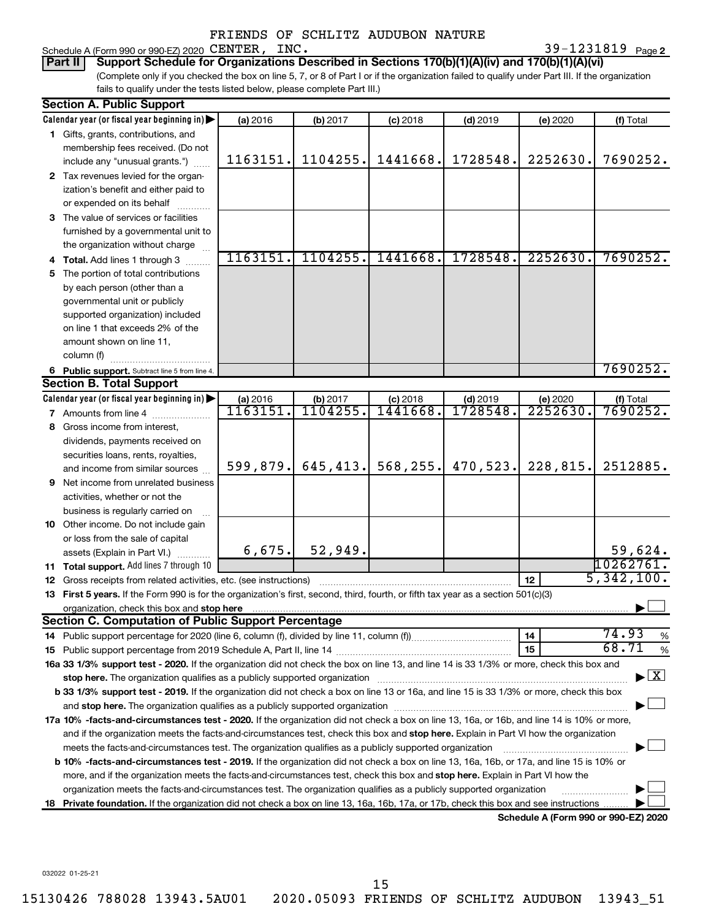Schedule A (Form 990 or 990-EZ) 2020  $\text{CENTER}$ ,  $\text{INC.}$   $39-1231819$   $_\text{Page}$ 

39-1231819 Page 2

(Complete only if you checked the box on line 5, 7, or 8 of Part I or if the organization failed to qualify under Part III. If the organization fails to qualify under the tests listed below, please complete Part III.) **Part II Support Schedule for Organizations Described in Sections 170(b)(1)(A)(iv) and 170(b)(1)(A)(vi)**

| <b>Section A. Public Support</b>                                                                                                                                                                                                                                                                 |                     |                     |                        |                        |                                      |                                    |
|--------------------------------------------------------------------------------------------------------------------------------------------------------------------------------------------------------------------------------------------------------------------------------------------------|---------------------|---------------------|------------------------|------------------------|--------------------------------------|------------------------------------|
| Calendar year (or fiscal year beginning in)                                                                                                                                                                                                                                                      | (a) 2016            | (b) 2017            | $(c)$ 2018             | $(d)$ 2019             | (e) 2020                             | (f) Total                          |
| 1 Gifts, grants, contributions, and                                                                                                                                                                                                                                                              |                     |                     |                        |                        |                                      |                                    |
| membership fees received. (Do not                                                                                                                                                                                                                                                                |                     |                     |                        |                        |                                      |                                    |
| include any "unusual grants.")                                                                                                                                                                                                                                                                   | 1163151.            | 1104255.            | 1441668.               | 1728548.               | 2252630.                             | 7690252.                           |
| 2 Tax revenues levied for the organ-                                                                                                                                                                                                                                                             |                     |                     |                        |                        |                                      |                                    |
| ization's benefit and either paid to                                                                                                                                                                                                                                                             |                     |                     |                        |                        |                                      |                                    |
| or expended on its behalf                                                                                                                                                                                                                                                                        |                     |                     |                        |                        |                                      |                                    |
| 3 The value of services or facilities                                                                                                                                                                                                                                                            |                     |                     |                        |                        |                                      |                                    |
| furnished by a governmental unit to                                                                                                                                                                                                                                                              |                     |                     |                        |                        |                                      |                                    |
| the organization without charge                                                                                                                                                                                                                                                                  |                     |                     |                        |                        |                                      |                                    |
| 4 Total. Add lines 1 through 3                                                                                                                                                                                                                                                                   | 1163151.            | 1104255.            | 1441668.               | 1728548.               | 2252630.                             | 7690252.                           |
| 5 The portion of total contributions                                                                                                                                                                                                                                                             |                     |                     |                        |                        |                                      |                                    |
| by each person (other than a                                                                                                                                                                                                                                                                     |                     |                     |                        |                        |                                      |                                    |
| governmental unit or publicly                                                                                                                                                                                                                                                                    |                     |                     |                        |                        |                                      |                                    |
| supported organization) included                                                                                                                                                                                                                                                                 |                     |                     |                        |                        |                                      |                                    |
| on line 1 that exceeds 2% of the                                                                                                                                                                                                                                                                 |                     |                     |                        |                        |                                      |                                    |
| amount shown on line 11,                                                                                                                                                                                                                                                                         |                     |                     |                        |                        |                                      |                                    |
| column (f)                                                                                                                                                                                                                                                                                       |                     |                     |                        |                        |                                      |                                    |
| 6 Public support. Subtract line 5 from line 4.                                                                                                                                                                                                                                                   |                     |                     |                        |                        |                                      | 7690252.                           |
| <b>Section B. Total Support</b>                                                                                                                                                                                                                                                                  |                     |                     |                        |                        |                                      |                                    |
| Calendar year (or fiscal year beginning in)                                                                                                                                                                                                                                                      | (a) 2016<br>1163151 | (b) 2017<br>1104255 | $(c)$ 2018<br>1441668. | $(d)$ 2019<br>1728548. | (e) 2020<br>2252630.                 | (f) Total<br>7690252.              |
| <b>7</b> Amounts from line 4                                                                                                                                                                                                                                                                     |                     |                     |                        |                        |                                      |                                    |
| 8 Gross income from interest,                                                                                                                                                                                                                                                                    |                     |                     |                        |                        |                                      |                                    |
| dividends, payments received on                                                                                                                                                                                                                                                                  |                     |                     |                        |                        |                                      |                                    |
| securities loans, rents, royalties,                                                                                                                                                                                                                                                              | 599,879.            | 645, 413.           | 568, 255.              | 470,523.               | 228,815.                             | 2512885.                           |
| and income from similar sources                                                                                                                                                                                                                                                                  |                     |                     |                        |                        |                                      |                                    |
| <b>9</b> Net income from unrelated business                                                                                                                                                                                                                                                      |                     |                     |                        |                        |                                      |                                    |
| activities, whether or not the                                                                                                                                                                                                                                                                   |                     |                     |                        |                        |                                      |                                    |
| business is regularly carried on                                                                                                                                                                                                                                                                 |                     |                     |                        |                        |                                      |                                    |
| 10 Other income. Do not include gain                                                                                                                                                                                                                                                             |                     |                     |                        |                        |                                      |                                    |
| or loss from the sale of capital                                                                                                                                                                                                                                                                 | 6,675.              | 52,949.             |                        |                        |                                      |                                    |
| assets (Explain in Part VI.)                                                                                                                                                                                                                                                                     |                     |                     |                        |                        |                                      | 59,624.<br>10262761.               |
| 11 Total support. Add lines 7 through 10                                                                                                                                                                                                                                                         |                     |                     |                        |                        | 12                                   | 5,342,100.                         |
| <b>12</b> Gross receipts from related activities, etc. (see instructions)                                                                                                                                                                                                                        |                     |                     |                        |                        |                                      |                                    |
| 13 First 5 years. If the Form 990 is for the organization's first, second, third, fourth, or fifth tax year as a section 501(c)(3)                                                                                                                                                               |                     |                     |                        |                        |                                      |                                    |
| organization, check this box and stop here <b>construction and the construction</b> of the construction of the construction of the construction of the construction of the construction of the construction of the construction of<br><b>Section C. Computation of Public Support Percentage</b> |                     |                     |                        |                        |                                      |                                    |
|                                                                                                                                                                                                                                                                                                  |                     |                     |                        |                        | 14                                   | 74.93<br>%                         |
|                                                                                                                                                                                                                                                                                                  |                     |                     |                        |                        | 15                                   | 68.71<br>%                         |
| 16a 33 1/3% support test - 2020. If the organization did not check the box on line 13, and line 14 is 33 1/3% or more, check this box and                                                                                                                                                        |                     |                     |                        |                        |                                      |                                    |
| stop here. The organization qualifies as a publicly supported organization manufaction manufacture or the organization manufacture or the organization manufacture or the organization manufacture or the state of the state o                                                                   |                     |                     |                        |                        |                                      | $\blacktriangleright$ $\mathbf{X}$ |
| b 33 1/3% support test - 2019. If the organization did not check a box on line 13 or 16a, and line 15 is 33 1/3% or more, check this box                                                                                                                                                         |                     |                     |                        |                        |                                      |                                    |
|                                                                                                                                                                                                                                                                                                  |                     |                     |                        |                        |                                      |                                    |
| 17a 10% -facts-and-circumstances test - 2020. If the organization did not check a box on line 13, 16a, or 16b, and line 14 is 10% or more,                                                                                                                                                       |                     |                     |                        |                        |                                      |                                    |
| and if the organization meets the facts-and-circumstances test, check this box and stop here. Explain in Part VI how the organization                                                                                                                                                            |                     |                     |                        |                        |                                      |                                    |
| meets the facts-and-circumstances test. The organization qualifies as a publicly supported organization                                                                                                                                                                                          |                     |                     |                        |                        |                                      |                                    |
| <b>b 10%</b> -facts-and-circumstances test - 2019. If the organization did not check a box on line 13, 16a, 16b, or 17a, and line 15 is 10% or                                                                                                                                                   |                     |                     |                        |                        |                                      |                                    |
| more, and if the organization meets the facts-and-circumstances test, check this box and <b>stop here.</b> Explain in Part VI how the                                                                                                                                                            |                     |                     |                        |                        |                                      |                                    |
| organization meets the facts-and-circumstances test. The organization qualifies as a publicly supported organization                                                                                                                                                                             |                     |                     |                        |                        |                                      |                                    |
| 18 Private foundation. If the organization did not check a box on line 13, 16a, 16b, 17a, or 17b, check this box and see instructions.                                                                                                                                                           |                     |                     |                        |                        |                                      |                                    |
|                                                                                                                                                                                                                                                                                                  |                     |                     |                        |                        | Schedule A (Form 990 or 990-EZ) 2020 |                                    |

032022 01-25-21

15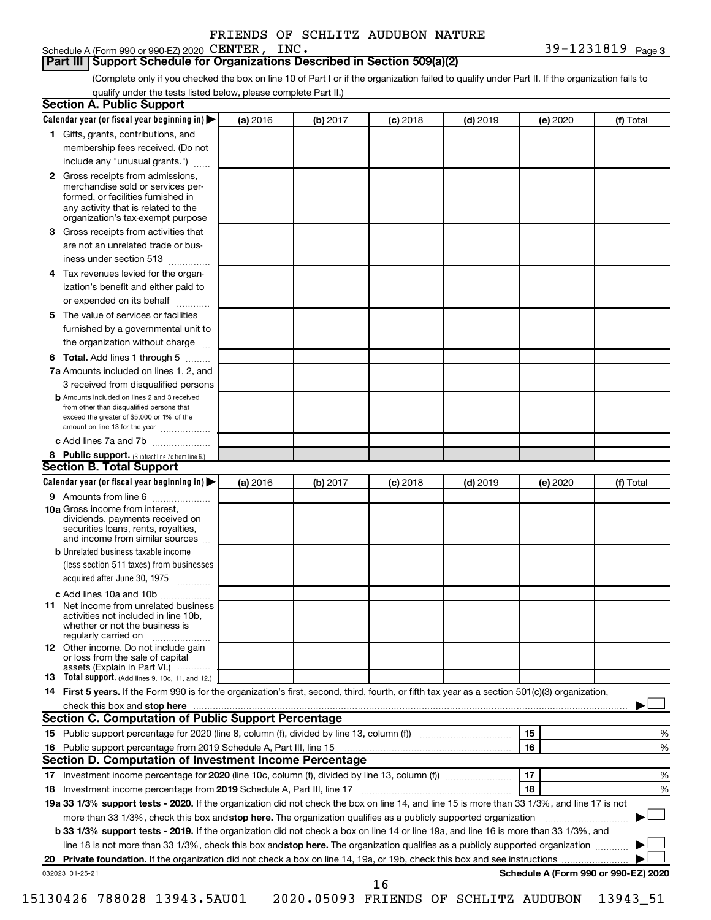# Schedule A (Form 990 or 990-EZ) 2020 CENTER, INC.

### **Part III Support Schedule for Organizations Described in Section 509(a)(2)**

(Complete only if you checked the box on line 10 of Part I or if the organization failed to qualify under Part II. If the organization fails to qualify under the tests listed below, please complete Part II.)

|    | Calendar year (or fiscal year beginning in)                                                                                                                                                                                                                      | (a) 2016 | (b) 2017 | $(c)$ 2018 | $(d)$ 2019 |    | (e) 2020 | (f) Total                            |
|----|------------------------------------------------------------------------------------------------------------------------------------------------------------------------------------------------------------------------------------------------------------------|----------|----------|------------|------------|----|----------|--------------------------------------|
|    | 1 Gifts, grants, contributions, and                                                                                                                                                                                                                              |          |          |            |            |    |          |                                      |
|    | membership fees received. (Do not                                                                                                                                                                                                                                |          |          |            |            |    |          |                                      |
|    | include any "unusual grants.")                                                                                                                                                                                                                                   |          |          |            |            |    |          |                                      |
|    | 2 Gross receipts from admissions,<br>merchandise sold or services per-<br>formed, or facilities furnished in<br>any activity that is related to the<br>organization's tax-exempt purpose                                                                         |          |          |            |            |    |          |                                      |
| 3  | Gross receipts from activities that                                                                                                                                                                                                                              |          |          |            |            |    |          |                                      |
|    | are not an unrelated trade or bus-                                                                                                                                                                                                                               |          |          |            |            |    |          |                                      |
|    | iness under section 513                                                                                                                                                                                                                                          |          |          |            |            |    |          |                                      |
| 4  | Tax revenues levied for the organ-                                                                                                                                                                                                                               |          |          |            |            |    |          |                                      |
|    | ization's benefit and either paid to<br>or expended on its behalf<br>.                                                                                                                                                                                           |          |          |            |            |    |          |                                      |
| 5. | The value of services or facilities                                                                                                                                                                                                                              |          |          |            |            |    |          |                                      |
|    | furnished by a governmental unit to<br>the organization without charge                                                                                                                                                                                           |          |          |            |            |    |          |                                      |
|    |                                                                                                                                                                                                                                                                  |          |          |            |            |    |          |                                      |
| 6  | Total. Add lines 1 through 5                                                                                                                                                                                                                                     |          |          |            |            |    |          |                                      |
|    | 7a Amounts included on lines 1, 2, and                                                                                                                                                                                                                           |          |          |            |            |    |          |                                      |
|    | 3 received from disqualified persons<br><b>b</b> Amounts included on lines 2 and 3 received                                                                                                                                                                      |          |          |            |            |    |          |                                      |
|    | from other than disqualified persons that<br>exceed the greater of \$5,000 or 1% of the<br>amount on line 13 for the year                                                                                                                                        |          |          |            |            |    |          |                                      |
|    | c Add lines 7a and 7b                                                                                                                                                                                                                                            |          |          |            |            |    |          |                                      |
|    | 8 Public support. (Subtract line 7c from line 6.)                                                                                                                                                                                                                |          |          |            |            |    |          |                                      |
|    | <b>Section B. Total Support</b>                                                                                                                                                                                                                                  |          |          |            |            |    |          |                                      |
|    | Calendar year (or fiscal year beginning in)                                                                                                                                                                                                                      | (a) 2016 | (b) 2017 | $(c)$ 2018 | $(d)$ 2019 |    | (e) 2020 | (f) Total                            |
|    | 9 Amounts from line 6                                                                                                                                                                                                                                            |          |          |            |            |    |          |                                      |
|    | <b>10a</b> Gross income from interest,<br>dividends, payments received on<br>securities loans, rents, royalties,<br>and income from similar sources                                                                                                              |          |          |            |            |    |          |                                      |
|    | <b>b</b> Unrelated business taxable income                                                                                                                                                                                                                       |          |          |            |            |    |          |                                      |
|    | (less section 511 taxes) from businesses<br>acquired after June 30, 1975                                                                                                                                                                                         |          |          |            |            |    |          |                                      |
|    | c Add lines 10a and 10b                                                                                                                                                                                                                                          |          |          |            |            |    |          |                                      |
| 11 | Net income from unrelated business<br>activities not included in line 10b.<br>whether or not the business is<br>regularly carried on                                                                                                                             |          |          |            |            |    |          |                                      |
|    | 12 Other income. Do not include gain<br>or loss from the sale of capital<br>assets (Explain in Part VI.)                                                                                                                                                         |          |          |            |            |    |          |                                      |
|    | <b>13</b> Total support. (Add lines 9, 10c, 11, and 12.)                                                                                                                                                                                                         |          |          |            |            |    |          |                                      |
|    | 14 First 5 years. If the Form 990 is for the organization's first, second, third, fourth, or fifth tax year as a section 501(c)(3) organization,                                                                                                                 |          |          |            |            |    |          |                                      |
|    | check this box and stop here measurements and stop here and stop here are all the substitutions of the state of the state of the state of the state of the state of the state of the state of the state of the state of the st                                   |          |          |            |            |    |          |                                      |
|    | <b>Section C. Computation of Public Support Percentage</b>                                                                                                                                                                                                       |          |          |            |            |    |          |                                      |
|    |                                                                                                                                                                                                                                                                  |          |          |            |            | 15 |          | %                                    |
|    |                                                                                                                                                                                                                                                                  |          |          |            |            | 16 |          | %                                    |
|    |                                                                                                                                                                                                                                                                  |          |          |            |            |    |          |                                      |
|    | Section D. Computation of Investment Income Percentage                                                                                                                                                                                                           |          |          |            |            | 17 |          | %                                    |
|    |                                                                                                                                                                                                                                                                  |          |          |            |            |    |          |                                      |
|    |                                                                                                                                                                                                                                                                  |          |          |            |            | 18 |          |                                      |
|    |                                                                                                                                                                                                                                                                  |          |          |            |            |    |          |                                      |
|    | 19a 33 1/3% support tests - 2020. If the organization did not check the box on line 14, and line 15 is more than 33 1/3%, and line 17 is not                                                                                                                     |          |          |            |            |    |          |                                      |
|    | more than 33 1/3%, check this box and stop here. The organization qualifies as a publicly supported organization<br><b>b 33 1/3% support tests - 2019.</b> If the organization did not check a box on line 14 or line 19a, and line 16 is more than 33 1/3%, and |          |          |            |            |    |          |                                      |
|    | line 18 is not more than 33 1/3%, check this box and stop here. The organization qualifies as a publicly supported organization                                                                                                                                  |          |          |            |            |    |          | %                                    |
|    | 032023 01-25-21                                                                                                                                                                                                                                                  |          |          |            |            |    |          | Schedule A (Form 990 or 990-EZ) 2020 |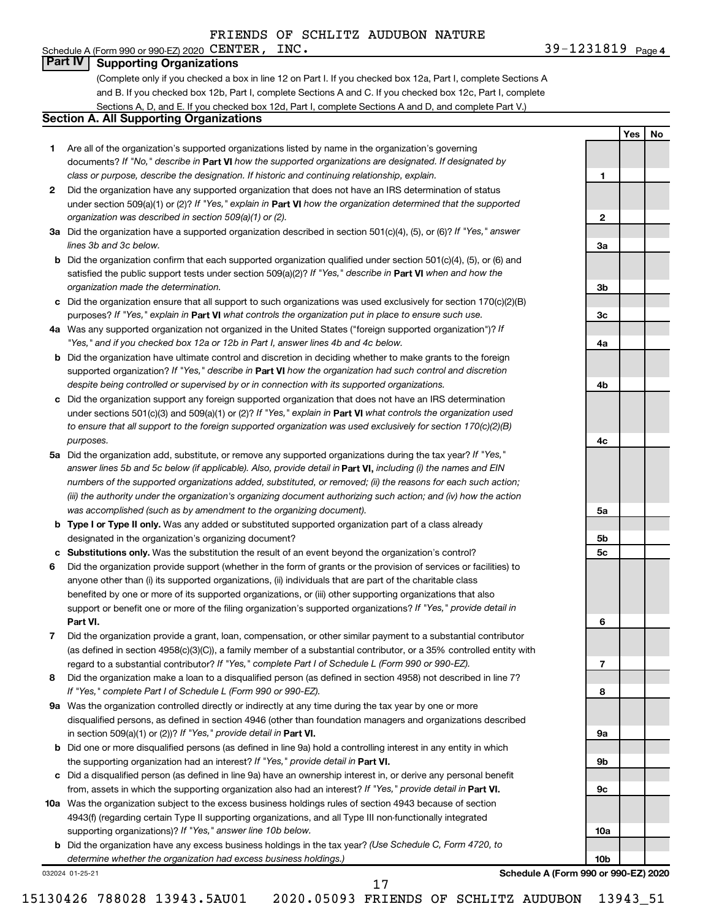### Schedule A (Form 990 or 990-EZ) 2020 CENTER,  $INC$ . **Part IV Supporting Organizations**

(Complete only if you checked a box in line 12 on Part I. If you checked box 12a, Part I, complete Sections A and B. If you checked box 12b, Part I, complete Sections A and C. If you checked box 12c, Part I, complete Sections A, D, and E. If you checked box 12d, Part I, complete Sections A and D, and complete Part V.)

# **Section A. All Supporting Organizations**

- **1** Are all of the organization's supported organizations listed by name in the organization's governing documents? If "No," describe in Part VI how the supported organizations are designated. If designated by *class or purpose, describe the designation. If historic and continuing relationship, explain.*
- **2** Did the organization have any supported organization that does not have an IRS determination of status under section 509(a)(1) or (2)? If "Yes," explain in Part **VI** how the organization determined that the supported *organization was described in section 509(a)(1) or (2).*
- **3a** Did the organization have a supported organization described in section 501(c)(4), (5), or (6)? If "Yes," answer *lines 3b and 3c below.*
- **b** Did the organization confirm that each supported organization qualified under section 501(c)(4), (5), or (6) and satisfied the public support tests under section 509(a)(2)? If "Yes," describe in Part VI when and how the *organization made the determination.*
- **c** Did the organization ensure that all support to such organizations was used exclusively for section 170(c)(2)(B) purposes? If "Yes," explain in Part VI what controls the organization put in place to ensure such use.
- **4 a** *If* Was any supported organization not organized in the United States ("foreign supported organization")? *"Yes," and if you checked box 12a or 12b in Part I, answer lines 4b and 4c below.*
- **b** Did the organization have ultimate control and discretion in deciding whether to make grants to the foreign supported organization? If "Yes," describe in Part VI how the organization had such control and discretion *despite being controlled or supervised by or in connection with its supported organizations.*
- **c** Did the organization support any foreign supported organization that does not have an IRS determination under sections 501(c)(3) and 509(a)(1) or (2)? If "Yes," explain in Part VI what controls the organization used *to ensure that all support to the foreign supported organization was used exclusively for section 170(c)(2)(B) purposes.*
- **5a** Did the organization add, substitute, or remove any supported organizations during the tax year? If "Yes," answer lines 5b and 5c below (if applicable). Also, provide detail in **Part VI,** including (i) the names and EIN *numbers of the supported organizations added, substituted, or removed; (ii) the reasons for each such action; (iii) the authority under the organization's organizing document authorizing such action; and (iv) how the action was accomplished (such as by amendment to the organizing document).*
- **b Type I or Type II only.** Was any added or substituted supported organization part of a class already designated in the organization's organizing document?
- **c Substitutions only.**  Was the substitution the result of an event beyond the organization's control?
- **6** Did the organization provide support (whether in the form of grants or the provision of services or facilities) to **Part VI.** support or benefit one or more of the filing organization's supported organizations? If "Yes," provide detail in anyone other than (i) its supported organizations, (ii) individuals that are part of the charitable class benefited by one or more of its supported organizations, or (iii) other supporting organizations that also
- **7** Did the organization provide a grant, loan, compensation, or other similar payment to a substantial contributor regard to a substantial contributor? If "Yes," complete Part I of Schedule L (Form 990 or 990-EZ). (as defined in section 4958(c)(3)(C)), a family member of a substantial contributor, or a 35% controlled entity with
- **8** Did the organization make a loan to a disqualified person (as defined in section 4958) not described in line 7? *If "Yes," complete Part I of Schedule L (Form 990 or 990-EZ).*
- **9 a** Was the organization controlled directly or indirectly at any time during the tax year by one or more in section 509(a)(1) or (2))? If "Yes," provide detail in **Part VI.** disqualified persons, as defined in section 4946 (other than foundation managers and organizations described
- **b** Did one or more disqualified persons (as defined in line 9a) hold a controlling interest in any entity in which the supporting organization had an interest? If "Yes," provide detail in Part VI.
- **c** Did a disqualified person (as defined in line 9a) have an ownership interest in, or derive any personal benefit from, assets in which the supporting organization also had an interest? If "Yes," provide detail in Part VI.
- **10 a** Was the organization subject to the excess business holdings rules of section 4943 because of section supporting organizations)? If "Yes," answer line 10b below. 4943(f) (regarding certain Type II supporting organizations, and all Type III non-functionally integrated
	- **b** Did the organization have any excess business holdings in the tax year? (Use Schedule C, Form 4720, to *determine whether the organization had excess business holdings.)*

032024 01-25-21

**Schedule A (Form 990 or 990-EZ) 2020**

**1**

**2**

**3a**

**3b**

**3c**

**4a**

**4b**

**4c**

**5a**

**5b 5c**

**6**

**7**

**8**

**9a**

**9b**

**9c**

**10a**

**10b**

**Yes No**

17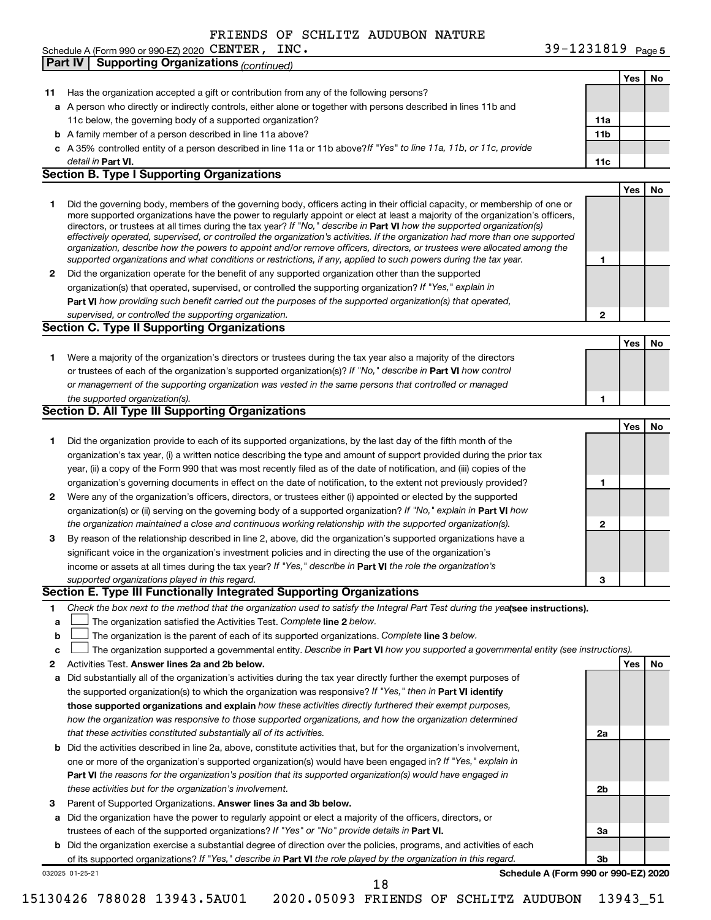Schedule A (Form 990 or 990-EZ) 2020  $\text{CENTER}$ ,  $\text{INC.}$   $39-1231819$   $_\text{Page}$ 

|    | <b>Supporting Organizations (continued)</b><br>Part IV                                                                                                                                                                                                      |                 |     |    |
|----|-------------------------------------------------------------------------------------------------------------------------------------------------------------------------------------------------------------------------------------------------------------|-----------------|-----|----|
|    |                                                                                                                                                                                                                                                             |                 | Yes | No |
| 11 | Has the organization accepted a gift or contribution from any of the following persons?                                                                                                                                                                     |                 |     |    |
|    | a A person who directly or indirectly controls, either alone or together with persons described in lines 11b and                                                                                                                                            |                 |     |    |
|    | 11c below, the governing body of a supported organization?                                                                                                                                                                                                  | 11a             |     |    |
|    | <b>b</b> A family member of a person described in line 11a above?                                                                                                                                                                                           | 11 <sub>b</sub> |     |    |
|    | c A 35% controlled entity of a person described in line 11a or 11b above? If "Yes" to line 11a, 11b, or 11c, provide                                                                                                                                        |                 |     |    |
|    | detail in Part VI.                                                                                                                                                                                                                                          | 11c             |     |    |
|    | <b>Section B. Type I Supporting Organizations</b>                                                                                                                                                                                                           |                 |     |    |
|    |                                                                                                                                                                                                                                                             |                 | Yes | No |
|    |                                                                                                                                                                                                                                                             |                 |     |    |
| 1  | Did the governing body, members of the governing body, officers acting in their official capacity, or membership of one or<br>more supported organizations have the power to regularly appoint or elect at least a majority of the organization's officers, |                 |     |    |
|    | directors, or trustees at all times during the tax year? If "No," describe in Part VI how the supported organization(s)                                                                                                                                     |                 |     |    |
|    | effectively operated, supervised, or controlled the organization's activities. If the organization had more than one supported                                                                                                                              |                 |     |    |
|    | organization, describe how the powers to appoint and/or remove officers, directors, or trustees were allocated among the                                                                                                                                    |                 |     |    |
|    | supported organizations and what conditions or restrictions, if any, applied to such powers during the tax year.                                                                                                                                            | 1               |     |    |
| 2  | Did the organization operate for the benefit of any supported organization other than the supported                                                                                                                                                         |                 |     |    |
|    | organization(s) that operated, supervised, or controlled the supporting organization? If "Yes," explain in                                                                                                                                                  |                 |     |    |
|    | Part VI how providing such benefit carried out the purposes of the supported organization(s) that operated,                                                                                                                                                 |                 |     |    |
|    | supervised, or controlled the supporting organization.                                                                                                                                                                                                      | $\mathbf{2}$    |     |    |
|    | <b>Section C. Type II Supporting Organizations</b>                                                                                                                                                                                                          |                 |     |    |
|    |                                                                                                                                                                                                                                                             |                 | Yes | No |
| 1. | Were a majority of the organization's directors or trustees during the tax year also a majority of the directors                                                                                                                                            |                 |     |    |
|    | or trustees of each of the organization's supported organization(s)? If "No," describe in Part VI how control                                                                                                                                               |                 |     |    |
|    | or management of the supporting organization was vested in the same persons that controlled or managed                                                                                                                                                      |                 |     |    |
|    | the supported organization(s).                                                                                                                                                                                                                              | 1               |     |    |
|    | Section D. All Type III Supporting Organizations                                                                                                                                                                                                            |                 |     |    |
|    |                                                                                                                                                                                                                                                             |                 | Yes | No |
| 1  | Did the organization provide to each of its supported organizations, by the last day of the fifth month of the                                                                                                                                              |                 |     |    |
|    | organization's tax year, (i) a written notice describing the type and amount of support provided during the prior tax                                                                                                                                       |                 |     |    |
|    | year, (ii) a copy of the Form 990 that was most recently filed as of the date of notification, and (iii) copies of the                                                                                                                                      |                 |     |    |
|    | organization's governing documents in effect on the date of notification, to the extent not previously provided?                                                                                                                                            | 1               |     |    |
| 2  | Were any of the organization's officers, directors, or trustees either (i) appointed or elected by the supported                                                                                                                                            |                 |     |    |
|    | organization(s) or (ii) serving on the governing body of a supported organization? If "No," explain in Part VI how                                                                                                                                          |                 |     |    |
|    | the organization maintained a close and continuous working relationship with the supported organization(s).                                                                                                                                                 | $\mathbf{2}$    |     |    |
| 3  | By reason of the relationship described in line 2, above, did the organization's supported organizations have a                                                                                                                                             |                 |     |    |
|    | significant voice in the organization's investment policies and in directing the use of the organization's                                                                                                                                                  |                 |     |    |
|    | income or assets at all times during the tax year? If "Yes," describe in Part VI the role the organization's                                                                                                                                                |                 |     |    |
|    | supported organizations played in this regard.                                                                                                                                                                                                              | 3               |     |    |
|    | Section E. Type III Functionally Integrated Supporting Organizations                                                                                                                                                                                        |                 |     |    |
|    |                                                                                                                                                                                                                                                             |                 |     |    |
| 1  | Check the box next to the method that the organization used to satisfy the Integral Part Test during the yealsee instructions).                                                                                                                             |                 |     |    |
| a  | The organization satisfied the Activities Test. Complete line 2 below.                                                                                                                                                                                      |                 |     |    |
| b  | The organization is the parent of each of its supported organizations. Complete line 3 below.                                                                                                                                                               |                 |     |    |
| с  | The organization supported a governmental entity. Describe in Part VI how you supported a governmental entity (see instructions).                                                                                                                           |                 |     |    |
| 2  | Activities Test. Answer lines 2a and 2b below.                                                                                                                                                                                                              |                 | Yes | No |
| а  | Did substantially all of the organization's activities during the tax year directly further the exempt purposes of                                                                                                                                          |                 |     |    |
|    | the supported organization(s) to which the organization was responsive? If "Yes," then in Part VI identify                                                                                                                                                  |                 |     |    |
|    | those supported organizations and explain how these activities directly furthered their exempt purposes,                                                                                                                                                    |                 |     |    |
|    | how the organization was responsive to those supported organizations, and how the organization determined                                                                                                                                                   |                 |     |    |
|    | that these activities constituted substantially all of its activities.                                                                                                                                                                                      | 2a              |     |    |
| b  | Did the activities described in line 2a, above, constitute activities that, but for the organization's involvement,                                                                                                                                         |                 |     |    |
|    | one or more of the organization's supported organization(s) would have been engaged in? If "Yes," explain in                                                                                                                                                |                 |     |    |
|    | Part VI the reasons for the organization's position that its supported organization(s) would have engaged in                                                                                                                                                |                 |     |    |
|    | these activities but for the organization's involvement.                                                                                                                                                                                                    | 2b              |     |    |
| З  | Parent of Supported Organizations. Answer lines 3a and 3b below.                                                                                                                                                                                            |                 |     |    |
| а  | Did the organization have the power to regularly appoint or elect a majority of the officers, directors, or                                                                                                                                                 |                 |     |    |
|    | trustees of each of the supported organizations? If "Yes" or "No" provide details in Part VI.                                                                                                                                                               | За              |     |    |
|    | <b>b</b> Did the organization exercise a substantial degree of direction over the policies, programs, and activities of each                                                                                                                                |                 |     |    |
|    | of its supported organizations? If "Yes," describe in Part VI the role played by the organization in this regard.                                                                                                                                           | Зb              |     |    |
|    | Schedule A (Form 990 or 990-EZ) 2020<br>032025 01-25-21                                                                                                                                                                                                     |                 |     |    |

15130426 788028 13943.5AU01 2020.05093 FRIENDS OF SCHLITZ AUDUBON 13943\_51

18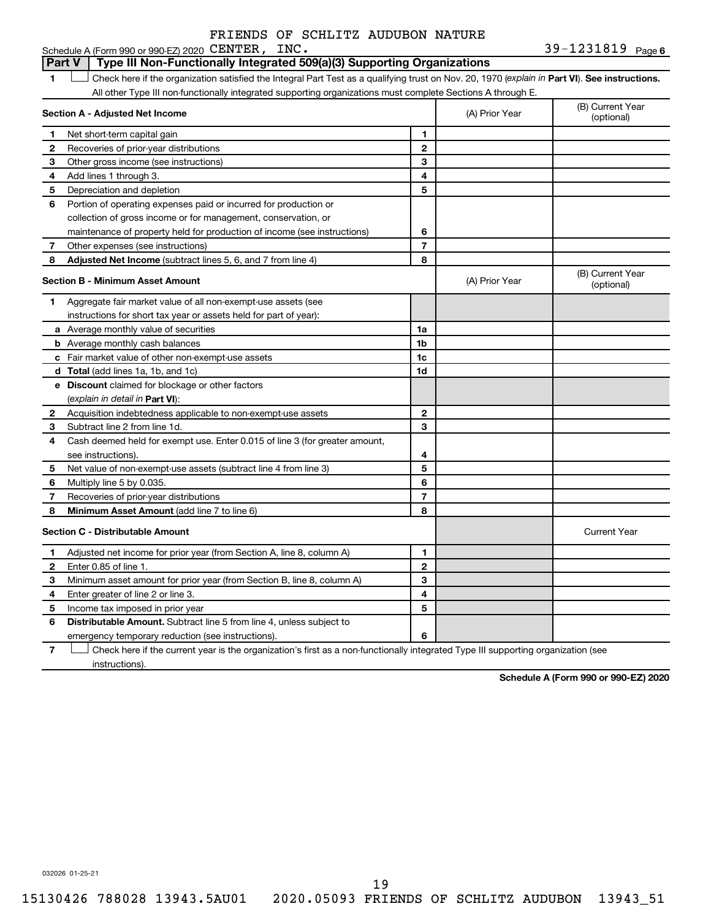Schedule A (Form 990 or 990-EZ)  $2020$  CENTER, INC.

#### 1 **Letter See instructions.** Check here if the organization satisfied the Integral Part Test as a qualifying trust on Nov. 20, 1970 (*explain in* Part **VI**). See instructions. **Section A - Adjusted Net Income 1 2 3 4 5 6 7 8 1 2 3 4 5 6 7 Adjusted Net Income** (subtract lines 5, 6, and 7 from line 4) **8 8 Section B - Minimum Asset Amount 1 2 3 4 5 6 7 8 a** Average monthly value of securities **b** Average monthly cash balances **c** Fair market value of other non-exempt-use assets **d Total**  (add lines 1a, 1b, and 1c) **e Discount** claimed for blockage or other factors **1a 1b 1c 1d 2 3 4 5 6 7 8** (explain in detail in Part VI): **Minimum Asset Amount**  (add line 7 to line 6) **Section C - Distributable Amount 1 2 3 4 5 6 1 2 3 4 5 6** Distributable Amount. Subtract line 5 from line 4, unless subject to All other Type III non-functionally integrated supporting organizations must complete Sections A through E. (B) Current Year (A) Prior Year Net short-term capital gain Recoveries of prior-year distributions Other gross income (see instructions) Add lines 1 through 3. Depreciation and depletion Portion of operating expenses paid or incurred for production or collection of gross income or for management, conservation, or maintenance of property held for production of income (see instructions) Other expenses (see instructions) (B) Current Year  $(A)$  Prior Year  $\left\{\n\begin{array}{ccc}\n\end{array}\n\right\}$  (optional) Aggregate fair market value of all non-exempt-use assets (see instructions for short tax year or assets held for part of year): Acquisition indebtedness applicable to non-exempt-use assets Subtract line 2 from line 1d. Cash deemed held for exempt use. Enter 0.015 of line 3 (for greater amount, see instructions). Net value of non-exempt-use assets (subtract line 4 from line 3) Multiply line 5 by 0.035. Recoveries of prior-year distributions Current Year Adjusted net income for prior year (from Section A, line 8, column A) Enter 0.85 of line 1. Minimum asset amount for prior year (from Section B, line 8, column A) Enter greater of line 2 or line 3. Income tax imposed in prior year emergency temporary reduction (see instructions). **Part V Type III Non-Functionally Integrated 509(a)(3) Supporting Organizations**

**7** Check here if the current year is the organization's first as a non-functionally integrated Type III supporting organization (see † instructions).

**Schedule A (Form 990 or 990-EZ) 2020**

032026 01-25-21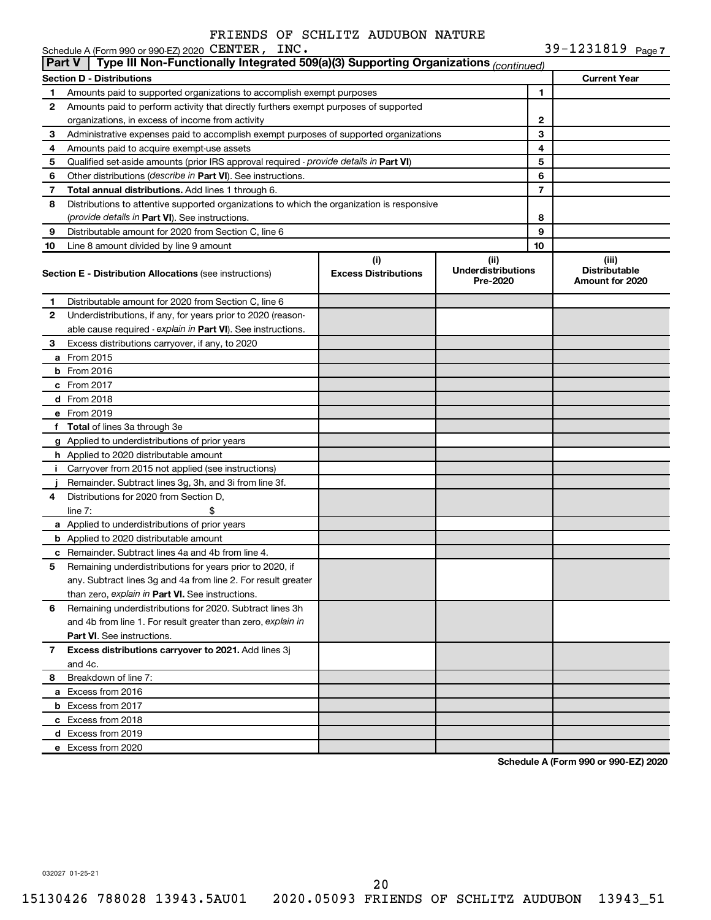**7**  $39 - 1231819$ 

| Part V | Schedule A (Form 990 or 990-EZ) 2020 CENTER, INC.<br>Type III Non-Functionally Integrated 509(a)(3) Supporting Organizations (continued) |                             |                                       |    | 39-1231819 Page 7                       |
|--------|------------------------------------------------------------------------------------------------------------------------------------------|-----------------------------|---------------------------------------|----|-----------------------------------------|
|        |                                                                                                                                          |                             |                                       |    |                                         |
|        | <b>Section D - Distributions</b>                                                                                                         |                             |                                       |    | <b>Current Year</b>                     |
| 1      | Amounts paid to supported organizations to accomplish exempt purposes                                                                    |                             |                                       | 1  |                                         |
| 2      | Amounts paid to perform activity that directly furthers exempt purposes of supported<br>organizations, in excess of income from activity |                             |                                       | 2  |                                         |
| 3      | Administrative expenses paid to accomplish exempt purposes of supported organizations                                                    |                             | 3                                     |    |                                         |
| 4      | Amounts paid to acquire exempt-use assets                                                                                                |                             |                                       | 4  |                                         |
| 5      | Qualified set-aside amounts (prior IRS approval required - provide details in Part VI)                                                   |                             |                                       | 5  |                                         |
| 6      | Other distributions (describe in Part VI). See instructions.                                                                             |                             |                                       | 6  |                                         |
| 7      | Total annual distributions. Add lines 1 through 6.                                                                                       |                             |                                       | 7  |                                         |
| 8      | Distributions to attentive supported organizations to which the organization is responsive                                               |                             |                                       |    |                                         |
|        | <i>(provide details in Part VI). See instructions.</i>                                                                                   |                             |                                       | 8  |                                         |
| 9      | Distributable amount for 2020 from Section C, line 6                                                                                     |                             |                                       | 9  |                                         |
| 10     | Line 8 amount divided by line 9 amount                                                                                                   |                             |                                       | 10 |                                         |
|        |                                                                                                                                          | (i)                         | (iii)                                 |    | (iii)                                   |
|        | <b>Section E - Distribution Allocations (see instructions)</b>                                                                           | <b>Excess Distributions</b> | <b>Underdistributions</b><br>Pre-2020 |    | <b>Distributable</b><br>Amount for 2020 |
| 1      | Distributable amount for 2020 from Section C, line 6                                                                                     |                             |                                       |    |                                         |
| 2      | Underdistributions, if any, for years prior to 2020 (reason-                                                                             |                             |                                       |    |                                         |
|        | able cause required - explain in Part VI). See instructions.                                                                             |                             |                                       |    |                                         |
| 3      | Excess distributions carryover, if any, to 2020                                                                                          |                             |                                       |    |                                         |
|        | <b>a</b> From 2015                                                                                                                       |                             |                                       |    |                                         |
|        | $b$ From 2016                                                                                                                            |                             |                                       |    |                                         |
|        | c From 2017                                                                                                                              |                             |                                       |    |                                         |
|        | <b>d</b> From 2018                                                                                                                       |                             |                                       |    |                                         |
|        | e From 2019                                                                                                                              |                             |                                       |    |                                         |
|        | f Total of lines 3a through 3e                                                                                                           |                             |                                       |    |                                         |
|        | g Applied to underdistributions of prior years                                                                                           |                             |                                       |    |                                         |
|        | h Applied to 2020 distributable amount                                                                                                   |                             |                                       |    |                                         |
|        | i Carryover from 2015 not applied (see instructions)                                                                                     |                             |                                       |    |                                         |
|        | Remainder. Subtract lines 3g, 3h, and 3i from line 3f.                                                                                   |                             |                                       |    |                                         |
| 4      | Distributions for 2020 from Section D,                                                                                                   |                             |                                       |    |                                         |
|        | line $7:$<br>\$                                                                                                                          |                             |                                       |    |                                         |
|        | a Applied to underdistributions of prior years                                                                                           |                             |                                       |    |                                         |
|        | <b>b</b> Applied to 2020 distributable amount                                                                                            |                             |                                       |    |                                         |
|        | c Remainder. Subtract lines 4a and 4b from line 4.                                                                                       |                             |                                       |    |                                         |
| 5      | Remaining underdistributions for years prior to 2020, if                                                                                 |                             |                                       |    |                                         |
|        | any. Subtract lines 3g and 4a from line 2. For result greater                                                                            |                             |                                       |    |                                         |
| 6      | than zero, explain in Part VI. See instructions.                                                                                         |                             |                                       |    |                                         |
|        | Remaining underdistributions for 2020. Subtract lines 3h                                                                                 |                             |                                       |    |                                         |
|        | and 4b from line 1. For result greater than zero, explain in                                                                             |                             |                                       |    |                                         |
| 7      | <b>Part VI.</b> See instructions.<br>Excess distributions carryover to 2021. Add lines 3j                                                |                             |                                       |    |                                         |
|        | and 4c.                                                                                                                                  |                             |                                       |    |                                         |
| 8      | Breakdown of line 7:                                                                                                                     |                             |                                       |    |                                         |
|        | a Excess from 2016                                                                                                                       |                             |                                       |    |                                         |
|        | <b>b</b> Excess from 2017                                                                                                                |                             |                                       |    |                                         |
|        | c Excess from 2018                                                                                                                       |                             |                                       |    |                                         |
|        | d Excess from 2019                                                                                                                       |                             |                                       |    |                                         |
|        | e Excess from 2020                                                                                                                       |                             |                                       |    |                                         |
|        |                                                                                                                                          |                             |                                       |    |                                         |

**Schedule A (Form 990 or 990-EZ) 2020**

032027 01-25-21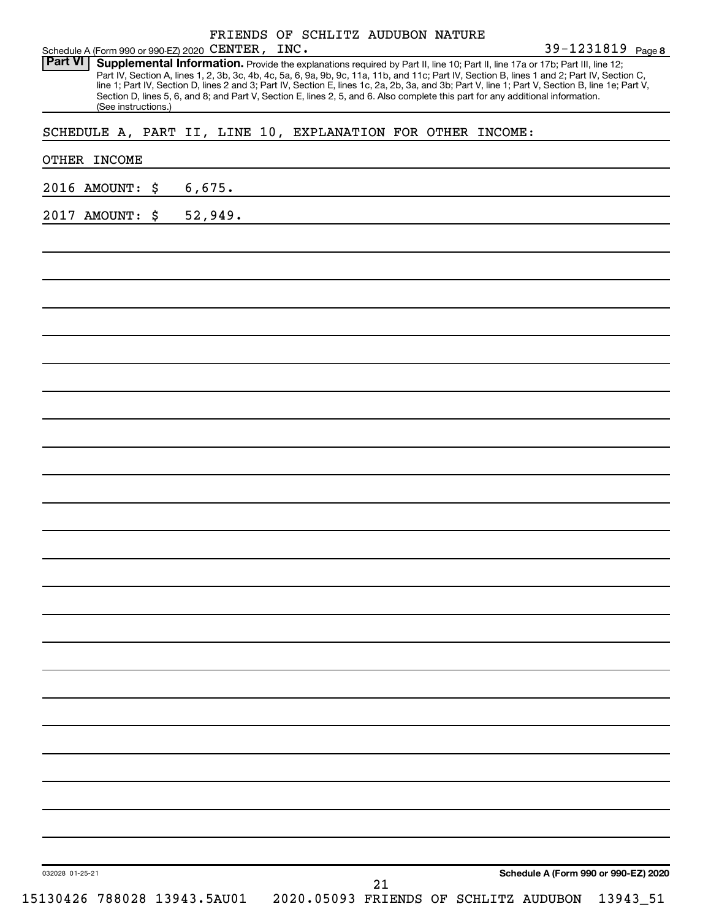| Schedule A (Form 990 or 990-EZ) 2020 CENTER, INC.           |         | FRIENDS OF SCHLITZ AUDUBON NATURE |                                                                                                                                                                                                                                                                                                                                                                                                                                                                                                                                                                      | 39-1231819 Page 8                    |
|-------------------------------------------------------------|---------|-----------------------------------|----------------------------------------------------------------------------------------------------------------------------------------------------------------------------------------------------------------------------------------------------------------------------------------------------------------------------------------------------------------------------------------------------------------------------------------------------------------------------------------------------------------------------------------------------------------------|--------------------------------------|
| <b>Part VI</b><br>(See instructions.)                       |         |                                   | Supplemental Information. Provide the explanations required by Part II, line 10; Part II, line 17a or 17b; Part III, line 12;<br>Part IV, Section A, lines 1, 2, 3b, 3c, 4b, 4c, 5a, 6, 9a, 9b, 9c, 11a, 11b, and 11c; Part IV, Section B, lines 1 and 2; Part IV, Section C,<br>line 1; Part IV, Section D, lines 2 and 3; Part IV, Section E, lines 1c, 2a, 2b, 3a, and 3b; Part V, line 1; Part V, Section B, line 1e; Part V,<br>Section D, lines 5, 6, and 8; and Part V, Section E, lines 2, 5, and 6. Also complete this part for any additional information. |                                      |
| SCHEDULE A, PART II, LINE 10, EXPLANATION FOR OTHER INCOME: |         |                                   |                                                                                                                                                                                                                                                                                                                                                                                                                                                                                                                                                                      |                                      |
| OTHER INCOME                                                |         |                                   |                                                                                                                                                                                                                                                                                                                                                                                                                                                                                                                                                                      |                                      |
| 2016 AMOUNT: \$                                             | 6,675.  |                                   |                                                                                                                                                                                                                                                                                                                                                                                                                                                                                                                                                                      |                                      |
| 2017 AMOUNT: \$                                             | 52,949. |                                   |                                                                                                                                                                                                                                                                                                                                                                                                                                                                                                                                                                      |                                      |
|                                                             |         |                                   |                                                                                                                                                                                                                                                                                                                                                                                                                                                                                                                                                                      |                                      |
|                                                             |         |                                   |                                                                                                                                                                                                                                                                                                                                                                                                                                                                                                                                                                      |                                      |
|                                                             |         |                                   |                                                                                                                                                                                                                                                                                                                                                                                                                                                                                                                                                                      |                                      |
|                                                             |         |                                   |                                                                                                                                                                                                                                                                                                                                                                                                                                                                                                                                                                      |                                      |
|                                                             |         |                                   |                                                                                                                                                                                                                                                                                                                                                                                                                                                                                                                                                                      |                                      |
|                                                             |         |                                   |                                                                                                                                                                                                                                                                                                                                                                                                                                                                                                                                                                      |                                      |
|                                                             |         |                                   |                                                                                                                                                                                                                                                                                                                                                                                                                                                                                                                                                                      |                                      |
|                                                             |         |                                   |                                                                                                                                                                                                                                                                                                                                                                                                                                                                                                                                                                      |                                      |
|                                                             |         |                                   |                                                                                                                                                                                                                                                                                                                                                                                                                                                                                                                                                                      |                                      |
|                                                             |         |                                   |                                                                                                                                                                                                                                                                                                                                                                                                                                                                                                                                                                      |                                      |
|                                                             |         |                                   |                                                                                                                                                                                                                                                                                                                                                                                                                                                                                                                                                                      |                                      |
|                                                             |         |                                   |                                                                                                                                                                                                                                                                                                                                                                                                                                                                                                                                                                      |                                      |
|                                                             |         |                                   |                                                                                                                                                                                                                                                                                                                                                                                                                                                                                                                                                                      |                                      |
|                                                             |         |                                   |                                                                                                                                                                                                                                                                                                                                                                                                                                                                                                                                                                      |                                      |
|                                                             |         |                                   |                                                                                                                                                                                                                                                                                                                                                                                                                                                                                                                                                                      |                                      |
|                                                             |         |                                   |                                                                                                                                                                                                                                                                                                                                                                                                                                                                                                                                                                      | Schedule A (Form 990 or 990-EZ) 2020 |
| 032028 01-25-21<br>15130426 788028 13943.5AU01              |         | 21                                | 2020.05093 FRIENDS OF SCHLITZ AUDUBON                                                                                                                                                                                                                                                                                                                                                                                                                                                                                                                                | 13943_51                             |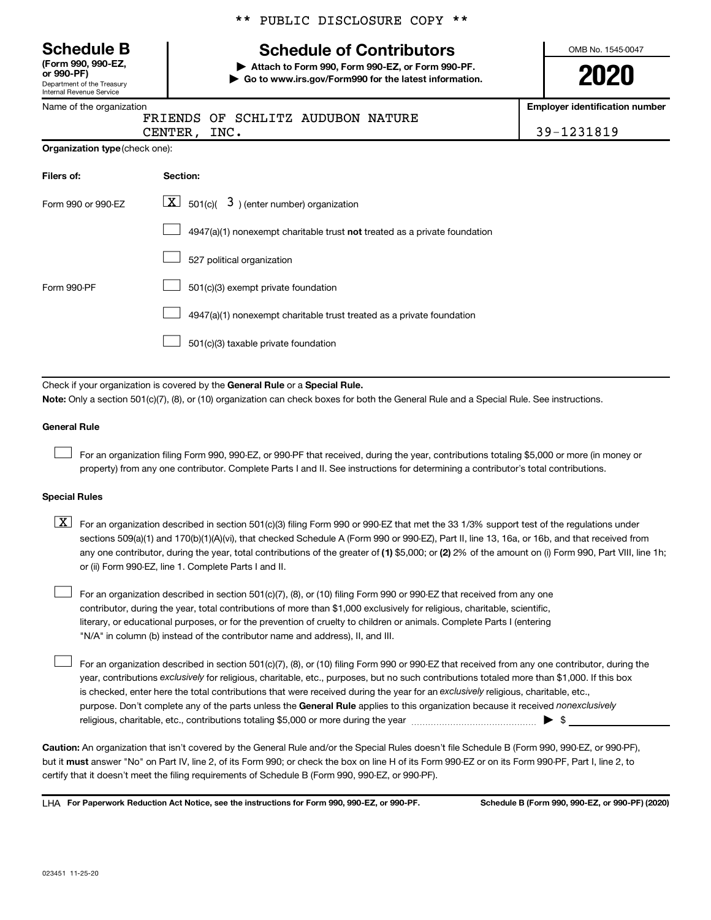Department of the Treasury Internal Revenue Service **(Form 990, 990-EZ,**

|  |  | ** PUBLIC DISCLOSURE COPY ** |  |  |
|--|--|------------------------------|--|--|
|--|--|------------------------------|--|--|

# **Schedule B Schedule of Contributors**

**or 990-PF) | Attach to Form 990, Form 990-EZ, or Form 990-PF. | Go to www.irs.gov/Form990 for the latest information.** OMB No. 1545-0047

**2020**

**Employer identification number**

|  | Name of the organization |
|--|--------------------------|
|  |                          |

|                                       | FRIENDS OF SCHLITZ AUDUBON NATURE |            |
|---------------------------------------|-----------------------------------|------------|
| CENTER, INC.                          |                                   | 39-1231819 |
| <b>Organization type (check one):</b> |                                   |            |
|                                       |                                   |            |

| Filers of:         | Section:                                                                  |
|--------------------|---------------------------------------------------------------------------|
| Form 990 or 990-EZ | $ \mathbf{X} $ 501(c)( 3) (enter number) organization                     |
|                    | 4947(a)(1) nonexempt charitable trust not treated as a private foundation |
|                    | 527 political organization                                                |
| Form 990-PF        | 501(c)(3) exempt private foundation                                       |
|                    | 4947(a)(1) nonexempt charitable trust treated as a private foundation     |
|                    | 501(c)(3) taxable private foundation                                      |

Check if your organization is covered by the General Rule or a Special Rule.

**Note:**  Only a section 501(c)(7), (8), or (10) organization can check boxes for both the General Rule and a Special Rule. See instructions.

### **General Rule**

 $\Box$ 

 $\Box$ 

For an organization filing Form 990, 990-EZ, or 990-PF that received, during the year, contributions totaling \$5,000 or more (in money or property) from any one contributor. Complete Parts I and II. See instructions for determining a contributor's total contributions.

### **Special Rules**

any one contributor, during the year, total contributions of the greater of (1) \$5,000; or (2) 2% of the amount on (i) Form 990, Part VIII, line 1h;  $\boxed{\text{X}}$  For an organization described in section 501(c)(3) filing Form 990 or 990-EZ that met the 33 1/3% support test of the regulations under sections 509(a)(1) and 170(b)(1)(A)(vi), that checked Schedule A (Form 990 or 990-EZ), Part II, line 13, 16a, or 16b, and that received from or (ii) Form 990-EZ, line 1. Complete Parts I and II.

For an organization described in section 501(c)(7), (8), or (10) filing Form 990 or 990-EZ that received from any one contributor, during the year, total contributions of more than \$1,000 exclusively for religious, charitable, scientific, literary, or educational purposes, or for the prevention of cruelty to children or animals. Complete Parts I (entering "N/A" in column (b) instead of the contributor name and address), II, and III.  $\Box$ 

purpose. Don't complete any of the parts unless the General Rule applies to this organization because it received nonexclusively year, contributions exclusively for religious, charitable, etc., purposes, but no such contributions totaled more than \$1,000. If this box is checked, enter here the total contributions that were received during the year for an exclusively religious, charitable, etc., For an organization described in section 501(c)(7), (8), or (10) filing Form 990 or 990-EZ that received from any one contributor, during the religious, charitable, etc., contributions totaling \$5,000 or more during the year  $~\ldots\ldots\ldots\ldots\ldots\ldots\ldots\ldots\blacktriangleright~$ \$

**Caution:**  An organization that isn't covered by the General Rule and/or the Special Rules doesn't file Schedule B (Form 990, 990-EZ, or 990-PF),  **must** but it answer "No" on Part IV, line 2, of its Form 990; or check the box on line H of its Form 990-EZ or on its Form 990-PF, Part I, line 2, to certify that it doesn't meet the filing requirements of Schedule B (Form 990, 990-EZ, or 990-PF).

**For Paperwork Reduction Act Notice, see the instructions for Form 990, 990-EZ, or 990-PF. Schedule B (Form 990, 990-EZ, or 990-PF) (2020)** LHA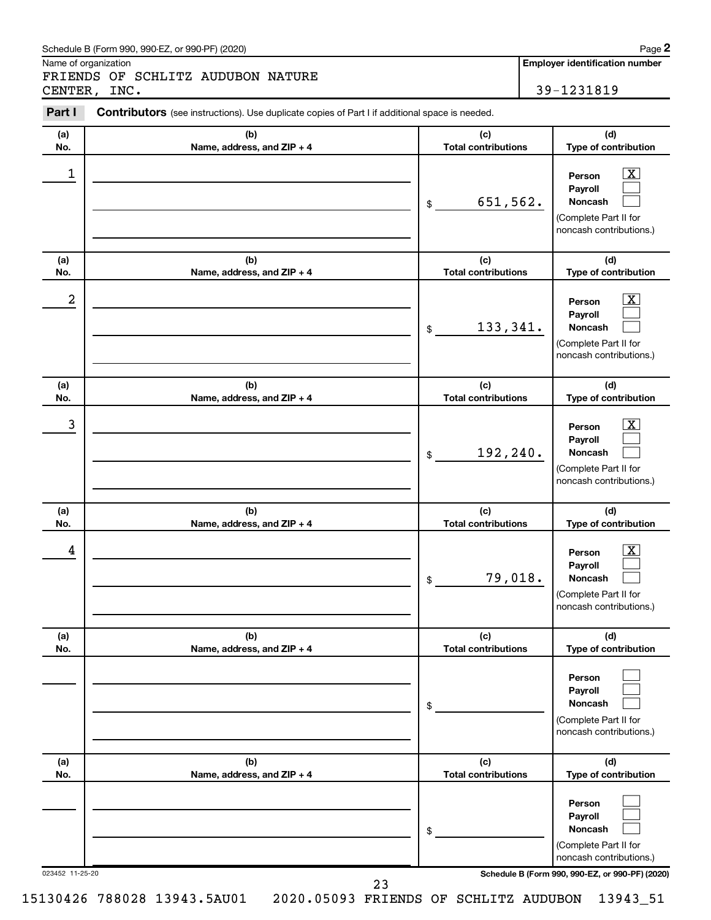### Schedule B (Form 990, 990-EZ, or 990-PF) (2020)

Name of organization

FRIENDS OF SCHLITZ AUDUBON NATURE CENTER, INC. 29-1231819

**Employer identification number**

| Part I          | <b>Contributors</b> (see instructions). Use duplicate copies of Part I if additional space is needed. |                                   |                                                                                                             |
|-----------------|-------------------------------------------------------------------------------------------------------|-----------------------------------|-------------------------------------------------------------------------------------------------------------|
| (a)<br>No.      | (b)<br>Name, address, and ZIP + 4                                                                     | (c)<br><b>Total contributions</b> | (d)<br>Type of contribution                                                                                 |
| $\mathbf 1$     |                                                                                                       | 651,562.<br>\$                    | $\boxed{\text{X}}$<br>Person<br>Payroll<br>Noncash<br>(Complete Part II for<br>noncash contributions.)      |
| (a)<br>No.      | (b)<br>Name, address, and ZIP + 4                                                                     | (c)<br><b>Total contributions</b> | (d)<br>Type of contribution                                                                                 |
| $\overline{a}$  |                                                                                                       | 133,341.<br>\$                    | $\mathbf{X}$<br>Person<br>Payroll<br>Noncash<br>(Complete Part II for<br>noncash contributions.)            |
| (a)<br>No.      | (b)<br>Name, address, and ZIP + 4                                                                     | (c)<br><b>Total contributions</b> | (d)<br>Type of contribution                                                                                 |
| 3               |                                                                                                       | 192,240.<br>\$                    | $\overline{\mathbf{X}}$<br>Person<br>Payroll<br>Noncash<br>(Complete Part II for<br>noncash contributions.) |
| (a)<br>No.      | (b)<br>Name, address, and ZIP + 4                                                                     | (c)<br><b>Total contributions</b> | (d)<br>Type of contribution                                                                                 |
| 4               |                                                                                                       | 79,018.<br>\$                     | $\boxed{\text{X}}$<br>Person<br>Payroll<br>Noncash<br>(Complete Part II for<br>noncash contributions.)      |
| (a)<br>No.      | (b)<br>Name, address, and ZIP + 4                                                                     | (c)<br><b>Total contributions</b> | (d)<br>Type of contribution                                                                                 |
|                 |                                                                                                       | \$                                | Person<br>Payroll<br>Noncash<br>(Complete Part II for<br>noncash contributions.)                            |
| (a)<br>No.      | (b)<br>Name, address, and ZIP + 4                                                                     | (c)<br><b>Total contributions</b> | (d)<br>Type of contribution                                                                                 |
|                 |                                                                                                       | \$                                | Person<br>Payroll<br>Noncash<br>(Complete Part II for<br>noncash contributions.)                            |
| 023452 11-25-20 |                                                                                                       | 23                                | Schedule B (Form 990, 990-EZ, or 990-PF) (2020)                                                             |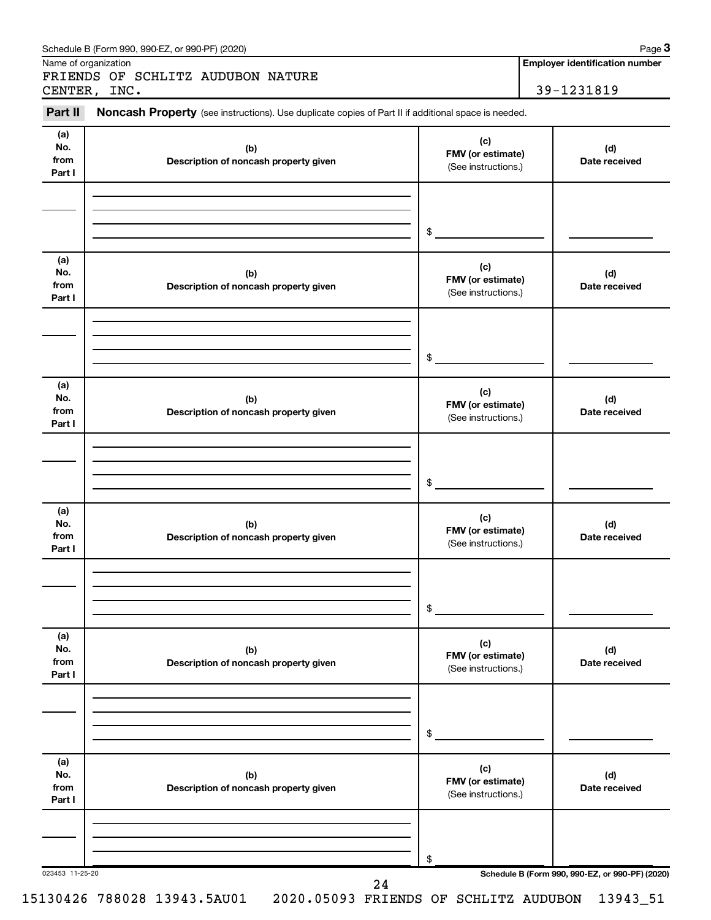|                              | FRIENDS OF SCHLITZ AUDUBON NATURE                                                                                   |                                                 |                                                 |
|------------------------------|---------------------------------------------------------------------------------------------------------------------|-------------------------------------------------|-------------------------------------------------|
| Part II                      | CENTER, INC.<br>Noncash Property (see instructions). Use duplicate copies of Part II if additional space is needed. |                                                 | 39-1231819                                      |
|                              |                                                                                                                     |                                                 |                                                 |
| (a)<br>No.<br>from<br>Part I | (b)<br>Description of noncash property given                                                                        | (c)<br>FMV (or estimate)<br>(See instructions.) | (d)<br>Date received                            |
|                              |                                                                                                                     |                                                 |                                                 |
|                              |                                                                                                                     | $\mathfrak{S}$                                  |                                                 |
| (a)<br>No.<br>from<br>Part I | (b)<br>Description of noncash property given                                                                        | (c)<br>FMV (or estimate)<br>(See instructions.) | (d)<br>Date received                            |
|                              |                                                                                                                     |                                                 |                                                 |
|                              |                                                                                                                     | $\mathfrak{S}$                                  |                                                 |
| (a)<br>No.<br>from<br>Part I | (b)<br>Description of noncash property given                                                                        | (c)<br>FMV (or estimate)<br>(See instructions.) | (d)<br>Date received                            |
|                              |                                                                                                                     |                                                 |                                                 |
|                              |                                                                                                                     | $\mathfrak{S}$                                  |                                                 |
| (a)<br>No.<br>from<br>Part I | (b)<br>Description of noncash property given                                                                        | (c)<br>FMV (or estimate)<br>(See instructions.) | (d)<br>Date received                            |
|                              |                                                                                                                     |                                                 |                                                 |
|                              |                                                                                                                     | \$                                              |                                                 |
| (a)<br>No.<br>from<br>Part I | (b)<br>Description of noncash property given                                                                        | (c)<br>FMV (or estimate)<br>(See instructions.) | (d)<br>Date received                            |
|                              |                                                                                                                     |                                                 |                                                 |
|                              |                                                                                                                     | \$                                              |                                                 |
| (a)<br>No.<br>from<br>Part I | (b)<br>Description of noncash property given                                                                        | (c)<br>FMV (or estimate)<br>(See instructions.) | (d)<br>Date received                            |
|                              |                                                                                                                     |                                                 |                                                 |
|                              |                                                                                                                     | \$                                              | Schedule B (Form 990, 990-EZ, or 990-PF) (2020) |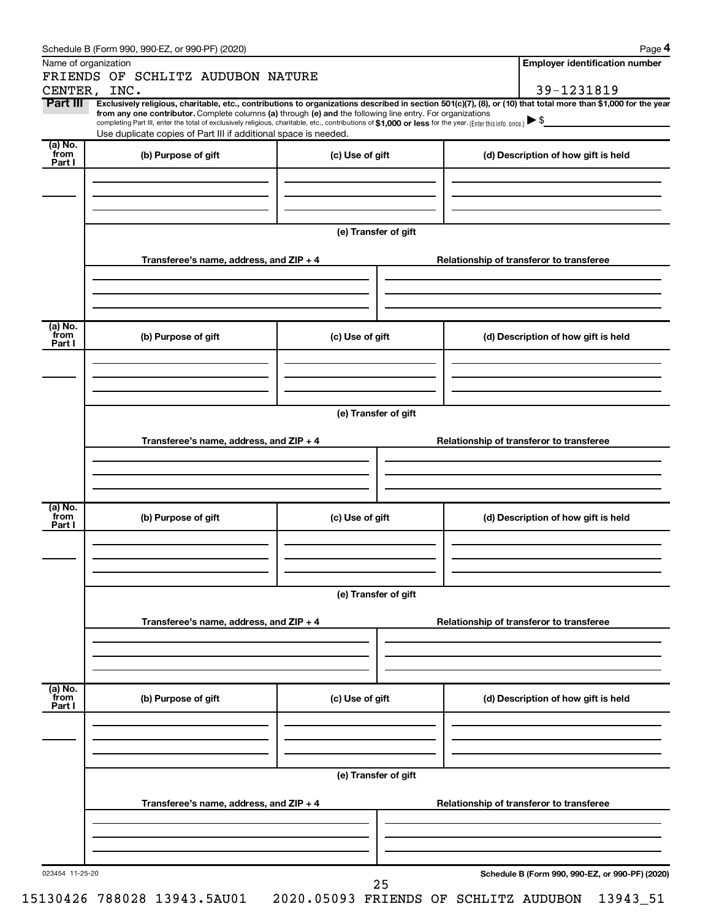|                 | Schedule B (Form 990, 990-EZ, or 990-PF) (2020)                                                                                                                                                                                                                              |                                          |                                     | Page 4                                          |  |  |  |  |
|-----------------|------------------------------------------------------------------------------------------------------------------------------------------------------------------------------------------------------------------------------------------------------------------------------|------------------------------------------|-------------------------------------|-------------------------------------------------|--|--|--|--|
|                 | Name of organization                                                                                                                                                                                                                                                         |                                          |                                     | <b>Employer identification number</b>           |  |  |  |  |
|                 | FRIENDS OF SCHLITZ AUDUBON NATURE                                                                                                                                                                                                                                            |                                          |                                     |                                                 |  |  |  |  |
|                 | CENTER, INC.                                                                                                                                                                                                                                                                 |                                          |                                     | 39-1231819                                      |  |  |  |  |
| Part III        | Exclusively religious, charitable, etc., contributions to organizations described in section 501(c)(7), (8), or (10) that total more than \$1,000 for the year<br>from any one contributor. Complete columns (a) through (e) and the following line entry. For organizations |                                          |                                     |                                                 |  |  |  |  |
|                 | completing Part III, enter the total of exclusively religious, charitable, etc., contributions of \$1,000 or less for the year. (Enter this info. once.)                                                                                                                     |                                          |                                     |                                                 |  |  |  |  |
|                 | Use duplicate copies of Part III if additional space is needed.                                                                                                                                                                                                              |                                          |                                     |                                                 |  |  |  |  |
| (a) No.<br>from | (b) Purpose of gift                                                                                                                                                                                                                                                          | (c) Use of gift                          |                                     | (d) Description of how gift is held             |  |  |  |  |
| Part I          |                                                                                                                                                                                                                                                                              |                                          |                                     |                                                 |  |  |  |  |
|                 |                                                                                                                                                                                                                                                                              |                                          |                                     |                                                 |  |  |  |  |
|                 |                                                                                                                                                                                                                                                                              |                                          |                                     |                                                 |  |  |  |  |
|                 |                                                                                                                                                                                                                                                                              |                                          |                                     |                                                 |  |  |  |  |
|                 |                                                                                                                                                                                                                                                                              |                                          |                                     |                                                 |  |  |  |  |
|                 |                                                                                                                                                                                                                                                                              | (e) Transfer of gift                     |                                     |                                                 |  |  |  |  |
|                 | Transferee's name, address, and ZIP + 4                                                                                                                                                                                                                                      |                                          |                                     | Relationship of transferor to transferee        |  |  |  |  |
|                 |                                                                                                                                                                                                                                                                              |                                          |                                     |                                                 |  |  |  |  |
|                 |                                                                                                                                                                                                                                                                              |                                          |                                     |                                                 |  |  |  |  |
|                 |                                                                                                                                                                                                                                                                              |                                          |                                     |                                                 |  |  |  |  |
|                 |                                                                                                                                                                                                                                                                              |                                          |                                     |                                                 |  |  |  |  |
| (a) No.<br>from | (b) Purpose of gift                                                                                                                                                                                                                                                          |                                          |                                     | (d) Description of how gift is held             |  |  |  |  |
| Part I          |                                                                                                                                                                                                                                                                              | (c) Use of gift                          |                                     |                                                 |  |  |  |  |
|                 |                                                                                                                                                                                                                                                                              |                                          |                                     |                                                 |  |  |  |  |
|                 |                                                                                                                                                                                                                                                                              |                                          |                                     |                                                 |  |  |  |  |
|                 |                                                                                                                                                                                                                                                                              |                                          |                                     |                                                 |  |  |  |  |
|                 |                                                                                                                                                                                                                                                                              |                                          |                                     |                                                 |  |  |  |  |
|                 | (e) Transfer of gift                                                                                                                                                                                                                                                         |                                          |                                     |                                                 |  |  |  |  |
|                 | Transferee's name, address, and ZIP + 4                                                                                                                                                                                                                                      | Relationship of transferor to transferee |                                     |                                                 |  |  |  |  |
|                 |                                                                                                                                                                                                                                                                              |                                          |                                     |                                                 |  |  |  |  |
|                 |                                                                                                                                                                                                                                                                              |                                          |                                     |                                                 |  |  |  |  |
|                 |                                                                                                                                                                                                                                                                              |                                          |                                     |                                                 |  |  |  |  |
|                 |                                                                                                                                                                                                                                                                              |                                          |                                     |                                                 |  |  |  |  |
| (a) No.<br>from | (b) Purpose of gift                                                                                                                                                                                                                                                          | (c) Use of gift                          | (d) Description of how gift is held |                                                 |  |  |  |  |
| Part I          |                                                                                                                                                                                                                                                                              |                                          |                                     |                                                 |  |  |  |  |
|                 |                                                                                                                                                                                                                                                                              |                                          |                                     |                                                 |  |  |  |  |
|                 |                                                                                                                                                                                                                                                                              |                                          |                                     |                                                 |  |  |  |  |
|                 |                                                                                                                                                                                                                                                                              |                                          |                                     |                                                 |  |  |  |  |
|                 | (e) Transfer of gift                                                                                                                                                                                                                                                         |                                          |                                     |                                                 |  |  |  |  |
|                 |                                                                                                                                                                                                                                                                              |                                          |                                     |                                                 |  |  |  |  |
|                 | Transferee's name, address, and ZIP + 4                                                                                                                                                                                                                                      |                                          |                                     | Relationship of transferor to transferee        |  |  |  |  |
|                 |                                                                                                                                                                                                                                                                              |                                          |                                     |                                                 |  |  |  |  |
|                 |                                                                                                                                                                                                                                                                              |                                          |                                     |                                                 |  |  |  |  |
|                 |                                                                                                                                                                                                                                                                              |                                          |                                     |                                                 |  |  |  |  |
|                 |                                                                                                                                                                                                                                                                              |                                          |                                     |                                                 |  |  |  |  |
| (a) No.<br>from | (b) Purpose of gift                                                                                                                                                                                                                                                          | (c) Use of gift                          |                                     | (d) Description of how gift is held             |  |  |  |  |
| Part I          |                                                                                                                                                                                                                                                                              |                                          |                                     |                                                 |  |  |  |  |
|                 |                                                                                                                                                                                                                                                                              |                                          |                                     |                                                 |  |  |  |  |
|                 |                                                                                                                                                                                                                                                                              |                                          |                                     |                                                 |  |  |  |  |
|                 |                                                                                                                                                                                                                                                                              |                                          |                                     |                                                 |  |  |  |  |
|                 |                                                                                                                                                                                                                                                                              | (e) Transfer of gift                     |                                     |                                                 |  |  |  |  |
|                 |                                                                                                                                                                                                                                                                              |                                          |                                     |                                                 |  |  |  |  |
|                 | Transferee's name, address, and ZIP + 4                                                                                                                                                                                                                                      |                                          |                                     | Relationship of transferor to transferee        |  |  |  |  |
|                 |                                                                                                                                                                                                                                                                              |                                          |                                     |                                                 |  |  |  |  |
|                 |                                                                                                                                                                                                                                                                              |                                          |                                     |                                                 |  |  |  |  |
|                 |                                                                                                                                                                                                                                                                              |                                          |                                     |                                                 |  |  |  |  |
|                 |                                                                                                                                                                                                                                                                              |                                          |                                     |                                                 |  |  |  |  |
| 023454 11-25-20 |                                                                                                                                                                                                                                                                              | 25                                       |                                     | Schedule B (Form 990, 990-EZ, or 990-PF) (2020) |  |  |  |  |
|                 |                                                                                                                                                                                                                                                                              |                                          |                                     |                                                 |  |  |  |  |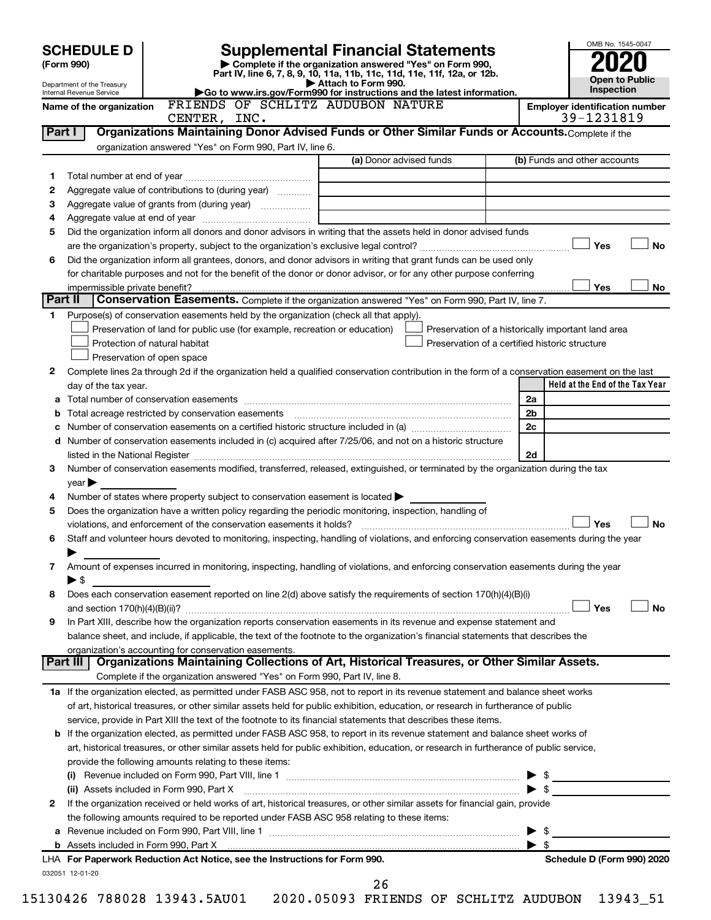|            | <b>SCHEDULE D</b>                                                                                                                              |                                                                                                 |                                                                            | <b>Supplemental Financial Statements</b>                                                                                                |                                                    |  |                          | OMB No. 1545-0047                                   |           |
|------------|------------------------------------------------------------------------------------------------------------------------------------------------|-------------------------------------------------------------------------------------------------|----------------------------------------------------------------------------|-----------------------------------------------------------------------------------------------------------------------------------------|----------------------------------------------------|--|--------------------------|-----------------------------------------------------|-----------|
| (Form 990) |                                                                                                                                                |                                                                                                 |                                                                            | Complete if the organization answered "Yes" on Form 990,                                                                                |                                                    |  |                          |                                                     |           |
|            | Department of the Treasury                                                                                                                     | Part IV, line 6, 7, 8, 9, 10, 11a, 11b, 11c, 11d, 11e, 11f, 12a, or 12b.<br>Attach to Form 990. |                                                                            |                                                                                                                                         |                                                    |  | Open to Public           |                                                     |           |
|            | Internal Revenue Service<br>FRIENDS OF SCHLITZ AUDUBON NATURE                                                                                  |                                                                                                 |                                                                            | Go to www.irs.gov/Form990 for instructions and the latest information.                                                                  |                                                    |  |                          | Inspection                                          |           |
|            | Name of the organization                                                                                                                       | CENTER, INC.                                                                                    |                                                                            |                                                                                                                                         |                                                    |  |                          | <b>Employer identification number</b><br>39-1231819 |           |
| Part I     |                                                                                                                                                |                                                                                                 |                                                                            | Organizations Maintaining Donor Advised Funds or Other Similar Funds or Accounts. Complete if the                                       |                                                    |  |                          |                                                     |           |
|            |                                                                                                                                                |                                                                                                 | organization answered "Yes" on Form 990, Part IV, line 6.                  |                                                                                                                                         |                                                    |  |                          |                                                     |           |
|            |                                                                                                                                                |                                                                                                 |                                                                            | (a) Donor advised funds                                                                                                                 |                                                    |  |                          | (b) Funds and other accounts                        |           |
| 1          |                                                                                                                                                |                                                                                                 |                                                                            |                                                                                                                                         |                                                    |  |                          |                                                     |           |
| 2          | Aggregate value of contributions to (during year)                                                                                              |                                                                                                 |                                                                            |                                                                                                                                         |                                                    |  |                          |                                                     |           |
| З          |                                                                                                                                                |                                                                                                 |                                                                            | <u> 1980 - Jan Barbara (j. 1980)</u>                                                                                                    |                                                    |  |                          |                                                     |           |
| 4<br>5     | Did the organization inform all donors and donor advisors in writing that the assets held in donor advised funds                               |                                                                                                 |                                                                            |                                                                                                                                         |                                                    |  |                          |                                                     |           |
|            |                                                                                                                                                |                                                                                                 |                                                                            |                                                                                                                                         |                                                    |  |                          | Yes                                                 | No        |
| 6          | Did the organization inform all grantees, donors, and donor advisors in writing that grant funds can be used only                              |                                                                                                 |                                                                            |                                                                                                                                         |                                                    |  |                          |                                                     |           |
|            | for charitable purposes and not for the benefit of the donor or donor advisor, or for any other purpose conferring                             |                                                                                                 |                                                                            |                                                                                                                                         |                                                    |  |                          |                                                     |           |
|            |                                                                                                                                                |                                                                                                 |                                                                            |                                                                                                                                         |                                                    |  |                          | Yes                                                 | No        |
| Part II    |                                                                                                                                                |                                                                                                 |                                                                            | Conservation Easements. Complete if the organization answered "Yes" on Form 990, Part IV, line 7.                                       |                                                    |  |                          |                                                     |           |
| 1.         | Purpose(s) of conservation easements held by the organization (check all that apply).                                                          |                                                                                                 |                                                                            |                                                                                                                                         |                                                    |  |                          |                                                     |           |
|            |                                                                                                                                                |                                                                                                 | Preservation of land for public use (for example, recreation or education) |                                                                                                                                         | Preservation of a historically important land area |  |                          |                                                     |           |
|            | Protection of natural habitat                                                                                                                  |                                                                                                 |                                                                            |                                                                                                                                         | Preservation of a certified historic structure     |  |                          |                                                     |           |
|            | Preservation of open space                                                                                                                     |                                                                                                 |                                                                            |                                                                                                                                         |                                                    |  |                          |                                                     |           |
| 2          | Complete lines 2a through 2d if the organization held a qualified conservation contribution in the form of a conservation easement on the last |                                                                                                 |                                                                            |                                                                                                                                         |                                                    |  |                          |                                                     |           |
|            | day of the tax year.                                                                                                                           |                                                                                                 |                                                                            |                                                                                                                                         |                                                    |  |                          | Held at the End of the Tax Year                     |           |
| а          |                                                                                                                                                |                                                                                                 |                                                                            |                                                                                                                                         |                                                    |  | 2a                       |                                                     |           |
| b<br>c     |                                                                                                                                                |                                                                                                 |                                                                            |                                                                                                                                         |                                                    |  | 2 <sub>b</sub><br>2c     |                                                     |           |
|            | d Number of conservation easements included in (c) acquired after 7/25/06, and not on a historic structure                                     |                                                                                                 |                                                                            |                                                                                                                                         |                                                    |  |                          |                                                     |           |
|            |                                                                                                                                                |                                                                                                 |                                                                            |                                                                                                                                         |                                                    |  | 2d                       |                                                     |           |
| 3          | Number of conservation easements modified, transferred, released, extinguished, or terminated by the organization during the tax               |                                                                                                 |                                                                            |                                                                                                                                         |                                                    |  |                          |                                                     |           |
|            | $\vee$ ear $\blacktriangleright$                                                                                                               |                                                                                                 |                                                                            |                                                                                                                                         |                                                    |  |                          |                                                     |           |
| 4          | Number of states where property subject to conservation easement is located >                                                                  |                                                                                                 |                                                                            |                                                                                                                                         |                                                    |  |                          |                                                     |           |
| 5          | Does the organization have a written policy regarding the periodic monitoring, inspection, handling of                                         |                                                                                                 |                                                                            |                                                                                                                                         |                                                    |  |                          |                                                     |           |
|            |                                                                                                                                                |                                                                                                 |                                                                            |                                                                                                                                         |                                                    |  |                          | Yes                                                 | No        |
| 6          | Staff and volunteer hours devoted to monitoring, inspecting, handling of violations, and enforcing conservation easements during the year      |                                                                                                 |                                                                            |                                                                                                                                         |                                                    |  |                          |                                                     |           |
|            |                                                                                                                                                |                                                                                                 |                                                                            |                                                                                                                                         |                                                    |  |                          |                                                     |           |
| 7          | Amount of expenses incurred in monitoring, inspecting, handling of violations, and enforcing conservation easements during the year            |                                                                                                 |                                                                            |                                                                                                                                         |                                                    |  |                          |                                                     |           |
|            | $\blacktriangleright$ \$                                                                                                                       |                                                                                                 |                                                                            |                                                                                                                                         |                                                    |  |                          |                                                     |           |
| 8          | Does each conservation easement reported on line 2(d) above satisfy the requirements of section 170(h)(4)(B)(i)                                |                                                                                                 |                                                                            |                                                                                                                                         |                                                    |  |                          |                                                     |           |
|            |                                                                                                                                                |                                                                                                 |                                                                            |                                                                                                                                         |                                                    |  |                          | Yes                                                 | <b>No</b> |
| 9          | In Part XIII, describe how the organization reports conservation easements in its revenue and expense statement and                            |                                                                                                 |                                                                            |                                                                                                                                         |                                                    |  |                          |                                                     |           |
|            | organization's accounting for conservation easements.                                                                                          |                                                                                                 |                                                                            | balance sheet, and include, if applicable, the text of the footnote to the organization's financial statements that describes the       |                                                    |  |                          |                                                     |           |
|            | Part III                                                                                                                                       |                                                                                                 |                                                                            | Organizations Maintaining Collections of Art, Historical Treasures, or Other Similar Assets.                                            |                                                    |  |                          |                                                     |           |
|            |                                                                                                                                                |                                                                                                 |                                                                            | Complete if the organization answered "Yes" on Form 990, Part IV, line 8.                                                               |                                                    |  |                          |                                                     |           |
|            | 1a If the organization elected, as permitted under FASB ASC 958, not to report in its revenue statement and balance sheet works                |                                                                                                 |                                                                            |                                                                                                                                         |                                                    |  |                          |                                                     |           |
|            | of art, historical treasures, or other similar assets held for public exhibition, education, or research in furtherance of public              |                                                                                                 |                                                                            |                                                                                                                                         |                                                    |  |                          |                                                     |           |
|            | service, provide in Part XIII the text of the footnote to its financial statements that describes these items.                                 |                                                                                                 |                                                                            |                                                                                                                                         |                                                    |  |                          |                                                     |           |
|            | <b>b</b> If the organization elected, as permitted under FASB ASC 958, to report in its revenue statement and balance sheet works of           |                                                                                                 |                                                                            |                                                                                                                                         |                                                    |  |                          |                                                     |           |
|            |                                                                                                                                                |                                                                                                 |                                                                            | art, historical treasures, or other similar assets held for public exhibition, education, or research in furtherance of public service, |                                                    |  |                          |                                                     |           |
|            | provide the following amounts relating to these items:                                                                                         |                                                                                                 |                                                                            |                                                                                                                                         |                                                    |  |                          |                                                     |           |
|            |                                                                                                                                                |                                                                                                 |                                                                            |                                                                                                                                         |                                                    |  | -\$<br>▶                 |                                                     |           |
|            | (ii) Assets included in Form 990, Part X [11] Marson Marson Marson Marson Marson Marson Marson Marson Marson M                                 |                                                                                                 |                                                                            |                                                                                                                                         |                                                    |  | $\blacktriangleright$ \$ |                                                     |           |
| 2          | If the organization received or held works of art, historical treasures, or other similar assets for financial gain, provide                   |                                                                                                 |                                                                            |                                                                                                                                         |                                                    |  |                          |                                                     |           |
|            | the following amounts required to be reported under FASB ASC 958 relating to these items:                                                      |                                                                                                 |                                                                            |                                                                                                                                         |                                                    |  |                          |                                                     |           |
|            |                                                                                                                                                |                                                                                                 |                                                                            |                                                                                                                                         |                                                    |  | -\$<br>▶                 |                                                     |           |
|            |                                                                                                                                                |                                                                                                 |                                                                            |                                                                                                                                         |                                                    |  | $\blacktriangleright$ s  |                                                     |           |
|            | LHA For Paperwork Reduction Act Notice, see the Instructions for Form 990.<br>032051 12-01-20                                                  |                                                                                                 |                                                                            |                                                                                                                                         |                                                    |  |                          | Schedule D (Form 990) 2020                          |           |
|            |                                                                                                                                                |                                                                                                 |                                                                            | 26                                                                                                                                      |                                                    |  |                          |                                                     |           |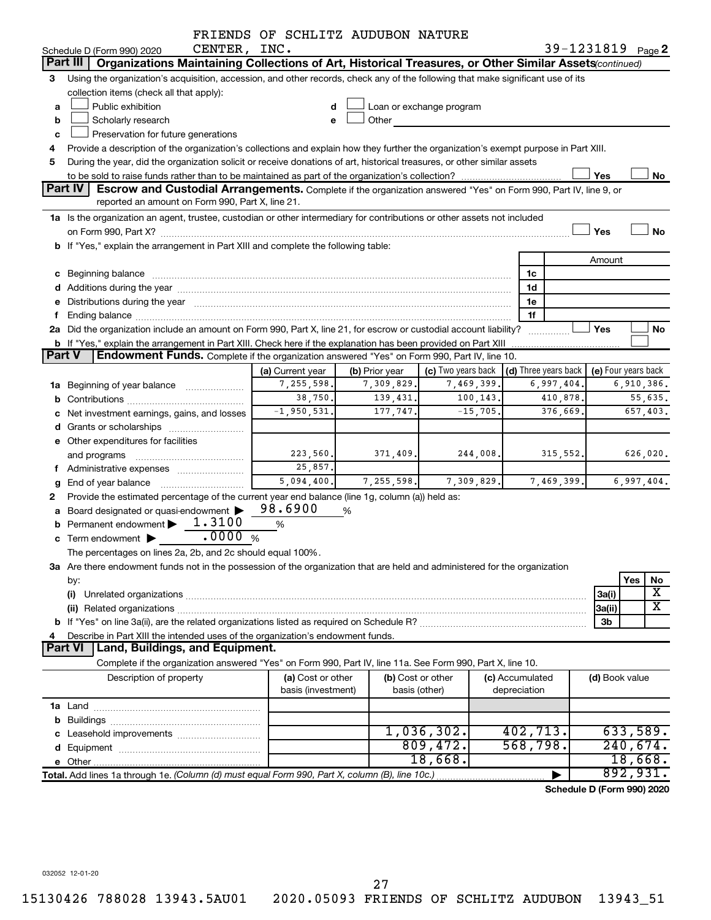|               |                                                                                                                                                                                                                                | FRIENDS OF SCHLITZ AUDUBON NATURE       |                   |                                                         |                 |        |                            |  |  |
|---------------|--------------------------------------------------------------------------------------------------------------------------------------------------------------------------------------------------------------------------------|-----------------------------------------|-------------------|---------------------------------------------------------|-----------------|--------|----------------------------|--|--|
|               | CENTER, INC.<br>Schedule D (Form 990) 2020                                                                                                                                                                                     |                                         |                   |                                                         |                 |        | 39-1231819 Page 2          |  |  |
|               | Part III<br>Organizations Maintaining Collections of Art, Historical Treasures, or Other Similar Assets (continued)                                                                                                            |                                         |                   |                                                         |                 |        |                            |  |  |
| 3             | Using the organization's acquisition, accession, and other records, check any of the following that make significant use of its                                                                                                |                                         |                   |                                                         |                 |        |                            |  |  |
|               | collection items (check all that apply):                                                                                                                                                                                       |                                         |                   |                                                         |                 |        |                            |  |  |
| a             | Public exhibition                                                                                                                                                                                                              |                                         |                   | Loan or exchange program                                |                 |        |                            |  |  |
| b             | Scholarly research                                                                                                                                                                                                             |                                         | Other             |                                                         |                 |        |                            |  |  |
| c             | Preservation for future generations                                                                                                                                                                                            |                                         |                   |                                                         |                 |        |                            |  |  |
| 4             | Provide a description of the organization's collections and explain how they further the organization's exempt purpose in Part XIII.                                                                                           |                                         |                   |                                                         |                 |        |                            |  |  |
| 5             | During the year, did the organization solicit or receive donations of art, historical treasures, or other similar assets                                                                                                       |                                         |                   |                                                         |                 |        |                            |  |  |
|               |                                                                                                                                                                                                                                |                                         |                   |                                                         |                 | Yes    | No                         |  |  |
|               | Part IV<br>Escrow and Custodial Arrangements. Complete if the organization answered "Yes" on Form 990, Part IV, line 9, or                                                                                                     |                                         |                   |                                                         |                 |        |                            |  |  |
|               | reported an amount on Form 990, Part X, line 21.                                                                                                                                                                               |                                         |                   |                                                         |                 |        |                            |  |  |
|               | 1a Is the organization an agent, trustee, custodian or other intermediary for contributions or other assets not included                                                                                                       |                                         |                   |                                                         |                 |        |                            |  |  |
|               |                                                                                                                                                                                                                                |                                         |                   |                                                         |                 | Yes    | No                         |  |  |
|               | b If "Yes," explain the arrangement in Part XIII and complete the following table:                                                                                                                                             |                                         |                   |                                                         |                 |        |                            |  |  |
|               |                                                                                                                                                                                                                                |                                         |                   |                                                         |                 | Amount |                            |  |  |
|               |                                                                                                                                                                                                                                |                                         |                   |                                                         | 1c              |        |                            |  |  |
|               |                                                                                                                                                                                                                                |                                         |                   |                                                         | 1d              |        |                            |  |  |
|               | e Distributions during the year manufactured and continuum and contact the year manufactured and contact the year manufactured and contact the year manufactured and contact the year manufactured and contact the year manufa |                                         |                   |                                                         | 1e              |        |                            |  |  |
|               |                                                                                                                                                                                                                                |                                         |                   |                                                         | 1f              |        |                            |  |  |
|               | 2a Did the organization include an amount on Form 990, Part X, line 21, for escrow or custodial account liability?                                                                                                             |                                         |                   |                                                         |                 | Yes    | No                         |  |  |
|               | <b>b</b> If "Yes," explain the arrangement in Part XIII. Check here if the explanation has been provided on Part XIII                                                                                                          |                                         |                   |                                                         |                 |        |                            |  |  |
| <b>Part V</b> | Endowment Funds. Complete if the organization answered "Yes" on Form 990, Part IV, line 10.                                                                                                                                    |                                         |                   |                                                         |                 |        |                            |  |  |
|               |                                                                                                                                                                                                                                | (a) Current year                        | (b) Prior year    | (c) Two years back $\vert$ (d) Three years back $\vert$ |                 |        | (e) Four years back        |  |  |
|               | <b>1a</b> Beginning of year balance                                                                                                                                                                                            | 7,255,598.                              | 7,309,829.        | 7,469,399.                                              | 6,997,404.      |        | 6,910,386.                 |  |  |
|               |                                                                                                                                                                                                                                | 38,750.                                 | 139,431.          | 100, 143.                                               | 410,878.        |        | 55,635.                    |  |  |
|               | c Net investment earnings, gains, and losses                                                                                                                                                                                   | $-1,950,531.$                           | 177,747.          | $-15,705.$                                              | 376,669.        |        | 657,403.                   |  |  |
|               |                                                                                                                                                                                                                                |                                         |                   |                                                         |                 |        |                            |  |  |
|               | e Other expenditures for facilities                                                                                                                                                                                            |                                         |                   |                                                         |                 |        |                            |  |  |
|               | and programs                                                                                                                                                                                                                   | 223,560.                                | 371,409.          | 244,008.                                                | 315,552.        |        | 626,020.                   |  |  |
|               | f Administrative expenses                                                                                                                                                                                                      | 25,857.                                 |                   |                                                         |                 |        |                            |  |  |
| g             | End of year balance                                                                                                                                                                                                            | 5,094,400.                              | 7, 255, 598.      | 7,309,829.                                              | 7,469,399.      |        | 6,997,404.                 |  |  |
|               | Provide the estimated percentage of the current year end balance (line 1g, column (a)) held as:                                                                                                                                |                                         |                   |                                                         |                 |        |                            |  |  |
|               | a Board designated or quasi-endowment >                                                                                                                                                                                        | 98.6900                                 | %                 |                                                         |                 |        |                            |  |  |
|               | 1.3100<br>Permanent endowment<br>.0000                                                                                                                                                                                         | %                                       |                   |                                                         |                 |        |                            |  |  |
|               | <b>c</b> Term endowment $\blacktriangleright$                                                                                                                                                                                  | %                                       |                   |                                                         |                 |        |                            |  |  |
|               | The percentages on lines 2a, 2b, and 2c should equal 100%.                                                                                                                                                                     |                                         |                   |                                                         |                 |        |                            |  |  |
|               | 3a Are there endowment funds not in the possession of the organization that are held and administered for the organization                                                                                                     |                                         |                   |                                                         |                 |        |                            |  |  |
|               | by:                                                                                                                                                                                                                            |                                         |                   |                                                         |                 |        | Yes<br>No<br>Χ             |  |  |
|               | (i)                                                                                                                                                                                                                            |                                         |                   |                                                         |                 | 3a(i)  | $\overline{\textbf{x}}$    |  |  |
|               |                                                                                                                                                                                                                                |                                         |                   |                                                         |                 | 3a(ii) |                            |  |  |
|               |                                                                                                                                                                                                                                |                                         |                   |                                                         |                 | 3b     |                            |  |  |
|               | Describe in Part XIII the intended uses of the organization's endowment funds.                                                                                                                                                 |                                         |                   |                                                         |                 |        |                            |  |  |
|               | Land, Buildings, and Equipment.<br><b>Part VI</b>                                                                                                                                                                              |                                         |                   |                                                         |                 |        |                            |  |  |
|               | Complete if the organization answered "Yes" on Form 990, Part IV, line 11a. See Form 990, Part X, line 10.                                                                                                                     |                                         |                   |                                                         |                 |        |                            |  |  |
|               | Description of property                                                                                                                                                                                                        | (a) Cost or other<br>basis (investment) | (b) Cost or other |                                                         | (c) Accumulated |        | (d) Book value             |  |  |
|               |                                                                                                                                                                                                                                |                                         | basis (other)     |                                                         | depreciation    |        |                            |  |  |
|               |                                                                                                                                                                                                                                |                                         |                   |                                                         |                 |        |                            |  |  |
|               |                                                                                                                                                                                                                                |                                         |                   | 1,036,302.                                              | 402,713.        |        | 633,589.                   |  |  |
|               |                                                                                                                                                                                                                                |                                         |                   | 809,472.                                                | 568,798.        |        | 240,674.                   |  |  |
|               |                                                                                                                                                                                                                                |                                         |                   | 18,668.                                                 |                 |        |                            |  |  |
|               |                                                                                                                                                                                                                                |                                         |                   |                                                         |                 |        | 18,668.<br>892,931.        |  |  |
|               | Total. Add lines 1a through 1e. (Column (d) must equal Form 990, Part X, column (B), line 10c.)                                                                                                                                |                                         |                   |                                                         |                 |        |                            |  |  |
|               |                                                                                                                                                                                                                                |                                         |                   |                                                         |                 |        | Schedule D (Form 990) 2020 |  |  |

032052 12-01-20

15130426 788028 13943.5AU01 2020.05093 FRIENDS OF SCHLITZ AUDUBON 13943\_51 27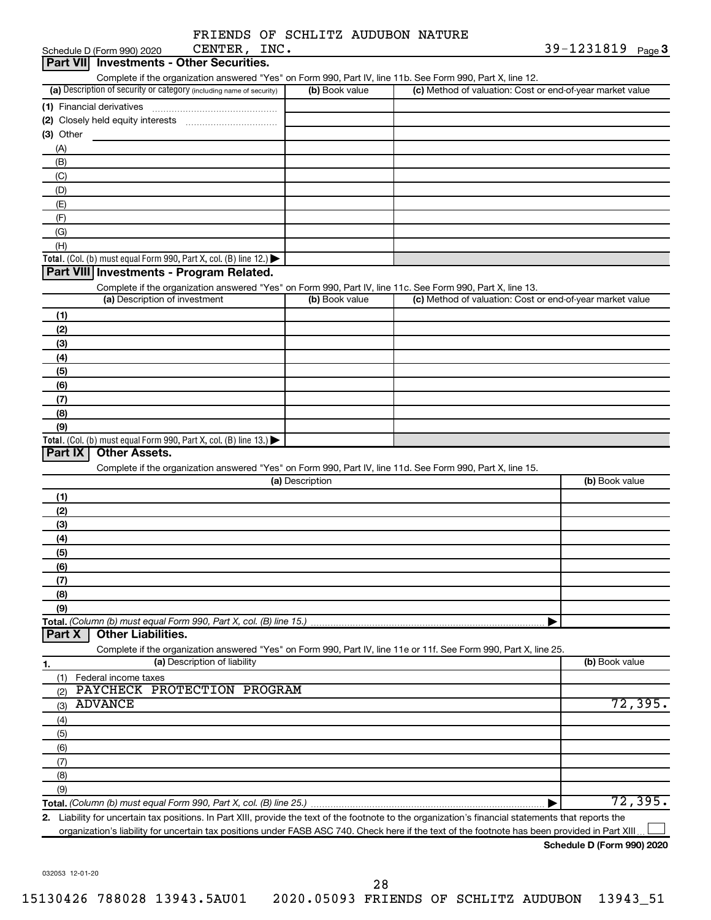|              |  | FRIENDS OF SCHLITZ AUDUBON NATURE |  |
|--------------|--|-----------------------------------|--|
| CENTER, INC. |  |                                   |  |

|           | Schedule D (Form 990) 2020               | CENTER, INC.                                                                           |                 |                                                                                                                                                      | 39-1231819 Page 3 |
|-----------|------------------------------------------|----------------------------------------------------------------------------------------|-----------------|------------------------------------------------------------------------------------------------------------------------------------------------------|-------------------|
|           | Part VII Investments - Other Securities. |                                                                                        |                 |                                                                                                                                                      |                   |
|           |                                          |                                                                                        |                 | Complete if the organization answered "Yes" on Form 990, Part IV, line 11b. See Form 990, Part X, line 12.                                           |                   |
|           |                                          | (a) Description of security or category (including name of security)                   | (b) Book value  | (c) Method of valuation: Cost or end-of-year market value                                                                                            |                   |
|           |                                          |                                                                                        |                 |                                                                                                                                                      |                   |
|           |                                          |                                                                                        |                 |                                                                                                                                                      |                   |
| (3) Other |                                          |                                                                                        |                 |                                                                                                                                                      |                   |
| (A)       |                                          |                                                                                        |                 |                                                                                                                                                      |                   |
| (B)       |                                          |                                                                                        |                 |                                                                                                                                                      |                   |
| (C)       |                                          |                                                                                        |                 |                                                                                                                                                      |                   |
| (D)       |                                          |                                                                                        |                 |                                                                                                                                                      |                   |
| (E)       |                                          |                                                                                        |                 |                                                                                                                                                      |                   |
| (F)       |                                          |                                                                                        |                 |                                                                                                                                                      |                   |
| (G)       |                                          |                                                                                        |                 |                                                                                                                                                      |                   |
| (H)       |                                          |                                                                                        |                 |                                                                                                                                                      |                   |
|           |                                          | Total. (Col. (b) must equal Form 990, Part X, col. (B) line 12.) $\blacktriangleright$ |                 |                                                                                                                                                      |                   |
|           |                                          | Part VIII Investments - Program Related.                                               |                 |                                                                                                                                                      |                   |
|           |                                          |                                                                                        |                 | Complete if the organization answered "Yes" on Form 990, Part IV, line 11c. See Form 990, Part X, line 13.                                           |                   |
|           | (a) Description of investment            |                                                                                        | (b) Book value  | (c) Method of valuation: Cost or end-of-year market value                                                                                            |                   |
| (1)       |                                          |                                                                                        |                 |                                                                                                                                                      |                   |
| (2)       |                                          |                                                                                        |                 |                                                                                                                                                      |                   |
| (3)       |                                          |                                                                                        |                 |                                                                                                                                                      |                   |
| (4)       |                                          |                                                                                        |                 |                                                                                                                                                      |                   |
| (5)       |                                          |                                                                                        |                 |                                                                                                                                                      |                   |
| (6)       |                                          |                                                                                        |                 |                                                                                                                                                      |                   |
| (7)       |                                          |                                                                                        |                 |                                                                                                                                                      |                   |
| (8)       |                                          |                                                                                        |                 |                                                                                                                                                      |                   |
| (9)       |                                          |                                                                                        |                 |                                                                                                                                                      |                   |
|           |                                          | Total. (Col. (b) must equal Form 990, Part X, col. (B) line $13$ .)                    |                 |                                                                                                                                                      |                   |
| Part IX   | <b>Other Assets.</b>                     |                                                                                        |                 |                                                                                                                                                      |                   |
|           |                                          |                                                                                        |                 | Complete if the organization answered "Yes" on Form 990, Part IV, line 11d. See Form 990, Part X, line 15.                                           |                   |
|           |                                          |                                                                                        | (a) Description |                                                                                                                                                      | (b) Book value    |
| (1)       |                                          |                                                                                        |                 |                                                                                                                                                      |                   |
| (2)       |                                          |                                                                                        |                 |                                                                                                                                                      |                   |
|           |                                          |                                                                                        |                 |                                                                                                                                                      |                   |
| (3)       |                                          |                                                                                        |                 |                                                                                                                                                      |                   |
| (4)       |                                          |                                                                                        |                 |                                                                                                                                                      |                   |
| (5)       |                                          |                                                                                        |                 |                                                                                                                                                      |                   |
| (6)       |                                          |                                                                                        |                 |                                                                                                                                                      |                   |
| (7)       |                                          |                                                                                        |                 |                                                                                                                                                      |                   |
| (8)       |                                          |                                                                                        |                 |                                                                                                                                                      |                   |
| (9)       |                                          |                                                                                        |                 |                                                                                                                                                      |                   |
| Part X    | <b>Other Liabilities.</b>                | Total. (Column (b) must equal Form 990, Part X, col. (B) line 15.)                     |                 |                                                                                                                                                      |                   |
|           |                                          |                                                                                        |                 |                                                                                                                                                      |                   |
|           |                                          | (a) Description of liability                                                           |                 | Complete if the organization answered "Yes" on Form 990, Part IV, line 11e or 11f. See Form 990, Part X, line 25.                                    | (b) Book value    |
| 1.        |                                          |                                                                                        |                 |                                                                                                                                                      |                   |
| (1)       | Federal income taxes                     | PAYCHECK PROTECTION PROGRAM                                                            |                 |                                                                                                                                                      |                   |
| (2)       |                                          |                                                                                        |                 |                                                                                                                                                      |                   |
| (3)       | <b>ADVANCE</b>                           |                                                                                        |                 |                                                                                                                                                      | 72,395.           |
| (4)       |                                          |                                                                                        |                 |                                                                                                                                                      |                   |
| (5)       |                                          |                                                                                        |                 |                                                                                                                                                      |                   |
| (6)       |                                          |                                                                                        |                 |                                                                                                                                                      |                   |
| (7)       |                                          |                                                                                        |                 |                                                                                                                                                      |                   |
| (8)       |                                          |                                                                                        |                 |                                                                                                                                                      |                   |
| (9)       |                                          |                                                                                        |                 |                                                                                                                                                      |                   |
|           |                                          |                                                                                        |                 |                                                                                                                                                      | 72,395.           |
|           |                                          |                                                                                        |                 | 2. Liability for uncertain tax positions. In Part XIII, provide the text of the footnote to the organization's financial statements that reports the |                   |

organization's liability for uncertain tax positions under FASB ASC 740. Check here if the text of the footnote has been provided in Part XIII...

**Schedule D (Form 990) 2020**

032053 12-01-20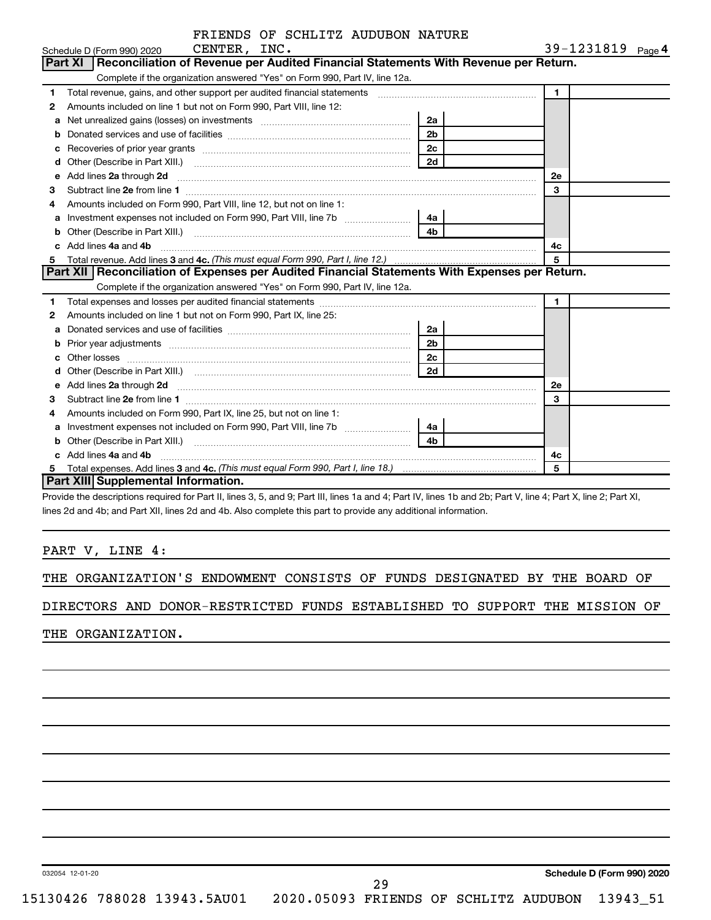|                | FRIENDS OF SCHLITZ AUDUBON NATURE                                                                                                                                                                                              |                |              |                   |
|----------------|--------------------------------------------------------------------------------------------------------------------------------------------------------------------------------------------------------------------------------|----------------|--------------|-------------------|
|                | CENTER, INC.<br>Schedule D (Form 990) 2020                                                                                                                                                                                     |                |              | 39-1231819 Page 4 |
| <b>Part XI</b> | Reconciliation of Revenue per Audited Financial Statements With Revenue per Return.                                                                                                                                            |                |              |                   |
|                | Complete if the organization answered "Yes" on Form 990, Part IV, line 12a.                                                                                                                                                    |                |              |                   |
| 1              | Total revenue, gains, and other support per audited financial statements [11] [11] Total revenue, [21] Total revenue of the support per audited financial statements                                                           |                | $\mathbf{1}$ |                   |
| 2              | Amounts included on line 1 but not on Form 990, Part VIII, line 12:                                                                                                                                                            |                |              |                   |
| a              | Net unrealized gains (losses) on investments [111] [12] matter and all products and all products are not all p                                                                                                                 | 2a             |              |                   |
|                |                                                                                                                                                                                                                                | 2 <sub>b</sub> |              |                   |
|                |                                                                                                                                                                                                                                | 2 <sub>c</sub> |              |                   |
| d              |                                                                                                                                                                                                                                | 2d             |              |                   |
| е              | Add lines 2a through 2d                                                                                                                                                                                                        |                | <b>2e</b>    |                   |
| З              |                                                                                                                                                                                                                                |                | 3            |                   |
| 4              | Amounts included on Form 990, Part VIII, line 12, but not on line 1:                                                                                                                                                           |                |              |                   |
| a              | Investment expenses not included on Form 990, Part VIII, line 7b [11, 11, 11, 11, 11]                                                                                                                                          | 4a             |              |                   |
|                |                                                                                                                                                                                                                                | 4b             |              |                   |
| C.             | Add lines 4a and 4b                                                                                                                                                                                                            |                | 4c           |                   |
| 5              |                                                                                                                                                                                                                                |                | 5            |                   |
|                | Part XII   Reconciliation of Expenses per Audited Financial Statements With Expenses per Return.                                                                                                                               |                |              |                   |
|                | Complete if the organization answered "Yes" on Form 990, Part IV, line 12a.                                                                                                                                                    |                |              |                   |
| 1              |                                                                                                                                                                                                                                |                | $\mathbf{1}$ |                   |
| 2              | Amounts included on line 1 but not on Form 990, Part IX, line 25:                                                                                                                                                              |                |              |                   |
| a              |                                                                                                                                                                                                                                | 2a             |              |                   |
|                | Prior year adjustments [ www.communications and all the contract of the contract of the contract of the contract of the contract of the contract of the contract of the contract of the contract of the contract of the contra | 2 <sub>b</sub> |              |                   |
|                |                                                                                                                                                                                                                                | 2 <sub>c</sub> |              |                   |
| d              |                                                                                                                                                                                                                                | 2d             |              |                   |
| е              | Add lines 2a through 2d <b>continuum contract and all and all and all and all and all and all and all and all and a</b>                                                                                                        |                | <b>2e</b>    |                   |
| 3              |                                                                                                                                                                                                                                |                | 3            |                   |
| 4              | Amounts included on Form 990, Part IX, line 25, but not on line 1:                                                                                                                                                             |                |              |                   |
| a              |                                                                                                                                                                                                                                | 4a             |              |                   |
| b              |                                                                                                                                                                                                                                | 4b             |              |                   |
|                | Add lines 4a and 4b                                                                                                                                                                                                            |                | 4c           |                   |
| 5.             |                                                                                                                                                                                                                                |                | 5            |                   |
|                | Part XIII Supplemental Information.                                                                                                                                                                                            |                |              |                   |

Provide the descriptions required for Part II, lines 3, 5, and 9; Part III, lines 1a and 4; Part IV, lines 1b and 2b; Part V, line 4; Part X, line 2; Part XI, lines 2d and 4b; and Part XII, lines 2d and 4b. Also complete this part to provide any additional information.

### PART V, LINE 4:

THE ORGANIZATION'S ENDOWMENT CONSISTS OF FUNDS DESIGNATED BY THE BOARD OF

### DIRECTORS AND DONOR-RESTRICTED FUNDS ESTABLISHED TO SUPPORT THE MISSION OF

THE ORGANIZATION.

032054 12-01-20

**Schedule D (Form 990) 2020**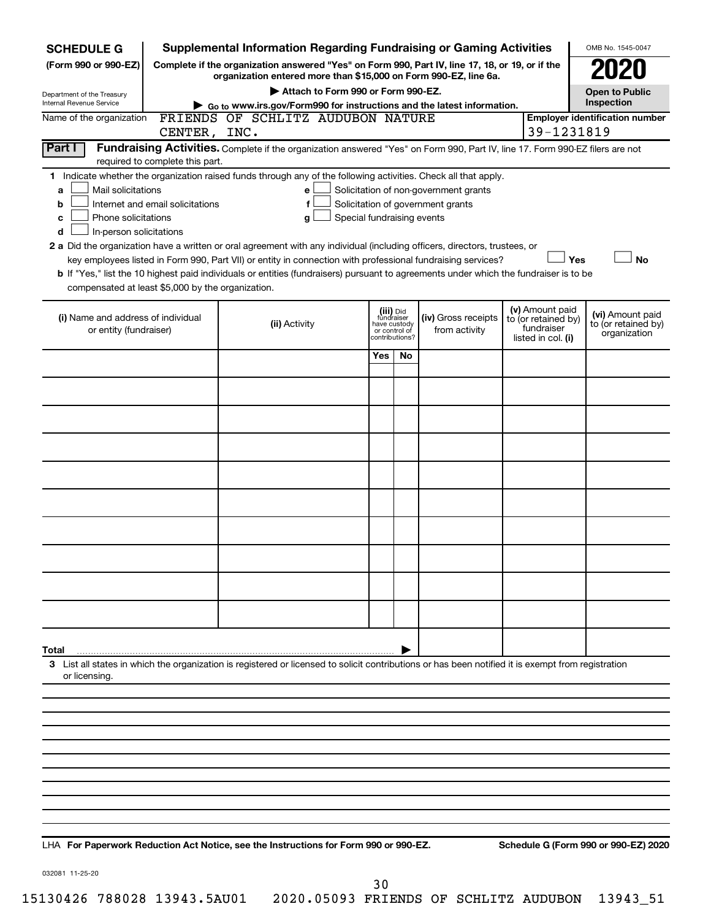| <b>SCHEDULE G</b>                                                                                                                                                                                                                                                                                                                          |                                                                                                                                                                     | <b>Supplemental Information Regarding Fundraising or Gaming Activities</b>                                                                                                                                                                           |                                                                            |     |                                      |  |                                                                            | OMB No. 1545-0047                                       |  |  |
|--------------------------------------------------------------------------------------------------------------------------------------------------------------------------------------------------------------------------------------------------------------------------------------------------------------------------------------------|---------------------------------------------------------------------------------------------------------------------------------------------------------------------|------------------------------------------------------------------------------------------------------------------------------------------------------------------------------------------------------------------------------------------------------|----------------------------------------------------------------------------|-----|--------------------------------------|--|----------------------------------------------------------------------------|---------------------------------------------------------|--|--|
| (Form 990 or 990-EZ)                                                                                                                                                                                                                                                                                                                       | Complete if the organization answered "Yes" on Form 990, Part IV, line 17, 18, or 19, or if the<br>organization entered more than \$15,000 on Form 990-EZ, line 6a. |                                                                                                                                                                                                                                                      |                                                                            |     |                                      |  |                                                                            |                                                         |  |  |
| Department of the Treasury                                                                                                                                                                                                                                                                                                                 |                                                                                                                                                                     | Attach to Form 990 or Form 990-EZ.                                                                                                                                                                                                                   |                                                                            |     |                                      |  |                                                                            | <b>Open to Public</b>                                   |  |  |
| Internal Revenue Service                                                                                                                                                                                                                                                                                                                   |                                                                                                                                                                     | Go to www.irs.gov/Form990 for instructions and the latest information.                                                                                                                                                                               |                                                                            |     |                                      |  |                                                                            | Inspection                                              |  |  |
| Name of the organization                                                                                                                                                                                                                                                                                                                   | FRIENDS OF SCHLITZ AUDUBON NATURE<br><b>Employer identification number</b><br>39-1231819<br>CENTER, INC.                                                            |                                                                                                                                                                                                                                                      |                                                                            |     |                                      |  |                                                                            |                                                         |  |  |
| Part I                                                                                                                                                                                                                                                                                                                                     |                                                                                                                                                                     | Fundraising Activities. Complete if the organization answered "Yes" on Form 990, Part IV, line 17. Form 990-EZ filers are not                                                                                                                        |                                                                            |     |                                      |  |                                                                            |                                                         |  |  |
|                                                                                                                                                                                                                                                                                                                                            | required to complete this part.                                                                                                                                     |                                                                                                                                                                                                                                                      |                                                                            |     |                                      |  |                                                                            |                                                         |  |  |
| 1 Indicate whether the organization raised funds through any of the following activities. Check all that apply.<br>Mail solicitations<br>Solicitation of non-government grants<br>a<br>е<br>Internet and email solicitations<br>Solicitation of government grants<br>f<br>b<br>Phone solicitations<br>Special fundraising events<br>c<br>g |                                                                                                                                                                     |                                                                                                                                                                                                                                                      |                                                                            |     |                                      |  |                                                                            |                                                         |  |  |
| In-person solicitations<br>d                                                                                                                                                                                                                                                                                                               |                                                                                                                                                                     | 2 a Did the organization have a written or oral agreement with any individual (including officers, directors, trustees, or                                                                                                                           |                                                                            |     |                                      |  |                                                                            |                                                         |  |  |
| compensated at least \$5,000 by the organization.                                                                                                                                                                                                                                                                                          |                                                                                                                                                                     | key employees listed in Form 990, Part VII) or entity in connection with professional fundraising services?<br>b If "Yes," list the 10 highest paid individuals or entities (fundraisers) pursuant to agreements under which the fundraiser is to be |                                                                            |     |                                      |  | Yes                                                                        | <b>No</b>                                               |  |  |
| (i) Name and address of individual<br>or entity (fundraiser)                                                                                                                                                                                                                                                                               |                                                                                                                                                                     | (ii) Activity                                                                                                                                                                                                                                        | (iii) Did<br>fundraiser<br>have custody<br>or control of<br>contributions? |     | (iv) Gross receipts<br>from activity |  | (v) Amount paid<br>to (or retained by)<br>fundraiser<br>listed in col. (i) | (vi) Amount paid<br>to (or retained by)<br>organization |  |  |
|                                                                                                                                                                                                                                                                                                                                            |                                                                                                                                                                     |                                                                                                                                                                                                                                                      | Yes                                                                        | No. |                                      |  |                                                                            |                                                         |  |  |
|                                                                                                                                                                                                                                                                                                                                            |                                                                                                                                                                     |                                                                                                                                                                                                                                                      |                                                                            |     |                                      |  |                                                                            |                                                         |  |  |
|                                                                                                                                                                                                                                                                                                                                            |                                                                                                                                                                     |                                                                                                                                                                                                                                                      |                                                                            |     |                                      |  |                                                                            |                                                         |  |  |
|                                                                                                                                                                                                                                                                                                                                            |                                                                                                                                                                     |                                                                                                                                                                                                                                                      |                                                                            |     |                                      |  |                                                                            |                                                         |  |  |
|                                                                                                                                                                                                                                                                                                                                            |                                                                                                                                                                     |                                                                                                                                                                                                                                                      |                                                                            |     |                                      |  |                                                                            |                                                         |  |  |
|                                                                                                                                                                                                                                                                                                                                            |                                                                                                                                                                     |                                                                                                                                                                                                                                                      |                                                                            |     |                                      |  |                                                                            |                                                         |  |  |
|                                                                                                                                                                                                                                                                                                                                            |                                                                                                                                                                     |                                                                                                                                                                                                                                                      |                                                                            |     |                                      |  |                                                                            |                                                         |  |  |
|                                                                                                                                                                                                                                                                                                                                            |                                                                                                                                                                     |                                                                                                                                                                                                                                                      |                                                                            |     |                                      |  |                                                                            |                                                         |  |  |
|                                                                                                                                                                                                                                                                                                                                            |                                                                                                                                                                     |                                                                                                                                                                                                                                                      |                                                                            |     |                                      |  |                                                                            |                                                         |  |  |
|                                                                                                                                                                                                                                                                                                                                            |                                                                                                                                                                     |                                                                                                                                                                                                                                                      |                                                                            |     |                                      |  |                                                                            |                                                         |  |  |
|                                                                                                                                                                                                                                                                                                                                            |                                                                                                                                                                     |                                                                                                                                                                                                                                                      |                                                                            |     |                                      |  |                                                                            |                                                         |  |  |
| Total                                                                                                                                                                                                                                                                                                                                      |                                                                                                                                                                     |                                                                                                                                                                                                                                                      |                                                                            |     |                                      |  |                                                                            |                                                         |  |  |
| or licensing.                                                                                                                                                                                                                                                                                                                              |                                                                                                                                                                     | 3 List all states in which the organization is registered or licensed to solicit contributions or has been notified it is exempt from registration                                                                                                   |                                                                            |     |                                      |  |                                                                            |                                                         |  |  |
|                                                                                                                                                                                                                                                                                                                                            |                                                                                                                                                                     |                                                                                                                                                                                                                                                      |                                                                            |     |                                      |  |                                                                            |                                                         |  |  |
|                                                                                                                                                                                                                                                                                                                                            |                                                                                                                                                                     |                                                                                                                                                                                                                                                      |                                                                            |     |                                      |  |                                                                            |                                                         |  |  |
|                                                                                                                                                                                                                                                                                                                                            |                                                                                                                                                                     |                                                                                                                                                                                                                                                      |                                                                            |     |                                      |  |                                                                            |                                                         |  |  |
|                                                                                                                                                                                                                                                                                                                                            |                                                                                                                                                                     |                                                                                                                                                                                                                                                      |                                                                            |     |                                      |  |                                                                            |                                                         |  |  |
|                                                                                                                                                                                                                                                                                                                                            |                                                                                                                                                                     |                                                                                                                                                                                                                                                      |                                                                            |     |                                      |  |                                                                            |                                                         |  |  |
|                                                                                                                                                                                                                                                                                                                                            |                                                                                                                                                                     |                                                                                                                                                                                                                                                      |                                                                            |     |                                      |  |                                                                            |                                                         |  |  |
|                                                                                                                                                                                                                                                                                                                                            |                                                                                                                                                                     |                                                                                                                                                                                                                                                      |                                                                            |     |                                      |  |                                                                            |                                                         |  |  |
|                                                                                                                                                                                                                                                                                                                                            |                                                                                                                                                                     |                                                                                                                                                                                                                                                      |                                                                            |     |                                      |  |                                                                            |                                                         |  |  |

**For Paperwork Reduction Act Notice, see the Instructions for Form 990 or 990-EZ. Schedule G (Form 990 or 990-EZ) 2020** LHA

032081 11-25-20

30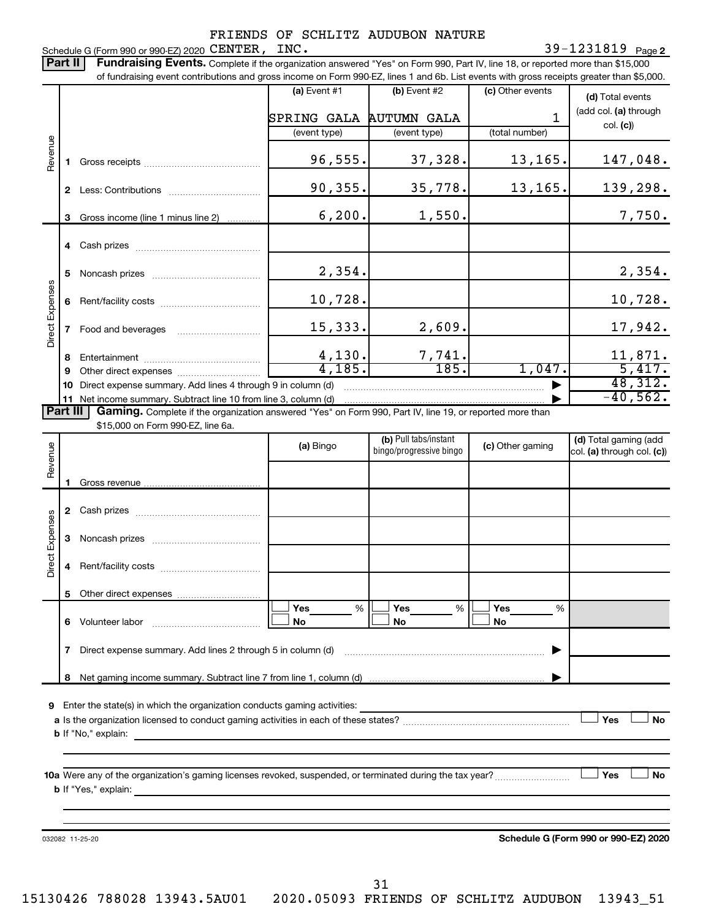Schedule G (Form 990 or 990-EZ) 2020  $\texttt{CENTER}$  ,  $\texttt{INC}.$ FRIENDS OF SCHLITZ AUDUBON NATURE

Part II | Fundraising Events. Complete if the organization answered "Yes" on Form 990, Part IV, line 18, or reported more than \$15,000

of fundraising event contributions and gross income on Form 990-EZ, lines 1 and 6b. List events with gross receipts greater than \$5,000.  $(a)$  Event #1  $(b)$  Event #2 (c) Other events **(d)**  Total events (add col. (a) through SPRING GALA AUTUMN GALA 1 col. **(c)**) (event type) (event type) (total number) Revenue 96,555. 37,328. 13,165. 147,048. **1** Gross receipts ~~~~~~~~~~~~~~ 90,355. 35,778. 13,165. 139,298. **2** Less: Contributions ~~~~~~~~~~~  $6,200.$  1,550. 7,750. **3** Gross income (line 1 minus line 2) . . . . . . . . . . . . **4** Cash prizes ~~~~~~~~~~~~~~~ 2,354. 2,354. **5** Noncash prizes ~~~~~~~~~~~~~ Direct Expenses Direct Expenses 10,728. 10,728. **6** Rent/facility costs ~~~~~~~~~~~~ 15,333. 2,609. 17,942. **7** Food and beverages ~~~~~~~~~~ 4,130. 7,741. 11,871. **8** Entertainment ~~~~~~~~~~~~~~ 4,185. 185. 1,047. 5,417. **9** Other direct expenses  $\ldots$  **............................** 48,312. **10** Direct expense summary. Add lines 4 through 9 in column (d) ~~~~~~~~~~~~~~~~~~~~~~~~~~~~~~~~~~~ ▶  $-40,562$  . **11** Net income summary. Subtract line 10 from line 3, column (d) | Part III Gaming. Complete if the organization answered "Yes" on Form 990, Part IV, line 19, or reported more than \$15,000 on Form 990-EZ, line 6a. (b) Pull tabs/instant (d) Total gaming (add Revenue **(a)** Bingo **a b**ingo/progressive bingo **(c)** Other gaming bingo/progressive bingo col. (a) through col. (c)) Gross revenue **1 2** Cash prizes ~~~~~~~~~~~~~~~ Direct Expenses Direct Expenses **3** Noncash prizes ~~~~~~~~~~~~~ **4** Rent/facility costs ~~~~~~~~~~~~ **5** Other direct expenses  $|\Box$  Yes  $\qquad \%$   $|\Box$  Yes  $\qquad \%$   $|\Box$ **Yes Yes Yes** % % %  $|\Box$  No  $|\Box$  No  $|\Box$ **6** Volunteer labor ~~~~~~~~~~~~~ **No No No 7** Direct expense summary. Add lines 2 through 5 in column (d) ~~~~~~~~~~~~~~~~~~~~~~~~ | Net gaming income summary. Subtract line 7 from line 1, column (d) **8** | **9** Enter the state(s) in which the organization conducts gaming activities:  $|$  Yes **Yes No a** Is the organization licensed to conduct gaming activities in each of these states? ~~~~~~~~~~~~~~~~~~~~ **b** If "No," explain: **10 a** Were any of the organization's gaming licenses revoked, suspended, or terminated during the tax year? ~~~~~~~~~ † † **Yes No b** If "Yes," explain: **Schedule G (Form 990 or 990-EZ) 2020** 032082 11-25-20

31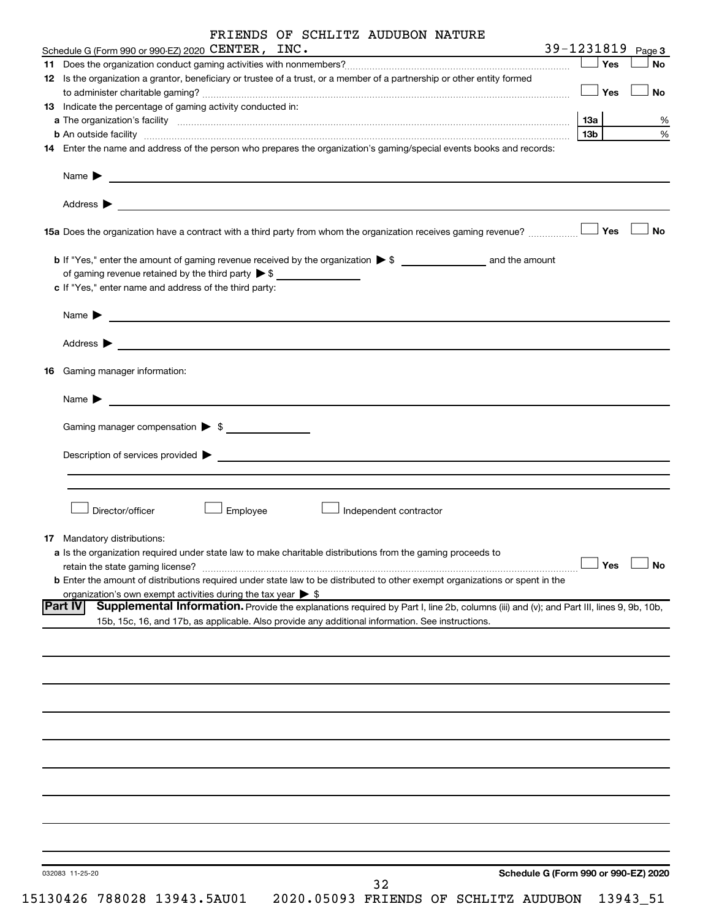|    | Schedule G (Form 990 or 990-EZ) 2020 CENTER, INC.                                                                                                                                                                                                                                                                                                     |     | 39-1231819 Page 3 |  |
|----|-------------------------------------------------------------------------------------------------------------------------------------------------------------------------------------------------------------------------------------------------------------------------------------------------------------------------------------------------------|-----|-------------------|--|
|    |                                                                                                                                                                                                                                                                                                                                                       |     | $\Box$ Yes        |  |
|    | 12 Is the organization a grantor, beneficiary or trustee of a trust, or a member of a partnership or other entity formed                                                                                                                                                                                                                              |     |                   |  |
|    |                                                                                                                                                                                                                                                                                                                                                       |     | $\Box$ Yes        |  |
|    | 13 Indicate the percentage of gaming activity conducted in:                                                                                                                                                                                                                                                                                           |     |                   |  |
|    |                                                                                                                                                                                                                                                                                                                                                       | 1За |                   |  |
|    |                                                                                                                                                                                                                                                                                                                                                       | 13b |                   |  |
|    | b An outside facility www.communications.com/news/communications.com/news/communications.com/news/communication<br>14 Enter the name and address of the person who prepares the organization's gaming/special events books and records:                                                                                                               |     |                   |  |
|    | Name <b>Decision of the Community of the Community of the Community of the Community of the Community of the Community of the Community of the Community of the Community of the Community of the Community of the Community of </b>                                                                                                                  |     |                   |  |
|    | Address > Natural Management of the Contract of the Contract of the Contract of the Contract of the Contract of the Contract of the Contract of the Contract of the Contract of the Contract of the Contract of the Contract o                                                                                                                        |     |                   |  |
|    | 15a Does the organization have a contract with a third party from whom the organization receives gaming revenue?                                                                                                                                                                                                                                      |     | Yes               |  |
|    |                                                                                                                                                                                                                                                                                                                                                       |     |                   |  |
|    | of gaming revenue retained by the third party $\triangleright$ \$                                                                                                                                                                                                                                                                                     |     |                   |  |
|    | c If "Yes," enter name and address of the third party:                                                                                                                                                                                                                                                                                                |     |                   |  |
|    |                                                                                                                                                                                                                                                                                                                                                       |     |                   |  |
|    | Name > 2008 - 2008 - 2009 - 2009 - 2009 - 2009 - 2010 - 2010 - 2010 - 2010 - 2010 - 2010 - 2010 - 2010 - 2010 - 2010 - 2010 - 2010 - 2010 - 2010 - 2010 - 2010 - 2010 - 2010 - 2010 - 2010 - 2010 - 2010 - 2010 - 2010 - 2010                                                                                                                         |     |                   |  |
|    | Address > Natural Management of the Contract of the Contract of the Contract of the Contract of the Contract of the Contract of the Contract of the Contract of the Contract of the Contract of the Contract of the Contract o                                                                                                                        |     |                   |  |
| 16 | Gaming manager information:                                                                                                                                                                                                                                                                                                                           |     |                   |  |
|    | Name $\blacktriangleright$ $\ldots$ $\ldots$ $\ldots$ $\ldots$ $\ldots$ $\ldots$ $\ldots$ $\ldots$ $\ldots$ $\ldots$ $\ldots$ $\ldots$ $\ldots$ $\ldots$ $\ldots$ $\ldots$ $\ldots$ $\ldots$ $\ldots$ $\ldots$ $\ldots$ $\ldots$ $\ldots$ $\ldots$ $\ldots$ $\ldots$ $\ldots$ $\ldots$ $\ldots$ $\ldots$ $\ldots$ $\ldots$ $\ldots$ $\ldots$ $\ldots$ |     |                   |  |
|    |                                                                                                                                                                                                                                                                                                                                                       |     |                   |  |
|    | Gaming manager compensation > \$                                                                                                                                                                                                                                                                                                                      |     |                   |  |
|    | Director/officer                                                                                                                                                                                                                                                                                                                                      |     |                   |  |
|    | Employee<br>Independent contractor                                                                                                                                                                                                                                                                                                                    |     |                   |  |
|    | <b>17</b> Mandatory distributions:<br>a Is the organization required under state law to make charitable distributions from the gaming proceeds to                                                                                                                                                                                                     |     |                   |  |
|    |                                                                                                                                                                                                                                                                                                                                                       |     | Yes               |  |
|    | retain the state gaming license?<br><b>b</b> Enter the amount of distributions required under state law to be distributed to other exempt organizations or spent in the                                                                                                                                                                               |     |                   |  |
|    |                                                                                                                                                                                                                                                                                                                                                       |     |                   |  |
|    | organization's own exempt activities during the tax year $\triangleright$ \$<br>Supplemental Information. Provide the explanations required by Part I, line 2b, columns (iii) and (v); and Part III, lines 9, 9b, 10b,<br><b>Part IV</b>                                                                                                              |     |                   |  |
|    | 15b, 15c, 16, and 17b, as applicable. Also provide any additional information. See instructions.                                                                                                                                                                                                                                                      |     |                   |  |
|    |                                                                                                                                                                                                                                                                                                                                                       |     |                   |  |
|    |                                                                                                                                                                                                                                                                                                                                                       |     |                   |  |
|    |                                                                                                                                                                                                                                                                                                                                                       |     |                   |  |
|    |                                                                                                                                                                                                                                                                                                                                                       |     |                   |  |
|    |                                                                                                                                                                                                                                                                                                                                                       |     |                   |  |
|    |                                                                                                                                                                                                                                                                                                                                                       |     |                   |  |
|    |                                                                                                                                                                                                                                                                                                                                                       |     |                   |  |
|    |                                                                                                                                                                                                                                                                                                                                                       |     |                   |  |
|    |                                                                                                                                                                                                                                                                                                                                                       |     |                   |  |
|    |                                                                                                                                                                                                                                                                                                                                                       |     |                   |  |
|    |                                                                                                                                                                                                                                                                                                                                                       |     |                   |  |
|    |                                                                                                                                                                                                                                                                                                                                                       |     |                   |  |
|    |                                                                                                                                                                                                                                                                                                                                                       |     |                   |  |
|    |                                                                                                                                                                                                                                                                                                                                                       |     |                   |  |
|    |                                                                                                                                                                                                                                                                                                                                                       |     |                   |  |
|    |                                                                                                                                                                                                                                                                                                                                                       |     |                   |  |
|    |                                                                                                                                                                                                                                                                                                                                                       |     |                   |  |
|    |                                                                                                                                                                                                                                                                                                                                                       |     |                   |  |
|    |                                                                                                                                                                                                                                                                                                                                                       |     |                   |  |
|    | Schedule G (Form 990 or 990-EZ) 2020<br>032083 11-25-20<br>32                                                                                                                                                                                                                                                                                         |     |                   |  |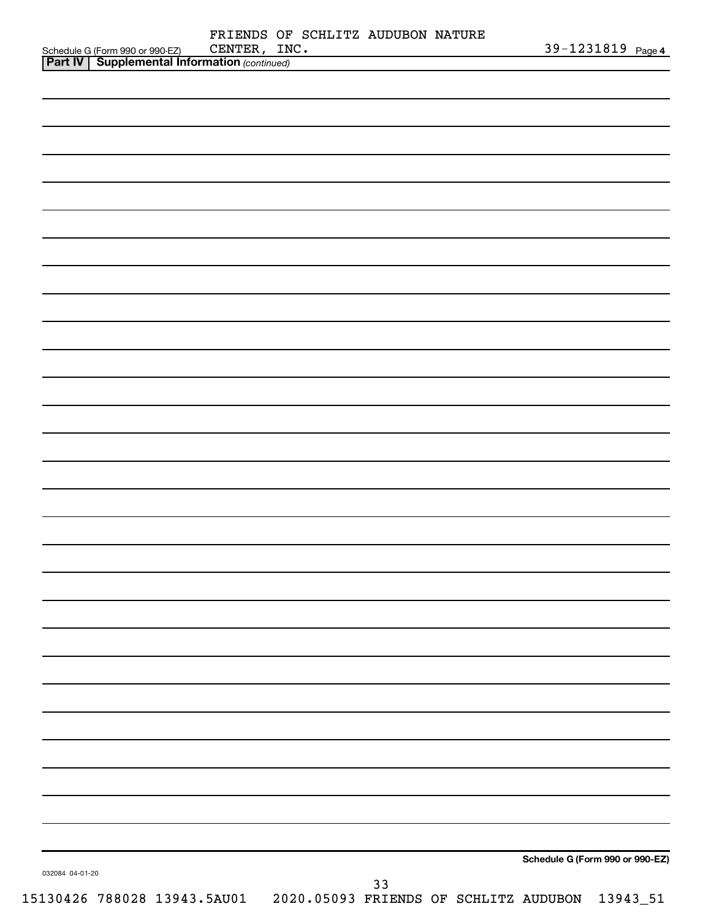| Schedule G (Form 990 or 990-EZ) CENTER, IN<br><b>Part IV</b> Supplemental Information (continued) | FRIENDS OF SCHLITZ AUDUBON NATURE<br>CENTER, INC. |  |    |  |                                 | 39-1231819 Page 4 |  |
|---------------------------------------------------------------------------------------------------|---------------------------------------------------|--|----|--|---------------------------------|-------------------|--|
|                                                                                                   |                                                   |  |    |  |                                 |                   |  |
|                                                                                                   |                                                   |  |    |  |                                 |                   |  |
|                                                                                                   |                                                   |  |    |  |                                 |                   |  |
|                                                                                                   |                                                   |  |    |  |                                 |                   |  |
|                                                                                                   |                                                   |  |    |  |                                 |                   |  |
|                                                                                                   |                                                   |  |    |  |                                 |                   |  |
|                                                                                                   |                                                   |  |    |  |                                 |                   |  |
|                                                                                                   |                                                   |  |    |  |                                 |                   |  |
|                                                                                                   |                                                   |  |    |  |                                 |                   |  |
|                                                                                                   |                                                   |  |    |  |                                 |                   |  |
|                                                                                                   |                                                   |  |    |  |                                 |                   |  |
|                                                                                                   |                                                   |  |    |  |                                 |                   |  |
|                                                                                                   |                                                   |  |    |  |                                 |                   |  |
|                                                                                                   |                                                   |  |    |  |                                 |                   |  |
|                                                                                                   |                                                   |  |    |  |                                 |                   |  |
|                                                                                                   |                                                   |  |    |  |                                 |                   |  |
|                                                                                                   |                                                   |  |    |  |                                 |                   |  |
|                                                                                                   |                                                   |  |    |  |                                 |                   |  |
|                                                                                                   |                                                   |  |    |  |                                 |                   |  |
|                                                                                                   |                                                   |  |    |  |                                 |                   |  |
|                                                                                                   |                                                   |  |    |  |                                 |                   |  |
|                                                                                                   |                                                   |  |    |  |                                 |                   |  |
|                                                                                                   |                                                   |  |    |  |                                 |                   |  |
|                                                                                                   |                                                   |  |    |  |                                 |                   |  |
|                                                                                                   |                                                   |  |    |  |                                 |                   |  |
|                                                                                                   |                                                   |  |    |  |                                 |                   |  |
|                                                                                                   |                                                   |  |    |  |                                 |                   |  |
|                                                                                                   |                                                   |  |    |  |                                 |                   |  |
|                                                                                                   |                                                   |  |    |  |                                 |                   |  |
|                                                                                                   |                                                   |  |    |  |                                 |                   |  |
|                                                                                                   |                                                   |  |    |  |                                 |                   |  |
|                                                                                                   |                                                   |  |    |  |                                 |                   |  |
|                                                                                                   |                                                   |  |    |  |                                 |                   |  |
|                                                                                                   |                                                   |  |    |  |                                 |                   |  |
|                                                                                                   |                                                   |  |    |  |                                 |                   |  |
|                                                                                                   |                                                   |  |    |  | Schedule G (Form 990 or 990-EZ) |                   |  |
| 032084 04-01-20                                                                                   |                                                   |  | 33 |  |                                 |                   |  |
|                                                                                                   |                                                   |  |    |  |                                 |                   |  |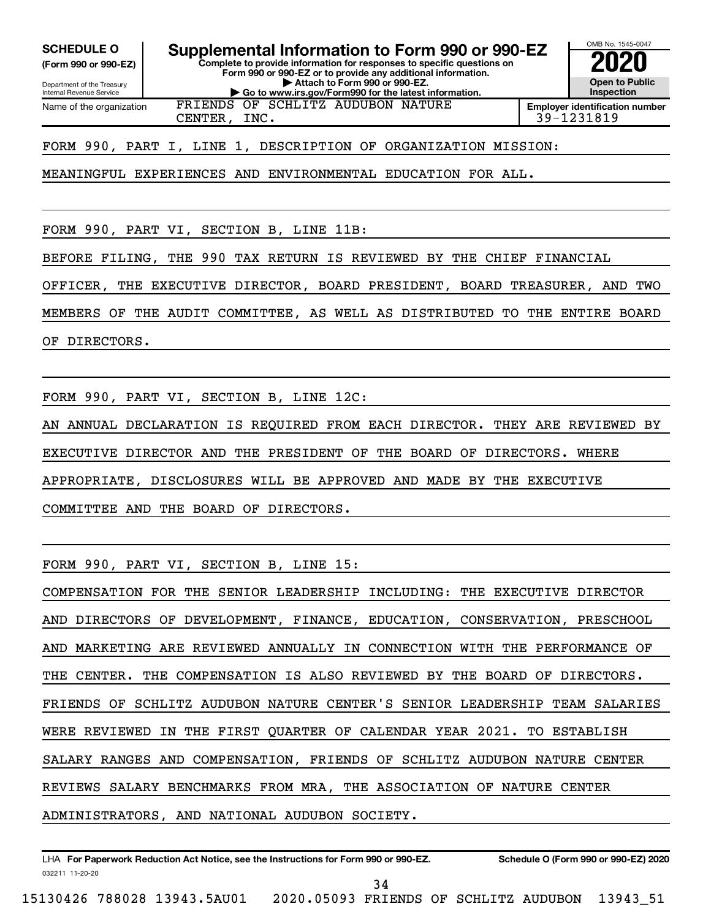**(Form 990 or 990-EZ)**

Name of the organization

Department of the Treasury Internal Revenue Service

**Complete to provide information for responses to specific questions on Form 990 or 990-EZ or to provide any additional information. | Attach to Form 990 or 990-EZ. | Go to www.irs.gov/Form990 for the latest information. SCHEDULE O Supplemental Information to Form 990 or 990-EZ 2020**<br>(Form 990 or 990-EZ) Complete to provide information for responses to specific questions on



FRIENDS OF SCHLITZ AUDUBON NATURE

CENTER, INC. 39-1231819

FORM 990, PART I, LINE 1, DESCRIPTION OF ORGANIZATION MISSION:

MEANINGFUL EXPERIENCES AND ENVIRONMENTAL EDUCATION FOR ALL.

FORM 990, PART VI, SECTION B, LINE 11B:

BEFORE FILING, THE 990 TAX RETURN IS REVIEWED BY THE CHIEF FINANCIAL

OFFICER, THE EXECUTIVE DIRECTOR, BOARD PRESIDENT, BOARD TREASURER, AND TWO

MEMBERS OF THE AUDIT COMMITTEE, AS WELL AS DISTRIBUTED TO THE ENTIRE BOARD

OF DIRECTORS.

FORM 990, PART VI, SECTION B, LINE 12C:

AN ANNUAL DECLARATION IS REQUIRED FROM EACH DIRECTOR. THEY ARE REVIEWED BY EXECUTIVE DIRECTOR AND THE PRESIDENT OF THE BOARD OF DIRECTORS. WHERE APPROPRIATE, DISCLOSURES WILL BE APPROVED AND MADE BY THE EXECUTIVE COMMITTEE AND THE BOARD OF DIRECTORS.

FORM 990, PART VI, SECTION B, LINE 15:

COMPENSATION FOR THE SENIOR LEADERSHIP INCLUDING: THE EXECUTIVE DIRECTOR AND DIRECTORS OF DEVELOPMENT, FINANCE, EDUCATION, CONSERVATION, PRESCHOOL AND MARKETING ARE REVIEWED ANNUALLY IN CONNECTION WITH THE PERFORMANCE OF THE CENTER. THE COMPENSATION IS ALSO REVIEWED BY THE BOARD OF DIRECTORS. FRIENDS OF SCHLITZ AUDUBON NATURE CENTER'S SENIOR LEADERSHIP TEAM SALARIES WERE REVIEWED IN THE FIRST QUARTER OF CALENDAR YEAR 2021. TO ESTABLISH SALARY RANGES AND COMPENSATION, FRIENDS OF SCHLITZ AUDUBON NATURE CENTER REVIEWS SALARY BENCHMARKS FROM MRA, THE ASSOCIATION OF NATURE CENTER ADMINISTRATORS, AND NATIONAL AUDUBON SOCIETY.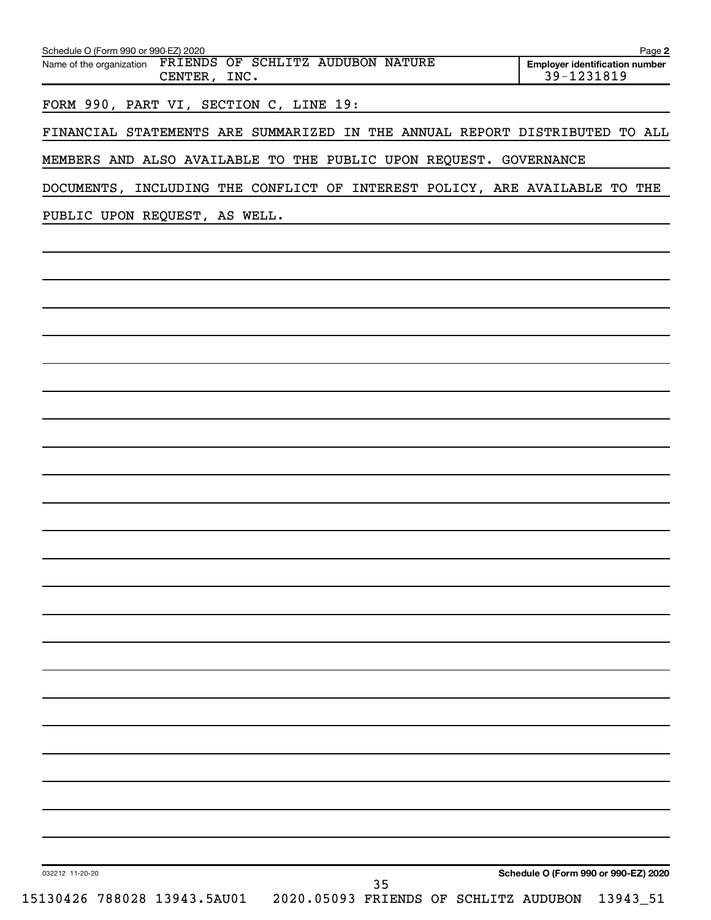| Schedule O (Form 990 or 990-EZ) 2020<br>Name of the organization FRIENDS OF SCHLITZ AUDUBON NATURE<br>CENTER, INC. | Page 2<br><b>Employer identification number</b><br>39-1231819 |
|--------------------------------------------------------------------------------------------------------------------|---------------------------------------------------------------|
| FORM 990, PART VI, SECTION C, LINE 19:                                                                             |                                                               |
| FINANCIAL STATEMENTS ARE SUMMARIZED IN THE ANNUAL REPORT DISTRIBUTED TO ALL                                        |                                                               |
| MEMBERS AND ALSO AVAILABLE TO THE PUBLIC UPON REQUEST. GOVERNANCE                                                  |                                                               |
| DOCUMENTS, INCLUDING THE CONFLICT OF INTEREST POLICY, ARE AVAILABLE TO THE<br>PUBLIC UPON REQUEST, AS WELL.        |                                                               |
|                                                                                                                    |                                                               |
|                                                                                                                    |                                                               |
|                                                                                                                    |                                                               |

| 032212 11-20-20             | Schedule O (Form 990 or 990-EZ) 2020                    |
|-----------------------------|---------------------------------------------------------|
| 15130426 788028 13943.5AU01 | 35<br>13943_51<br>2020.05093 FRIENDS OF SCHLITZ AUDUBON |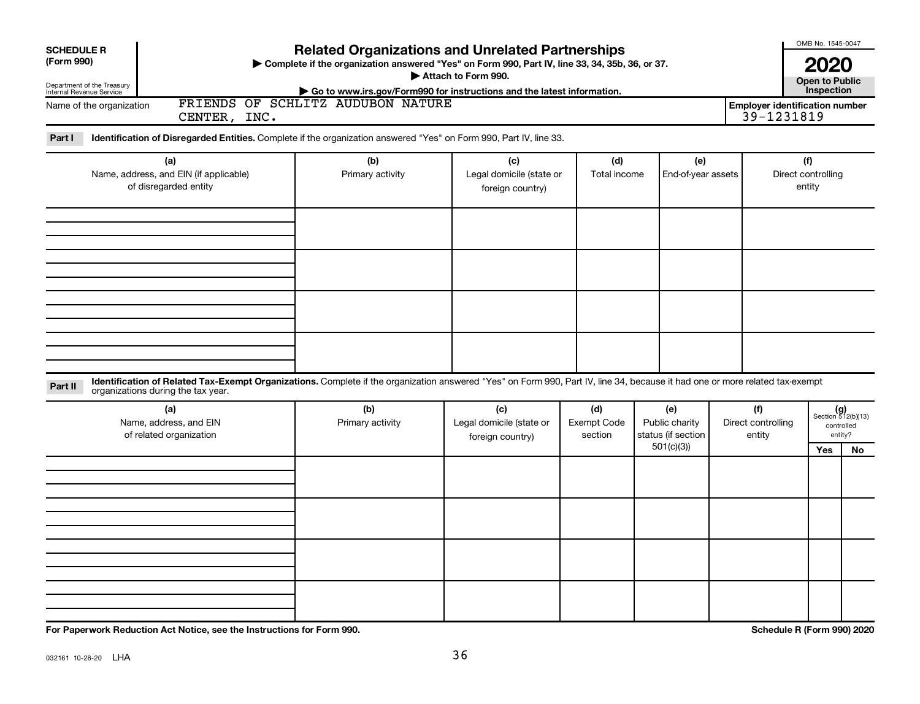| <b>SCHEDULE R</b><br>(Form 990)<br>Department of the Treasury<br>Internal Revenue Service<br>Name of the organization<br>CENTER, INC.<br>Identification of Disregarded Entities. Complete if the organization answered "Yes" on Form 990, Part IV, line 33.<br>Part I | <b>Related Organizations and Unrelated Partnerships</b><br>> Complete if the organization answered "Yes" on Form 990, Part IV, line 33, 34, 35b, 36, or 37.<br>Go to www.irs.gov/Form990 for instructions and the latest information.<br>FRIENDS OF SCHLITZ AUDUBON NATURE | Attach to Form 990.                                 |                               |                                                          |                                     | OMB No. 1545-0047<br>2020<br><b>Open to Public</b><br>Inspection<br><b>Employer identification number</b><br>39-1231819 |                                                             |
|-----------------------------------------------------------------------------------------------------------------------------------------------------------------------------------------------------------------------------------------------------------------------|----------------------------------------------------------------------------------------------------------------------------------------------------------------------------------------------------------------------------------------------------------------------------|-----------------------------------------------------|-------------------------------|----------------------------------------------------------|-------------------------------------|-------------------------------------------------------------------------------------------------------------------------|-------------------------------------------------------------|
| (a)<br>Name, address, and EIN (if applicable)<br>of disregarded entity                                                                                                                                                                                                | (b)<br>Primary activity                                                                                                                                                                                                                                                    | (c)<br>Legal domicile (state or<br>foreign country) | (d)<br>Total income           | (e)<br>End-of-year assets                                |                                     | (f)<br>Direct controlling<br>entity                                                                                     |                                                             |
| Identification of Related Tax-Exempt Organizations. Complete if the organization answered "Yes" on Form 990, Part IV, line 34, because it had one or more related tax-exempt                                                                                          |                                                                                                                                                                                                                                                                            |                                                     |                               |                                                          |                                     |                                                                                                                         |                                                             |
| Part II<br>organizations during the tax year.<br>(a)<br>Name, address, and EIN<br>of related organization                                                                                                                                                             | (b)<br>Primary activity                                                                                                                                                                                                                                                    | (c)<br>Legal domicile (state or<br>foreign country) | (d)<br>Exempt Code<br>section | (e)<br>Public charity<br>status (if section<br>501(c)(3) | (f)<br>Direct controlling<br>entity | Yes                                                                                                                     | $(g)$<br>Section 512(b)(13)<br>controlled<br>entity?<br>No. |
|                                                                                                                                                                                                                                                                       |                                                                                                                                                                                                                                                                            |                                                     |                               |                                                          |                                     |                                                                                                                         |                                                             |
|                                                                                                                                                                                                                                                                       |                                                                                                                                                                                                                                                                            |                                                     |                               |                                                          |                                     |                                                                                                                         |                                                             |

**For Paperwork Reduction Act Notice, see the Instructions for Form 990. Schedule R (Form 990) 2020**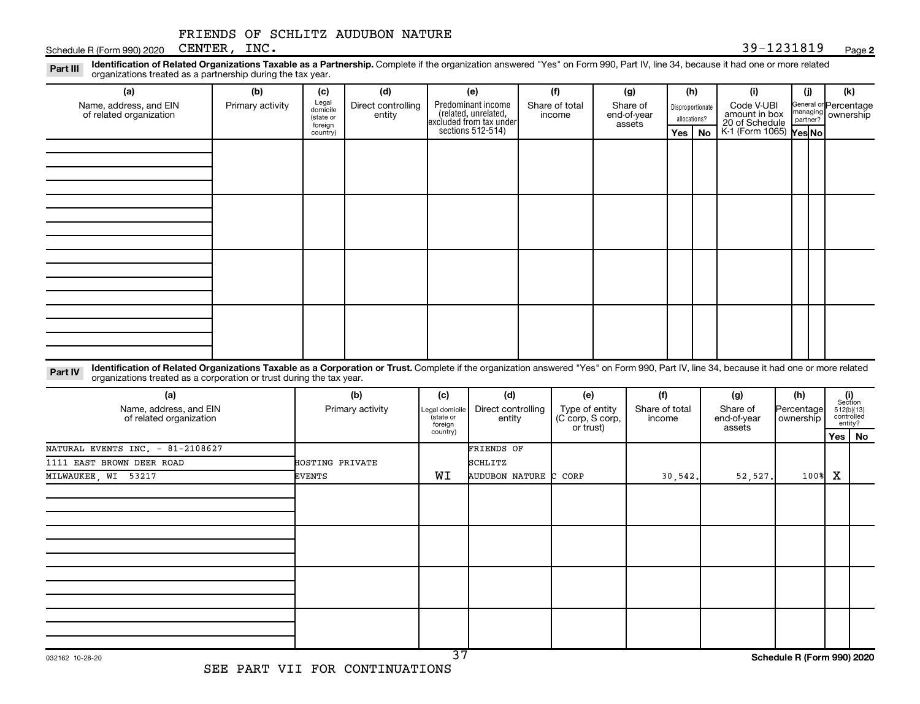### **2**

**Disproportionate** allocations? Legal domicile (state or foreign country) General or Percentage managing partner? Section 512(b)(13) controlled entity? Legal domicile (state or foreign country) Part III Identification of Related Organizations Taxable as a Partnership. Complete if the organization answered "Yes" on Form 990, Part IV, line 34, because it had one or more related<br>Read to the organizations tracted as **(a) (b) (c) (d) (e) (f) (g) (h) (i) (j) (k) Yes No Yes No** K-1 (Form 1065) Part IV Identification of Related Organizations Taxable as a Corporation or Trust. Complete if the organization answered "Yes" on Form 990, Part IV, line 34, because it had one or more related **(a) (b) (c) (d) (e) (f) (g) (h) (i) Yes No** Predominant income excluded from tax under sections 512-514) Schedule R (Form 990) 2020 Page CENTER, INC. 39-1231819 organizations treated as a partnership during the tax year. Name, address, and EIN of related organization Primary activity  $\int_{\text{diamial}}^{\text{legal}}$  Direct controlling entity Share of total income Share of end-of-year assets Code V-UBI<br>amount in box 20 of Schedule ownership organizations treated as a corporation or trust during the tax year. Name, address, and EIN of related organization Primary activity |Legal domicile | Direct controlling entity Type of entity (C corp, S corp, or trust) Share of total income Share of end-of-year assets Percentage ownership FRIENDS OF SCHLITZ AUDUBON NATURE NATURAL EVENTS INC. - 81-2108627 FRIENDS OF 1111 EAST BROWN DEER ROAD **HOSTING PRIVATE** SCHLITZ MILWAUKEE, WI 53217 EVENTS WI AUDUBON NATURE C CORP 30,542. 52,527. 100% X

37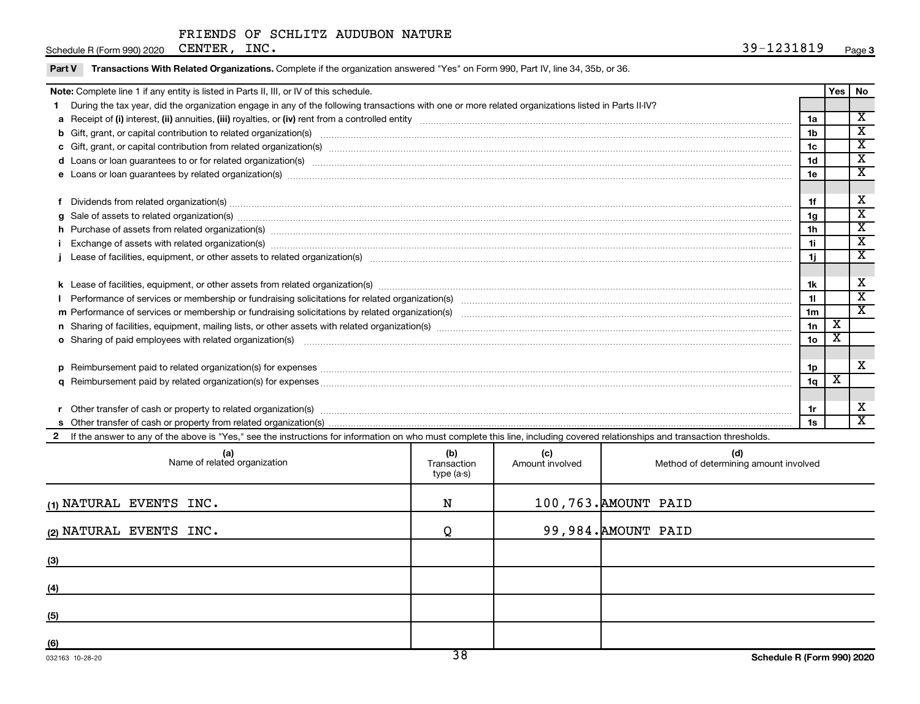| Schedule R (Form 990) 2020 | <b>CENTER</b> | INC. | 01 O<br>_ ם ר<br>. .<br><br>TAJIOTA. | Page 3 |
|----------------------------|---------------|------|--------------------------------------|--------|
|                            |               |      |                                      |        |

|  |  |  | <b>Part V</b> Transactions With Related Organizations. Complete if the organization answered "Yes" on Form 990, Part IV, line 34, 35b, or 36. |
|--|--|--|-----------------------------------------------------------------------------------------------------------------------------------------------|
|--|--|--|-----------------------------------------------------------------------------------------------------------------------------------------------|

| Note: Complete line 1 if any entity is listed in Parts II, III, or IV of this schedule. |                                                                                                                                                                                                                                |                |   |                             |  |
|-----------------------------------------------------------------------------------------|--------------------------------------------------------------------------------------------------------------------------------------------------------------------------------------------------------------------------------|----------------|---|-----------------------------|--|
|                                                                                         | 1 During the tax year, did the organization engage in any of the following transactions with one or more related organizations listed in Parts II-IV?                                                                          |                |   |                             |  |
|                                                                                         |                                                                                                                                                                                                                                | 1a             |   | $\overline{\mathbf{X}}$     |  |
|                                                                                         | b Gift, grant, or capital contribution to related organization(s) manufaction contracts and contribution to related organization(s) manufaction contribution to related organization(s) manufactured contracts and contributio | 1 <sub>b</sub> |   | $\overline{\textbf{x}}$     |  |
|                                                                                         |                                                                                                                                                                                                                                | 1c             |   | х                           |  |
|                                                                                         | d Loans or loan guarantees to or for related organization(s) mature material content to consume the content of the content of the content of the content of the content of the content of the content of the content of the co | 1 <sub>d</sub> |   | $\overline{\textbf{x}}$     |  |
|                                                                                         |                                                                                                                                                                                                                                | 1e             |   | $\overline{\text{x}}$       |  |
|                                                                                         |                                                                                                                                                                                                                                |                |   |                             |  |
|                                                                                         | f Dividends from related organization(s) manufactured and contract and contract or contract and contract and contract and contract and contract and contract and contract and contract and contract and contract and contract  | 1f             |   | х                           |  |
|                                                                                         |                                                                                                                                                                                                                                | 1g             |   | х                           |  |
|                                                                                         |                                                                                                                                                                                                                                | 1h             |   | х                           |  |
|                                                                                         | Exchange of assets with related organization(s) www.array.com/www.array.com/www.array.com/www.array.com/www.array.com/www.array.com/www.array.com/www.array.com/www.array.com/www.array.com/www.array.com/www.array.com/www.ar | 1i             |   | $\overline{\textnormal{x}}$ |  |
|                                                                                         |                                                                                                                                                                                                                                | 1j             |   | $\overline{\textnormal{x}}$ |  |
|                                                                                         |                                                                                                                                                                                                                                |                |   |                             |  |
|                                                                                         |                                                                                                                                                                                                                                | 1k             |   | х                           |  |
|                                                                                         |                                                                                                                                                                                                                                | 11             |   | $\mathbf x$                 |  |
|                                                                                         |                                                                                                                                                                                                                                | 1 <sub>m</sub> |   | $\overline{\textbf{x}}$     |  |
|                                                                                         |                                                                                                                                                                                                                                | 1n             | х |                             |  |
|                                                                                         | o Sharing of paid employees with related organization(s) <i>maching machines are machines are machines are machines with related organization</i> (s)                                                                          | 1 <sub>o</sub> | х |                             |  |
|                                                                                         |                                                                                                                                                                                                                                |                |   |                             |  |
|                                                                                         | p Reimbursement paid to related organization(s) for expenses [11111] [121] The manufacture manufacture manufacture manufacture manufacture manufacture manufacture manufacture manufacture manufacture manufacture manufacture | 1p             |   | X                           |  |
|                                                                                         |                                                                                                                                                                                                                                | 1q             | х |                             |  |
|                                                                                         |                                                                                                                                                                                                                                |                |   |                             |  |
|                                                                                         |                                                                                                                                                                                                                                | 1r             |   | х                           |  |
|                                                                                         | r Other transfer of cash or property to related organization(s) encourance contains an example of cash or property from related organization(s) encourance contains and contain an example of cash or property from related or | 1s             |   | X                           |  |
|                                                                                         | 2 If the answer to any of the above is "Yes," see the instructions for information on who must complete this line, including covered relationships and transaction thresholds.                                                 |                |   |                             |  |

| (a)<br>Name of related organization | (b)<br>Transaction<br>type (a-s) | (c)<br>Amount involved | (d)<br>Method of determining amount involved |
|-------------------------------------|----------------------------------|------------------------|----------------------------------------------|
| (1) NATURAL EVENTS INC.             | N                                |                        | 100,763. AMOUNT PAID                         |
| (2) NATURAL EVENTS INC.             | O                                |                        | 99,984. AMOUNT PAID                          |
| (3)                                 |                                  |                        |                                              |
| (4)                                 |                                  |                        |                                              |
| (5)                                 |                                  |                        |                                              |
| (6)                                 | າດ                               |                        |                                              |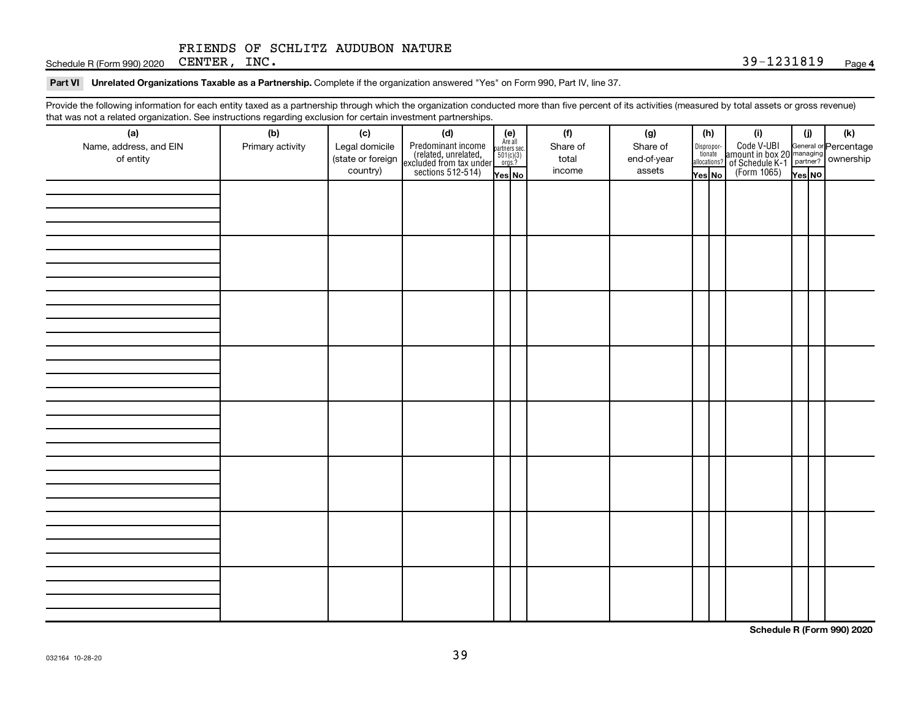Schedule R (Form 990) 2020 Page CENTER, INC. 39-1231819

### Part VI Unrelated Organizations Taxable as a Partnership. Complete if the organization answered "Yes" on Form 990, Part IV, line 37.

Provide the following information for each entity taxed as a partnership through which the organization conducted more than five percent of its activities (measured by total assets or gross revenue) that was not a related organization. See instructions regarding exclusion for certain investment partnerships.

| that was not a related erganization. Occupations regarding exclusion for cortain investment partnerships.<br>(a) | (b)              | (c)                                 |                                                                                                                                                                                                                                                                                                                         |  | (f)               | (g)                     |                       | (h)          | (i)                                                                                          | (i)    |  | $(\mathsf{k})$ |
|------------------------------------------------------------------------------------------------------------------|------------------|-------------------------------------|-------------------------------------------------------------------------------------------------------------------------------------------------------------------------------------------------------------------------------------------------------------------------------------------------------------------------|--|-------------------|-------------------------|-----------------------|--------------|----------------------------------------------------------------------------------------------|--------|--|----------------|
| Name, address, and EIN<br>of entity                                                                              | Primary activity | Legal domicile<br>(state or foreign | ( <b>c)</b><br>Predominant income<br>(related, unrelated, $\begin{bmatrix} \mathbf{e} \\ \text{Areaall} \\ \text{reculated} \\ \text{exculated from tax under} \\ \text{sections 512-514} \end{bmatrix}$<br>$\begin{bmatrix} \mathbf{e} \\ \text{faill} \\ \text{parameters} \\ \text{for} \\ \text{res} \end{bmatrix}$ |  | Share of<br>total | Share of<br>end-of-year | Dispropor-<br>tionate | allocations? | Code V-UBI<br>amount in box 20 managing<br>of Schedule K-1 partner?<br>(Form 1065)<br>ves No |        |  |                |
|                                                                                                                  |                  | country)                            |                                                                                                                                                                                                                                                                                                                         |  | income            | assets                  | Yes No                |              |                                                                                              | Yes NO |  |                |
|                                                                                                                  |                  |                                     |                                                                                                                                                                                                                                                                                                                         |  |                   |                         |                       |              |                                                                                              |        |  |                |
|                                                                                                                  |                  |                                     |                                                                                                                                                                                                                                                                                                                         |  |                   |                         |                       |              |                                                                                              |        |  |                |
|                                                                                                                  |                  |                                     |                                                                                                                                                                                                                                                                                                                         |  |                   |                         |                       |              |                                                                                              |        |  |                |
|                                                                                                                  |                  |                                     |                                                                                                                                                                                                                                                                                                                         |  |                   |                         |                       |              |                                                                                              |        |  |                |
|                                                                                                                  |                  |                                     |                                                                                                                                                                                                                                                                                                                         |  |                   |                         |                       |              |                                                                                              |        |  |                |
|                                                                                                                  |                  |                                     |                                                                                                                                                                                                                                                                                                                         |  |                   |                         |                       |              |                                                                                              |        |  |                |
|                                                                                                                  |                  |                                     |                                                                                                                                                                                                                                                                                                                         |  |                   |                         |                       |              |                                                                                              |        |  |                |
|                                                                                                                  |                  |                                     |                                                                                                                                                                                                                                                                                                                         |  |                   |                         |                       |              |                                                                                              |        |  |                |
|                                                                                                                  |                  |                                     |                                                                                                                                                                                                                                                                                                                         |  |                   |                         |                       |              |                                                                                              |        |  |                |
|                                                                                                                  |                  |                                     |                                                                                                                                                                                                                                                                                                                         |  |                   |                         |                       |              |                                                                                              |        |  |                |
|                                                                                                                  |                  |                                     |                                                                                                                                                                                                                                                                                                                         |  |                   |                         |                       |              |                                                                                              |        |  |                |
|                                                                                                                  |                  |                                     |                                                                                                                                                                                                                                                                                                                         |  |                   |                         |                       |              |                                                                                              |        |  |                |
|                                                                                                                  |                  |                                     |                                                                                                                                                                                                                                                                                                                         |  |                   |                         |                       |              |                                                                                              |        |  |                |
|                                                                                                                  |                  |                                     |                                                                                                                                                                                                                                                                                                                         |  |                   |                         |                       |              |                                                                                              |        |  |                |
|                                                                                                                  |                  |                                     |                                                                                                                                                                                                                                                                                                                         |  |                   |                         |                       |              |                                                                                              |        |  |                |
|                                                                                                                  |                  |                                     |                                                                                                                                                                                                                                                                                                                         |  |                   |                         |                       |              |                                                                                              |        |  |                |
|                                                                                                                  |                  |                                     |                                                                                                                                                                                                                                                                                                                         |  |                   |                         |                       |              |                                                                                              |        |  |                |
|                                                                                                                  |                  |                                     |                                                                                                                                                                                                                                                                                                                         |  |                   |                         |                       |              |                                                                                              |        |  |                |
|                                                                                                                  |                  |                                     |                                                                                                                                                                                                                                                                                                                         |  |                   |                         |                       |              |                                                                                              |        |  |                |
|                                                                                                                  |                  |                                     |                                                                                                                                                                                                                                                                                                                         |  |                   |                         |                       |              |                                                                                              |        |  |                |
|                                                                                                                  |                  |                                     |                                                                                                                                                                                                                                                                                                                         |  |                   |                         |                       |              |                                                                                              |        |  |                |
|                                                                                                                  |                  |                                     |                                                                                                                                                                                                                                                                                                                         |  |                   |                         |                       |              |                                                                                              |        |  |                |
|                                                                                                                  |                  |                                     |                                                                                                                                                                                                                                                                                                                         |  |                   |                         |                       |              |                                                                                              |        |  |                |
|                                                                                                                  |                  |                                     |                                                                                                                                                                                                                                                                                                                         |  |                   |                         |                       |              |                                                                                              |        |  |                |
|                                                                                                                  |                  |                                     |                                                                                                                                                                                                                                                                                                                         |  |                   |                         |                       |              |                                                                                              |        |  |                |
|                                                                                                                  |                  |                                     |                                                                                                                                                                                                                                                                                                                         |  |                   |                         |                       |              |                                                                                              |        |  |                |
|                                                                                                                  |                  |                                     |                                                                                                                                                                                                                                                                                                                         |  |                   |                         |                       |              |                                                                                              |        |  |                |
|                                                                                                                  |                  |                                     |                                                                                                                                                                                                                                                                                                                         |  |                   |                         |                       |              |                                                                                              |        |  |                |
|                                                                                                                  |                  |                                     |                                                                                                                                                                                                                                                                                                                         |  |                   |                         |                       |              |                                                                                              |        |  |                |
|                                                                                                                  |                  |                                     |                                                                                                                                                                                                                                                                                                                         |  |                   |                         |                       |              |                                                                                              |        |  |                |
|                                                                                                                  |                  |                                     |                                                                                                                                                                                                                                                                                                                         |  |                   |                         |                       |              |                                                                                              |        |  |                |
|                                                                                                                  |                  |                                     |                                                                                                                                                                                                                                                                                                                         |  |                   |                         |                       |              |                                                                                              |        |  |                |
|                                                                                                                  |                  |                                     |                                                                                                                                                                                                                                                                                                                         |  |                   |                         |                       |              |                                                                                              |        |  |                |
|                                                                                                                  |                  |                                     |                                                                                                                                                                                                                                                                                                                         |  |                   |                         |                       |              |                                                                                              |        |  |                |

**Schedule R (Form 990) 2020**